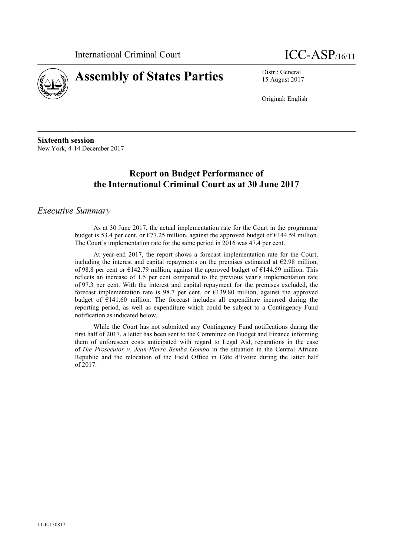



15 August 2017

Original: English

**Sixteenth session** New York, 4-14 December 2017

# **Report on Budget Performance of the International Criminal Court as at 30 June 2017**

#### *Executive Summary*

As at 30 June 2017, the actual implementation rate for the Court in the programme budget is 53.4 per cent, or  $\epsilon$ 77.25 million, against the approved budget of  $\epsilon$ 144.59 million. The Court's implementation rate for the same period in 2016 was 47.4 per cent.

At year-end 2017, the report shows a forecast implementation rate for the Court, including the interest and capital repayments on the premises estimated at  $E$ 2.98 million, of 98.8 per cent or €142.79 million, against the approved budget of €144.59 million. This reflects an increase of 1.5 per cent compared to the previous year's implementation rate of 97.3 per cent. With the interest and capital repayment for the premises excluded, the forecast implementation rate is 98.7 per cent, or  $\epsilon$ 139.80 million, against the approved budget of  $E141.60$  million. The forecast includes all expenditure incurred during the reporting period, as well as expenditure which could be subject to a Contingency Fund notification as indicated below.

While the Court has not submitted any Contingency Fund notifications during the first half of 2017, a letter has been sent to the Committee on Budget and Finance informing them of unforeseen costs anticipated with regard to Legal Aid, reparations in the case of *The Prosecutor v. Jean-Pierre Bemba Gombo* in the situation in the Central African Republic and the relocation of the Field Office in Côte d'Ivoire during the latter half of 2017.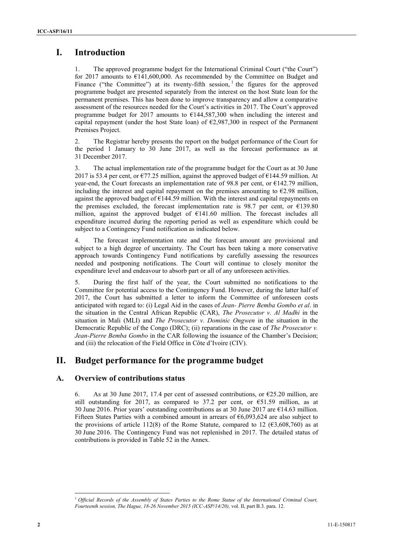# **I. Introduction**

1. The approved programme budget for the International Criminal Court ("the Court") for 2017 amounts to  $E$ 141,600,000. As recommended by the Committee on Budget and Finance ("the Committee") at its twenty-fifth session,  $\frac{1}{1}$  the figures for the approved programme budget are presented separately from the interest on the host State loan for the permanent premises. This has been done to improve transparency and allow a comparative assessment of the resources needed for the Court's activities in 2017. The Court's approved programme budget for 2017 amounts to  $\epsilon$ 144,587,300 when including the interest and capital repayment (under the host State loan) of  $\epsilon$ 2,987,300 in respect of the Permanent Premises Project.

2. The Registrar hereby presents the report on the budget performance of the Court for the period 1 January to 30 June 2017, as well as the forecast performance as at 31 December 2017.

3. The actual implementation rate of the programme budget for the Court as at 30 June 2017 is 53.4 per cent, or  $\epsilon$ 77.25 million, against the approved budget of  $\epsilon$ 144.59 million. At year-end, the Court forecasts an implementation rate of 98.8 per cent, or  $\epsilon$ 142.79 million, including the interest and capital repayment on the premises amounting to  $\epsilon$ 2.98 million, against the approved budget of  $\epsilon$ 144.59 million. With the interest and capital repayments on the premises excluded, the forecast implementation rate is 98.7 per cent, or  $\epsilon$ 139.80 million, against the approved budget of €141.60 million. The forecast includes all expenditure incurred during the reporting period as well as expenditure which could be subject to a Contingency Fund notification as indicated below.

4. The forecast implementation rate and the forecast amount are provisional and subject to a high degree of uncertainty. The Court has been taking a more conservative approach towards Contingency Fund notifications by carefully assessing the resources needed and postponing notifications. The Court will continue to closely monitor the expenditure level and endeavour to absorb part or all of any unforeseen activities.

5. During the first half of the year, the Court submitted no notifications to the Committee for potential access to the Contingency Fund. However, during the latter half of 2017, the Court has submitted a letter to inform the Committee of unforeseen costs anticipated with regard to: (i) Legal Aid in the cases of *Jean- Pierre Bemba Gombo et al*. in the situation in the Central African Republic (CAR), *The Prosecutor v. Al Madhi* in the situation in Mali (MLI) and *The Prosecutor v. Dominic Ongwen* in the situation in the Democratic Republic of the Congo (DRC); (ii) reparations in the case of *The Prosecutor v. Jean-Pierre Bemba Gombo* in the CAR following the issuance of the Chamber's Decision; and (iii) the relocation of the Field Office in Côte d'Ivoire (CIV).

### **II. Budget performance for the programme budget**

#### **A. Overview of contributions status**

6. As at 30 June 2017, 17.4 per cent of assessed contributions, or  $\epsilon$ 25.20 million, are still outstanding for 2017, as compared to 37.2 per cent, or  $\epsilon$ 51.59 million, as at 30 June 2016. Prior years' outstanding contributions as at 30 June 2017 are  $\epsilon$ 14.63 million. Fifteen States Parties with a combined amount in arrears of €6,093,624 are also subject to the provisions of article 112(8) of the Rome Statute, compared to 12 ( $\epsilon$ 3,608,760) as at 30 June 2016. The Contingency Fund was not replenished in 2017. The detailed status of contributions is provided in Table 52 in the Annex.

<sup>1</sup> *Official Records of the Assembly of States Parties to the Rome Statue of the International Criminal Court, Fourteenth session, The Hague, 18-26 November 2015 (ICC-ASP/14/20),* vol. II, part B.3. para. 12.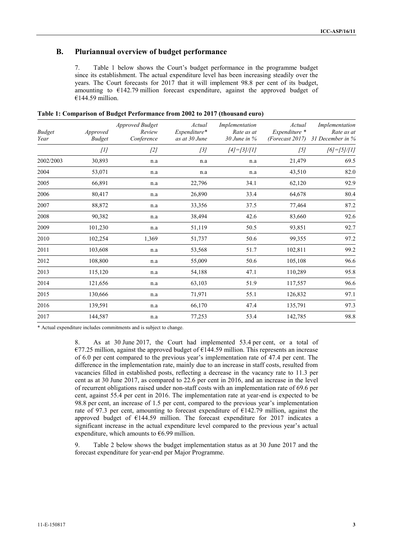#### **B. Pluriannual overview of budget performance**

7. Table 1 below shows the Court's budget performance in the programme budget since its establishment. The actual expenditure level has been increasing steadily over the years. The Court forecasts for 2017 that it will implement 98.8 per cent of its budget, amounting to  $\epsilon$ 142.79 million forecast expenditure, against the approved budget of  $€144.59$  million.

| <b>Budget</b><br>Year | Approved<br><b>Budget</b> | Approved Budget<br>Review<br>Conference | Actual<br>Expenditure*<br>as at 30 June | Implementation<br>Rate as at<br>$30$ June in $%$ | Actual<br>Expenditure *<br>(Forecast 2017) | Implementation<br>Rate as at<br>31 December in % |
|-----------------------|---------------------------|-----------------------------------------|-----------------------------------------|--------------------------------------------------|--------------------------------------------|--------------------------------------------------|
|                       | $[1]$                     | $[2]$                                   | $[3]$                                   | $[4] = [3]/[1]$                                  | [5]                                        | $[6] = [5]/[1]$                                  |
| 2002/2003             | 30,893                    | n.a                                     | n.a                                     | n.a                                              | 21,479                                     | 69.5                                             |
| 2004                  | 53,071                    | n.a                                     | n.a                                     | n.a                                              | 43,510                                     | 82.0                                             |
| 2005                  | 66,891                    | n.a                                     | 22,796                                  | 34.1                                             | 62,120                                     | 92.9                                             |
| 2006                  | 80,417                    | n.a                                     | 26,890                                  | 33.4                                             | 64,678                                     | 80.4                                             |
| 2007                  | 88,872                    | n.a                                     | 33,356                                  | 37.5                                             | 77,464                                     | 87.2                                             |
| 2008                  | 90,382                    | n.a                                     | 38,494                                  | 42.6                                             | 83,660                                     | 92.6                                             |
| 2009                  | 101,230                   | n.a                                     | 51,119                                  | 50.5                                             | 93,851                                     | 92.7                                             |
| 2010                  | 102,254                   | 1,369                                   | 51,737                                  | 50.6                                             | 99,355                                     | 97.2                                             |
| 2011                  | 103,608                   | n.a                                     | 53,568                                  | 51.7                                             | 102,811                                    | 99.2                                             |
| 2012                  | 108,800                   | n.a                                     | 55,009                                  | 50.6                                             | 105,108                                    | 96.6                                             |
| 2013                  | 115,120                   | n.a                                     | 54,188                                  | 47.1                                             | 110,289                                    | 95.8                                             |
| 2014                  | 121,656                   | n.a                                     | 63,103                                  | 51.9                                             | 117,557                                    | 96.6                                             |
| 2015                  | 130,666                   | n.a                                     | 71,971                                  | 55.1                                             | 126,832                                    | 97.1                                             |
| 2016                  | 139,591                   | n.a                                     | 66,170                                  | 47.4                                             | 135,791                                    | 97.3                                             |
| 2017                  | 144,587                   | n.a                                     | 77,253                                  | 53.4                                             | 142,785                                    | 98.8                                             |

**Table 1: Comparison of Budget Performance from 2002 to 2017 (thousand euro)**

\* Actual expenditure includes commitments and is subject to change.

8. As at 30 June 2017, the Court had implemented 53.4 per cent, or a total of  $€77.25$  million, against the approved budget of  $€144.59$  million. This represents an increase of 6.0 per cent compared to the previous year's implementation rate of 47.4 per cent. The difference in the implementation rate, mainly due to an increase in staff costs, resulted from vacancies filled in established posts, reflecting a decrease in the vacancy rate to 11.3 per cent as at 30 June 2017, as compared to 22.6 per cent in 2016, and an increase in the level of recurrent obligations raised under non-staff costs with an implementation rate of 69.6 per cent, against 55.4 per cent in 2016. The implementation rate at year-end is expected to be 98.8 per cent, an increase of 1.5 per cent, compared to the previous year's implementation rate of 97.3 per cent, amounting to forecast expenditure of  $\epsilon$ 142.79 million, against the approved budget of €144.59 million. The forecast expenditure for 2017 indicates a significant increase in the actual expenditure level compared to the previous year's actual expenditure, which amounts to  $€6.99$  million.

9. Table 2 below shows the budget implementation status as at 30 June 2017 and the forecast expenditure for year-end per Major Programme.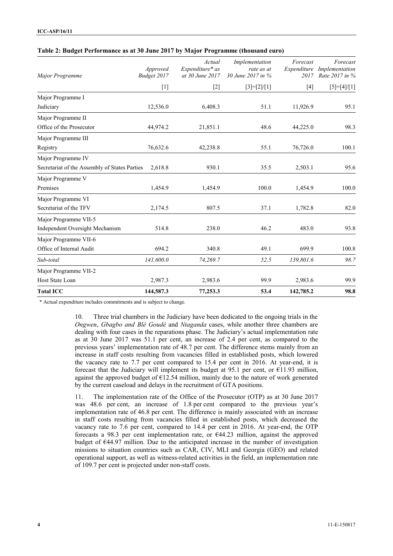| Major Programme                               | Approved<br>Budget 2017 | Actual<br>Expenditure* as<br>at 30 June 2017 | Implementation<br>rate as at<br>30 June 2017 in % | Forecast<br>2017 | Forecast<br>Expenditure Implementation<br>Rate 2017 in % |
|-----------------------------------------------|-------------------------|----------------------------------------------|---------------------------------------------------|------------------|----------------------------------------------------------|
|                                               | $[1]$                   | $[2]$                                        | $[3]=[2]/[1]$                                     | $[4]$            | $[5]=[4]/[1]$                                            |
| Major Programme I                             |                         |                                              |                                                   |                  |                                                          |
| Judiciary                                     | 12,536.0                | 6,408.3                                      | 51.1                                              | 11,926.9         | 95.1                                                     |
| Major Programme II                            |                         |                                              |                                                   |                  |                                                          |
| Office of the Prosecutor                      | 44,974.2                | 21,851.1                                     | 48.6                                              | 44,225.0         | 98.3                                                     |
| Major Programme III                           |                         |                                              |                                                   |                  |                                                          |
| Registry                                      | 76,632.6                | 42,238.8                                     | 55.1                                              | 76,726.0         | 100.1                                                    |
| Major Programme IV                            |                         |                                              |                                                   |                  |                                                          |
| Secretariat of the Assembly of States Parties | 2,618.8                 | 930.1                                        | 35.5                                              | 2,503.1          | 95.6                                                     |
| Major Programme V                             |                         |                                              |                                                   |                  |                                                          |
| Premises                                      | 1,454.9                 | 1,454.9                                      | 100.0                                             | 1,454.9          | 100.0                                                    |
| Major Programme VI                            |                         |                                              |                                                   |                  |                                                          |
| Secretariat of the TFV                        | 2,174.5                 | 807.5                                        | 37.1                                              | 1,782.8          | 82.0                                                     |
| Major Programme VII-5                         |                         |                                              |                                                   |                  |                                                          |
| Independent Oversight Mechanism               | 514.8                   | 238.0                                        | 46.2                                              | 483.0            | 93.8                                                     |
| Major Programme VII-6                         |                         |                                              |                                                   |                  |                                                          |
| Office of Internal Audit                      | 694.2                   | 340.8                                        | 49.1                                              | 699.9            | 100.8                                                    |
| Sub-total                                     | 141,600.0               | 74,269.7                                     | 52.5                                              | 139,801.6        | 98.7                                                     |
| Major Programme VII-2                         |                         |                                              |                                                   |                  |                                                          |
| Host State Loan                               | 2,987.3                 | 2,983.6                                      | 99.9                                              | 2,983.6          | 99.9                                                     |
| <b>Total ICC</b>                              | 144,587.3               | 77,253.3                                     | 53.4                                              | 142,785.2        | 98.8                                                     |

#### **Table 2: Budget Performance as at 30 June 2017 by Major Programme (thousand euro)**

\* Actual expenditure includes commitments and is subject to change.

10. Three trial chambers in the Judiciary have been dedicated to the ongoing trials in the *Ongwen*, *Gbagbo and Blé Goudé* and *Ntaganda* cases, while another three chambers are dealing with four cases in the reparations phase. The Judiciary's actual implementation rate as at 30 June 2017 was 51.1 per cent, an increase of 2.4 per cent, as compared to the previous years' implementation rate of 48.7 per cent. The difference stems mainly from an increase in staff costs resulting from vacancies filled in established posts, which lowered the vacancy rate to 7.7 per cent compared to 15.4 per cent in 2016. At year-end, it is forecast that the Judiciary will implement its budget at 95.1 per cent, or  $E11.93$  million, against the approved budget of €12.54 million, mainly due to the nature of work generated by the current caseload and delays in the recruitment of GTA positions.

11. The implementation rate of the Office of the Prosecutor (OTP) as at 30 June 2017 was 48.6 per cent, an increase of 1.8 per cent compared to the previous year's implementation rate of 46.8 per cent. The difference is mainly associated with an increase in staff costs resulting from vacancies filled in established posts, which decreased the vacancy rate to 7.6 per cent, compared to 14.4 per cent in 2016. At year-end, the OTP forecasts a 98.3 per cent implementation rate, or  $\epsilon$ 44.23 million, against the approved budget of €44.97 million. Due to the anticipated increase in the number of investigation missions to situation countries such as CAR, CIV, MLI and Georgia (GEO) and related operational support, as well as witness-related activities in the field, an implementation rate of 109.7 per cent is projected under non-staff costs.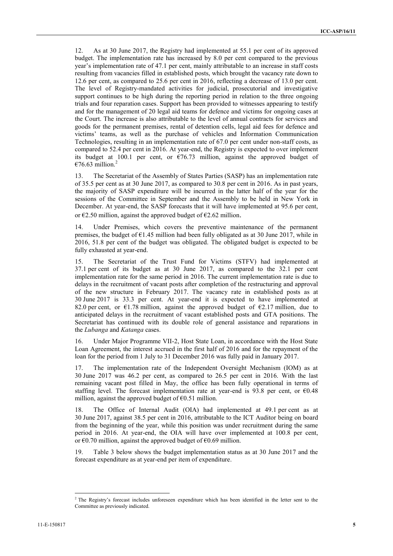12. As at 30 June 2017, the Registry had implemented at 55.1 per cent of its approved budget. The implementation rate has increased by 8.0 per cent compared to the previous year's implementation rate of 47.1 per cent, mainly attributable to an increase in staff costs resulting from vacancies filled in established posts, which brought the vacancy rate down to 12.6 per cent, as compared to 25.6 per cent in 2016, reflecting a decrease of 13.0 per cent. The level of Registry-mandated activities for judicial, prosecutorial and investigative support continues to be high during the reporting period in relation to the three ongoing trials and four reparation cases. Support has been provided to witnesses appearing to testify and for the management of 20 legal aid teams for defence and victims for ongoing cases at the Court. The increase is also attributable to the level of annual contracts for services and goods for the permanent premises, rental of detention cells, legal aid fees for defence and victims' teams, as well as the purchase of vehicles and Information Communication Technologies, resulting in an implementation rate of 67.0 per cent under non-staff costs, as compared to 52.4 per cent in 2016. At year-end, the Registry is expected to over implement its budget at 100.1 per cent, or  $\epsilon$ 76.73 million, against the approved budget of €76.63 million.<sup>2</sup>

13. The Secretariat of the Assembly of States Parties (SASP) has an implementation rate of 35.5 per cent as at 30 June 2017, as compared to 30.8 per cent in 2016. As in past years, the majority of SASP expenditure will be incurred in the latter half of the year for the sessions of the Committee in September and the Assembly to be held in New York in December. At year-end, the SASP forecasts that it will have implemented at 95.6 per cent, or  $\epsilon$ 2.50 million, against the approved budget of  $\epsilon$ 2.62 million.

14. Under Premises, which covers the preventive maintenance of the permanent premises, the budget of  $E1.45$  million had been fully obligated as at 30 June 2017, while in 2016, 51.8 per cent of the budget was obligated. The obligated budget is expected to be fully exhausted at year-end.

15. The Secretariat of the Trust Fund for Victims (STFV) had implemented at 37.1 per cent of its budget as at 30 June 2017, as compared to the 32.1 per cent implementation rate for the same period in 2016. The current implementation rate is due to delays in the recruitment of vacant posts after completion of the restructuring and approval of the new structure in February 2017. The vacancy rate in established posts as at 30 June 2017 is 33.3 per cent. At year-end it is expected to have implemented at 82.0 per cent, or  $\epsilon$ 1.78 million, against the approved budget of  $\epsilon$ 2.17 million, due to anticipated delays in the recruitment of vacant established posts and GTA positions. The Secretariat has continued with its double role of general assistance and reparations in the *Lubanga* and *Katanga* cases.

16. Under Major Programme VII-2, Host State Loan, in accordance with the Host State Loan Agreement, the interest accrued in the first half of 2016 and for the repayment of the loan for the period from 1 July to 31 December 2016 was fully paid in January 2017.

17. The implementation rate of the Independent Oversight Mechanism (IOM) as at 30 June 2017 was 46.2 per cent, as compared to 26.5 per cent in 2016. With the last remaining vacant post filled in May, the office has been fully operational in terms of staffing level. The forecast implementation rate at year-end is 93.8 per cent, or  $\epsilon$ 0.48 million, against the approved budget of  $\epsilon$ 0.51 million.

18. The Office of Internal Audit (OIA) had implemented at 49.1 per cent as at 30 June 2017, against 38.5 per cent in 2016, attributable to the ICT Auditor being on board from the beginning of the year, while this position was under recruitment during the same period in 2016. At year-end, the OIA will have over implemented at 100.8 per cent, or  $\epsilon$ 0.70 million, against the approved budget of  $\epsilon$ 0.69 million.

Table 3 below shows the budget implementation status as at 30 June 2017 and the forecast expenditure as at year-end per item of expenditure.

<sup>&</sup>lt;sup>2</sup> The Registry's forecast includes unforeseen expenditure which has been identified in the letter sent to the Committee as previously indicated.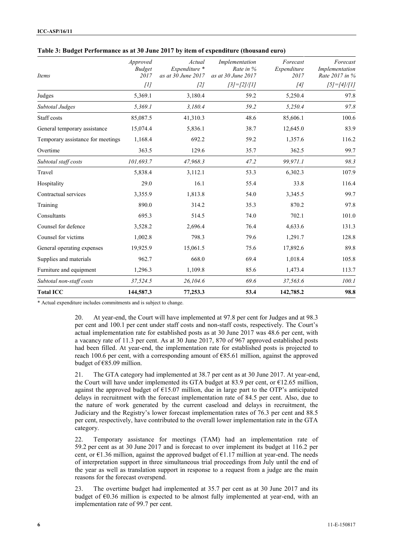| Items                             | Approved<br><b>Budget</b><br>2017 | Actual<br>Expenditure *<br>as at 30 June 2017 | Implementation<br>Rate in %<br>as at 30 June 2017 | Forecast<br>Expenditure<br>2017 | Forecast<br>Implementation<br>Rate 2017 in % |
|-----------------------------------|-----------------------------------|-----------------------------------------------|---------------------------------------------------|---------------------------------|----------------------------------------------|
|                                   | [1]                               | $[2]$                                         | $[3]=[2]/[1]$                                     | [4]                             | $[5]=[4]/[1]$                                |
| Judges                            | 5,369.1                           | 3,180.4                                       | 59.2                                              | 5,250.4                         | 97.8                                         |
| Subtotal Judges                   | 5,369.1                           | 3,180.4                                       | 59.2                                              | 5,250.4                         | 97.8                                         |
| Staff costs                       | 85,087.5                          | 41,310.3                                      | 48.6                                              | 85,606.1                        | 100.6                                        |
| General temporary assistance      | 15,074.4                          | 5,836.1                                       | 38.7                                              | 12,645.0                        | 83.9                                         |
| Temporary assistance for meetings | 1,168.4                           | 692.2                                         | 59.2                                              | 1,357.6                         | 116.2                                        |
| Overtime                          | 363.5                             | 129.6                                         | 35.7                                              | 362.5                           | 99.7                                         |
| Subtotal staff costs              | 101,693.7                         | 47,968.3                                      | 47.2                                              | 99,971.1                        | 98.3                                         |
| Travel                            | 5,838.4                           | 3,112.1                                       | 53.3                                              | 6,302.3                         | 107.9                                        |
| Hospitality                       | 29.0                              | 16.1                                          | 55.4                                              | 33.8                            | 116.4                                        |
| Contractual services              | 3,355.9                           | 1,813.8                                       | 54.0                                              | 3,345.5                         | 99.7                                         |
| Training                          | 890.0                             | 314.2                                         | 35.3                                              | 870.2                           | 97.8                                         |
| Consultants                       | 695.3                             | 514.5                                         | 74.0                                              | 702.1                           | 101.0                                        |
| Counsel for defence               | 3,528.2                           | 2,696.4                                       | 76.4                                              | 4,633.6                         | 131.3                                        |
| Counsel for victims               | 1,002.8                           | 798.3                                         | 79.6                                              | 1,291.7                         | 128.8                                        |
| General operating expenses        | 19,925.9                          | 15,061.5                                      | 75.6                                              | 17,892.6                        | 89.8                                         |
| Supplies and materials            | 962.7                             | 668.0                                         | 69.4                                              | 1,018.4                         | 105.8                                        |
| Furniture and equipment           | 1,296.3                           | 1,109.8                                       | 85.6                                              | 1,473.4                         | 113.7                                        |
| Subtotal non-staff costs          | 37,524.5                          | 26,104.6                                      | 69.6                                              | 37,563.6                        | 100.1                                        |
| <b>Total ICC</b>                  | 144,587.3                         | 77,253.3                                      | 53.4                                              | 142,785.2                       | 98.8                                         |

| Table 3: Budget Performance as at 30 June 2017 by item of expenditure (thousand euro) |  |  |
|---------------------------------------------------------------------------------------|--|--|
|                                                                                       |  |  |

\* Actual expenditure includes commitments and is subject to change.

20. At year-end, the Court will have implemented at 97.8 per cent for Judges and at 98.3 per cent and 100.1 per cent under staff costs and non-staff costs, respectively. The Court's actual implementation rate for established posts as at 30 June 2017 was 48.6 per cent, with a vacancy rate of 11.3 per cent. As at 30 June 2017, 870 of 967 approved established posts had been filled. At year-end, the implementation rate for established posts is projected to reach 100.6 per cent, with a corresponding amount of €85.61 million, against the approved budget of  $€85.09$  million.

21. The GTA category had implemented at 38.7 per cent as at 30 June 2017. At year-end, the Court will have under implemented its GTA budget at 83.9 per cent, or  $\epsilon$ 12.65 million, against the approved budget of  $E$ 15.07 million, due in large part to the OTP's anticipated delays in recruitment with the forecast implementation rate of 84.5 per cent. Also, due to the nature of work generated by the current caseload and delays in recruitment, the Judiciary and the Registry's lower forecast implementation rates of 76.3 per cent and 88.5 per cent, respectively, have contributed to the overall lower implementation rate in the GTA category.

22. Temporary assistance for meetings (TAM) had an implementation rate of 59.2 per cent as at 30 June 2017 and is forecast to over implement its budget at 116.2 per cent, or  $\epsilon$ 1.36 million, against the approved budget of  $\epsilon$ 1.17 million at year-end. The needs of interpretation support in three simultaneous trial proceedings from July until the end of the year as well as translation support in response to a request from a judge are the main reasons for the forecast overspend.

23. The overtime budget had implemented at 35.7 per cent as at 30 June 2017 and its budget of  $\epsilon$ 0.36 million is expected to be almost fully implemented at year-end, with an implementation rate of 99.7 per cent.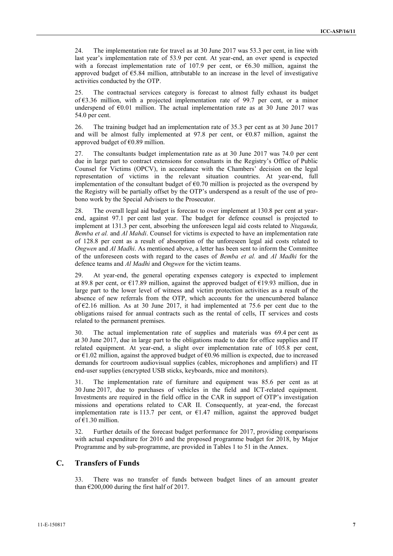24. The implementation rate for travel as at 30 June 2017 was 53.3 per cent, in line with last year's implementation rate of 53.9 per cent. At year-end, an over spend is expected with a forecast implementation rate of 107.9 per cent, or €6.30 million, against the approved budget of  $\epsilon$ 5.84 million, attributable to an increase in the level of investigative activities conducted by the OTP.

25. The contractual services category is forecast to almost fully exhaust its budget of  $63.36$  million, with a projected implementation rate of 99.7 per cent, or a minor underspend of  $\epsilon$ 0.01 million. The actual implementation rate as at 30 June 2017 was 54.0 per cent.

26. The training budget had an implementation rate of 35.3 per cent as at 30 June 2017 and will be almost fully implemented at 97.8 per cent, or  $\epsilon$ 0.87 million, against the approved budget of  $\epsilon$ 0.89 million.

27. The consultants budget implementation rate as at 30 June 2017 was 74.0 per cent due in large part to contract extensions for consultants in the Registry's Office of Public Counsel for Victims (OPCV), in accordance with the Chambers' decision on the legal representation of victims in the relevant situation countries. At year-end, full implementation of the consultant budget of  $60.70$  million is projected as the overspend by the Registry will be partially offset by the OTP's underspend as a result of the use of pro bono work by the Special Advisers to the Prosecutor.

28. The overall legal aid budget is forecast to over implement at 130.8 per cent at year end, against 97.1 per cent last year. The budget for defence counsel is projected to implement at 131.3 per cent, absorbing the unforeseen legal aid costs related to *Ntaganda, Bemba et al.* and *Al Mahdi*. Counsel for victims is expected to have an implementation rate of 128.8 per cent as a result of absorption of the unforeseen legal aid costs related to *Ongwen* and *Al Madhi*. As mentioned above, a letter has been sent to inform the Committee of the unforeseen costs with regard to the cases of *Bemba et al.* and *Al Madhi* for the defence teams and *Al Madhi* and *Ongwen* for the victim teams.

29. At year-end, the general operating expenses category is expected to implement at 89.8 per cent, or  $\epsilon$ 17.89 million, against the approved budget of  $\epsilon$ 19.93 million, due in large part to the lower level of witness and victim protection activities as a result of the absence of new referrals from the OTP, which accounts for the unencumbered balance of  $E$ 2.16 million. As at 30 June 2017, it had implemented at 75.6 per cent due to the obligations raised for annual contracts such as the rental of cells, IT services and costs related to the permanent premises.

30. The actual implementation rate of supplies and materials was 69.4 per cent as at 30 June 2017, due in large part to the obligations made to date for office supplies and IT related equipment. At year-end, a slight over implementation rate of 105.8 per cent, or  $\epsilon$ 1.02 million, against the approved budget of  $\epsilon$ 0.96 million is expected, due to increased demands for courtroom audiovisual supplies (cables, microphones and amplifiers) and IT end-user supplies (encrypted USB sticks, keyboards, mice and monitors).

31. The implementation rate of furniture and equipment was 85.6 per cent as at 30 June 2017, due to purchases of vehicles in the field and ICT-related equipment. Investments are required in the field office in the CAR in support of OTP's investigation missions and operations related to CAR II. Consequently, at year-end, the forecast implementation rate is 113.7 per cent, or  $\epsilon$ 1.47 million, against the approved budget of €1.30 million.

32. Further details of the forecast budget performance for 2017, providing comparisons with actual expenditure for 2016 and the proposed programme budget for 2018, by Major Programme and by sub-programme, are provided in Tables 1 to 51 in the Annex.

#### **C. Transfers of Funds**

33. There was no transfer of funds between budget lines of an amount greater than  $\epsilon$ 200,000 during the first half of 2017.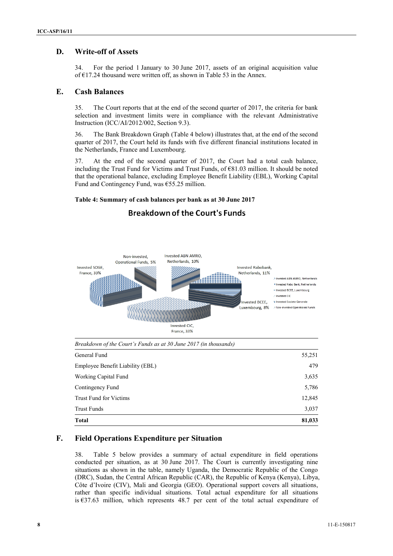#### **D. Write-off of Assets**

34. For the period 1 January to 30 June 2017, assets of an original acquisition value of €17.24 thousand were written off, as shown in Table 53 in the Annex.

#### **E. Cash Balances**

35. The Court reports that at the end of the second quarter of 2017, the criteria for bank selection and investment limits were in compliance with the relevant Administrative Instruction (ICC/AI/2012/002, Section 9.3).

36. The Bank Breakdown Graph (Table 4 below) illustrates that, at the end of the second quarter of 2017, the Court held its funds with five different financial institutions located in the Netherlands, France and Luxembourg.

37. At the end of the second quarter of 2017, the Court had a total cash balance, including the Trust Fund for Victims and Trust Funds, of  $\epsilon$ 81.03 million. It should be noted that the operational balance, excluding Employee Benefit Liability (EBL), Working Capital Fund and Contingency Fund, was  $655.25$  million.

#### **Table 4: Summary of cash balances per bank as at 30 June 2017**



# **Breakdown of the Court's Funds**

*Breakdown of the Court's Funds as at 30 June 2017 (in thousands)*

| <b>Trust Funds</b>               | 3,037  |
|----------------------------------|--------|
| Trust Fund for Victims           | 12,845 |
| Contingency Fund                 | 5,786  |
| Working Capital Fund             | 3,635  |
| Employee Benefit Liability (EBL) | 479    |
| General Fund                     | 55,251 |

#### **F. Field Operations Expenditure per Situation**

38. Table 5 below provides a summary of actual expenditure in field operations conducted per situation, as at 30 June 2017. The Court is currently investigating nine situations as shown in the table, namely Uganda, the Democratic Republic of the Congo (DRC), Sudan, the Central African Republic (CAR), the Republic of Kenya (Kenya), Libya, Côte d'Ivoire (CIV), Mali and Georgia (GEO). Operational support covers all situations, rather than specific individual situations. Total actual expenditure for all situations is  $\epsilon$ 37.63 million, which represents 48.7 per cent of the total actual expenditure of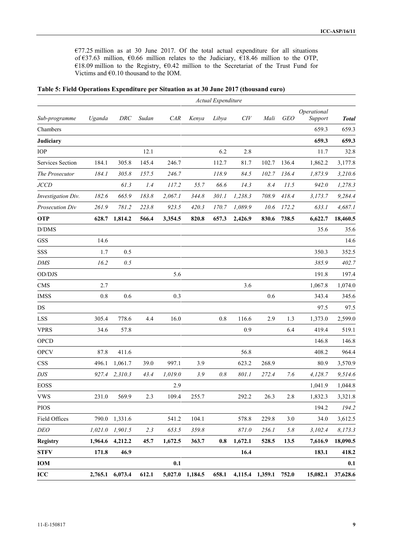€77.25 million as at 30 June 2017. Of the total actual expenditure for all situations of €37.63 million, €0.66 million relates to the Judiciary, €18.46 million to the OTP, €18.09 million to the Registry, €0.42 million to the Secretariat of the Trust Fund for Victims and  $\epsilon$ 0.10 thousand to the IOM.

|  |  | Table 5: Field Operations Expenditure per Situation as at 30 June 2017 (thousand euro) |  |
|--|--|----------------------------------------------------------------------------------------|--|
|--|--|----------------------------------------------------------------------------------------|--|

|                    |         |         |       |         |         | Actual Expenditure |         |                 |            |                        |              |
|--------------------|---------|---------|-------|---------|---------|--------------------|---------|-----------------|------------|------------------------|--------------|
| Sub-programme      | Uganda  | DRC     | Sudan | CAR     | Kenya   | Libya              | CIV     | Mali            | <b>GEO</b> | Operational<br>Support | <b>Total</b> |
| Chambers           |         |         |       |         |         |                    |         |                 |            | 659.3                  | 659.3        |
| Judiciary          |         |         |       |         |         |                    |         |                 |            | 659.3                  | 659.3        |
| IOP                |         |         | 12.1  |         |         | 6.2                | 2.8     |                 |            | 11.7                   | 32.8         |
| Services Section   | 184.1   | 305.8   | 145.4 | 246.7   |         | 112.7              | 81.7    | 102.7           | 136.4      | 1,862.2                | 3,177.8      |
| The Prosecutor     | 184.1   | 305.8   | 157.5 | 246.7   |         | 118.9              | 84.5    | 102.7           | 136.4      | 1,873.9                | 3,210.6      |
| <b>JCCD</b>        |         | 61.3    | 1.4   | 117.2   | 55.7    | 66.6               | 14.3    | 8.4             | 11.5       | 942.0                  | 1,278.3      |
| Investigation Div. | 182.6   | 665.9   | 183.8 | 2,067.1 | 344.8   | 301.1              | 1,238.3 | 708.9           | 418.4      | 3,173.7                | 9,284.4      |
| Prosecution Div    | 261.9   | 781.2   | 223.8 | 923.5   | 420.3   | 170.7              | 1,089.9 | 10.6            | 172.2      | 633.1                  | 4,687.1      |
| <b>OTP</b>         | 628.7   | 1,814.2 | 566.4 | 3,354.5 | 820.8   | 657.3              | 2,426.9 | 830.6           | 738.5      | 6,622.7                | 18,460.5     |
| D/DMS              |         |         |       |         |         |                    |         |                 |            | 35.6                   | 35.6         |
| <b>GSS</b>         | 14.6    |         |       |         |         |                    |         |                 |            |                        | 14.6         |
| SSS                | 1.7     | 0.5     |       |         |         |                    |         |                 |            | 350.3                  | 352.5        |
| <b>DMS</b>         | 16.2    | 0.5     |       |         |         |                    |         |                 |            | 385.9                  | 402.7        |
| $\rm OD/DIS$       |         |         |       | 5.6     |         |                    |         |                 |            | 191.8                  | 197.4        |
| <b>CMS</b>         | 2.7     |         |       |         |         |                    | 3.6     |                 |            | 1,067.8                | 1,074.0      |
| <b>IMSS</b>        | 0.8     | 0.6     |       | 0.3     |         |                    |         | 0.6             |            | 343.4                  | 345.6        |
| DS                 |         |         |       |         |         |                    |         |                 |            | 97.5                   | 97.5         |
| <b>LSS</b>         | 305.4   | 778.6   | 4.4   | 16.0    |         | 0.8                | 116.6   | 2.9             | 1.3        | 1,373.0                | 2,599.0      |
| <b>VPRS</b>        | 34.6    | 57.8    |       |         |         |                    | 0.9     |                 | 6.4        | 419.4                  | 519.1        |
| <b>OPCD</b>        |         |         |       |         |         |                    |         |                 |            | 146.8                  | 146.8        |
| <b>OPCV</b>        | 87.8    | 411.6   |       |         |         |                    | 56.8    |                 |            | 408.2                  | 964.4        |
| <b>CSS</b>         | 496.1   | 1,061.7 | 39.0  | 997.1   | 3.9     |                    | 623.2   | 268.9           |            | 80.9                   | 3,570.9      |
| DJS                | 927.4   | 2,310.3 | 43.4  | 1,019.0 | 3.9     | 0.8                | 801.1   | 272.4           | 7.6        | 4,128.7                | 9,514.6      |
| <b>EOSS</b>        |         |         |       | 2.9     |         |                    |         |                 |            | 1,041.9                | 1,044.8      |
| <b>VWS</b>         | 231.0   | 569.9   | 2.3   | 109.4   | 255.7   |                    | 292.2   | 26.3            | 2.8        | 1,832.3                | 3,321.8      |
| <b>PIOS</b>        |         |         |       |         |         |                    |         |                 |            | 194.2                  | 194.2        |
| Field Offices      | 790.0   | 1,331.6 |       | 541.2   | 104.1   |                    | 578.8   | 229.8           | 3.0        | 34.0                   | 3,612.5      |
| <b>DEO</b>         | 1,021.0 | 1,901.5 | 2.3   | 653.5   | 359.8   |                    | 871.0   | 256.1           | $5.8\,$    | 3,102.4                | 8,173.3      |
| <b>Registry</b>    | 1,964.6 | 4,212.2 | 45.7  | 1,672.5 | 363.7   | 0.8                | 1,672.1 | 528.5           | 13.5       | 7,616.9                | 18,090.5     |
| <b>STFV</b>        | 171.8   | 46.9    |       |         |         |                    | 16.4    |                 |            | 183.1                  | 418.2        |
| IOM                |         |         |       | 0.1     |         |                    |         |                 |            |                        | 0.1          |
| $\bf{ICC}$         | 2,765.1 | 6,073.4 | 612.1 | 5,027.0 | 1,184.5 | 658.1              |         | 4,115.4 1,359.1 | 752.0      | 15,082.1               | 37,628.6     |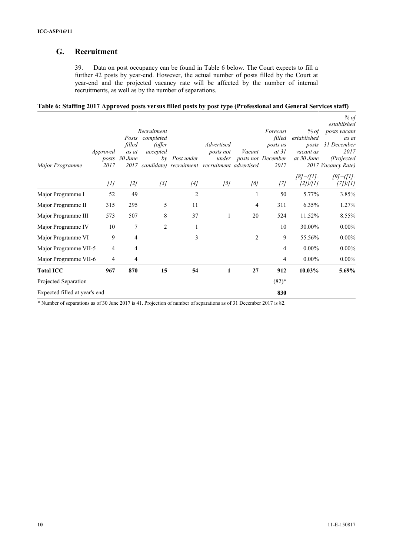### **G. Recruitment**

39. Data on post occupancy can be found in Table 6 below. The Court expects to fill a further 42 posts by year-end. However, the actual number of posts filled by the Court at year-end and the projected vacancy rate will be affected by the number of internal recruitments, as well as by the number of separations.

| Table 6: Staffing 2017 Approved posts versus filled posts by post type (Professional and General Services staff) |  |  |  |  |  |
|------------------------------------------------------------------------------------------------------------------|--|--|--|--|--|
|------------------------------------------------------------------------------------------------------------------|--|--|--|--|--|

|                                         |                         |                                 |                            |                                  |                |                                                 |                                                         | % of                                                                                            |
|-----------------------------------------|-------------------------|---------------------------------|----------------------------|----------------------------------|----------------|-------------------------------------------------|---------------------------------------------------------|-------------------------------------------------------------------------------------------------|
| Approved<br>2017                        | filled<br>as at<br>2017 | completed<br>(offer<br>accepted | Post under                 | Advertised<br>posts not<br>under | Vacant         | Forecast<br>filled<br>posts as<br>at 31<br>2017 | % of<br>established<br>posts<br>vacant as<br>at 30 June | established<br>posts vacant<br>as at<br>31 December<br>2017<br>(Projected<br>2017 Vacancy Rate) |
| [1]                                     | $[2]$                   | [3]                             | $[4]$                      | [5]                              | [6]            | $[7]$                                           | $[8] = ([1] -$<br>[2])/[1]                              | $[9] = ([1] -$<br>[7])/[1]                                                                      |
| 52                                      | 49                      |                                 | 2                          |                                  |                | 50                                              | 5.77%                                                   | 3.85%                                                                                           |
| 315                                     | 295                     | 5                               | 11                         |                                  | 4              | 311                                             | 6.35%                                                   | 1.27%                                                                                           |
| Major Programme III<br>573              | 507                     | 8                               | 37                         |                                  | 20             | 524                                             | 11.52%                                                  | 8.55%                                                                                           |
| 10<br>Major Programme IV                | 7                       | $\overline{2}$                  |                            |                                  |                | 10                                              | 30.00%                                                  | $0.00\%$                                                                                        |
| 9<br>Major Programme VI                 | $\overline{4}$          |                                 | 3                          |                                  | $\overline{2}$ | 9                                               | 55.56%                                                  | $0.00\%$                                                                                        |
| Major Programme VII-5<br>$\overline{4}$ | 4                       |                                 |                            |                                  |                | 4                                               | $0.00\%$                                                | $0.00\%$                                                                                        |
| Major Programme VII-6<br>4              | $\overline{4}$          |                                 |                            |                                  |                | 4                                               | $0.00\%$                                                | $0.00\%$                                                                                        |
| 967                                     | 870                     | 15                              | 54                         | 1                                | 27             | 912                                             | 10.03%                                                  | 5.69%                                                                                           |
|                                         |                         |                                 |                            |                                  |                | $(82)*$                                         |                                                         |                                                                                                 |
| Expected filled at year's end           |                         |                                 |                            |                                  |                | 830                                             |                                                         |                                                                                                 |
|                                         | posts                   | 30 June                         | Recruitment<br>Posts<br>by |                                  |                | candidate) recruitment recruitment advertised   | posts not December                                      |                                                                                                 |

\* Number of separations as of 30 June 2017 is 41. Projection of number of separations as of 31 December 2017 is 82.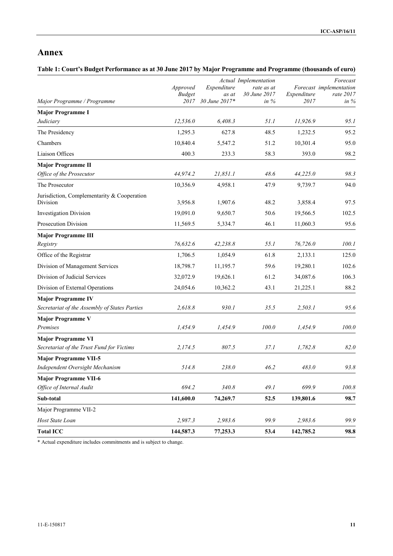# **Annex**

#### **Table 1: Court's Budget Performance as at 30 June 2017 by Major Programme and Programme (thousands of euro)**

|                                                                        |                           | Actual Implementation |                            |             | Forecast                             |  |
|------------------------------------------------------------------------|---------------------------|-----------------------|----------------------------|-------------|--------------------------------------|--|
|                                                                        | Approved<br><b>Budget</b> | Expenditure<br>as at  | rate as at<br>30 June 2017 | Expenditure | Forecast implementation<br>rate 2017 |  |
| Major Programme / Programme                                            | 2017                      | 30 June 2017*         | in $%$                     | 2017        | in $%$                               |  |
| <b>Major Programme I</b>                                               |                           |                       |                            |             |                                      |  |
| Judiciary                                                              | 12,536.0                  | 6,408.3               | 51.1                       | 11,926.9    | 95.1                                 |  |
| The Presidency                                                         | 1,295.3                   | 627.8                 | 48.5                       | 1,232.5     | 95.2                                 |  |
| Chambers                                                               | 10,840.4                  | 5,547.2               | 51.2                       | 10,301.4    | 95.0                                 |  |
| Liaison Offices                                                        | 400.3                     | 233.3                 | 58.3                       | 393.0       | 98.2                                 |  |
| <b>Major Programme II</b>                                              |                           |                       |                            |             |                                      |  |
| Office of the Prosecutor                                               | 44,974.2                  | 21,851.1              | 48.6                       | 44,225.0    | 98.3                                 |  |
| The Prosecutor                                                         | 10,356.9                  | 4,958.1               | 47.9                       | 9,739.7     | 94.0                                 |  |
| Jurisdiction, Complementarity & Cooperation<br>Division                | 3,956.8                   | 1,907.6               | 48.2                       | 3,858.4     | 97.5                                 |  |
| <b>Investigation Division</b>                                          | 19,091.0                  | 9,650.7               | 50.6                       | 19,566.5    | 102.5                                |  |
| Prosecution Division                                                   | 11,569.5                  | 5,334.7               | 46.1                       | 11,060.3    | 95.6                                 |  |
| <b>Major Programme III</b>                                             |                           |                       |                            |             |                                      |  |
| Registry                                                               | 76,632.6                  | 42,238.8              | 55.1                       | 76,726.0    | 100.1                                |  |
| Office of the Registrar                                                | 1,706.5                   | 1,054.9               | 61.8                       | 2,133.1     | 125.0                                |  |
| Division of Management Services                                        | 18,798.7                  | 11,195.7              | 59.6                       | 19,280.1    | 102.6                                |  |
| Division of Judicial Services                                          | 32,072.9                  | 19,626.1              | 61.2                       | 34,087.6    | 106.3                                |  |
| Division of External Operations                                        | 24,054.6                  | 10,362.2              | 43.1                       | 21,225.1    | 88.2                                 |  |
| <b>Major Programme IV</b>                                              |                           |                       |                            |             |                                      |  |
| Secretariat of the Assembly of States Parties                          | 2,618.8                   | 930.1                 | 35.5                       | 2,503.1     | 95.6                                 |  |
| <b>Major Programme V</b>                                               |                           |                       |                            |             |                                      |  |
| Premises                                                               | 1,454.9                   | 1,454.9               | 100.0                      | 1,454.9     | 100.0                                |  |
| <b>Major Programme VI</b><br>Secretariat of the Trust Fund for Victims | 2,174.5                   | 807.5                 | 37.1                       | 1,782.8     | 82.0                                 |  |
| <b>Major Programme VII-5</b>                                           |                           |                       |                            |             |                                      |  |
| Independent Oversight Mechanism                                        | 514.8                     | 238.0                 | 46.2                       | 483.0       | 93.8                                 |  |
| <b>Major Programme VII-6</b>                                           |                           |                       |                            |             |                                      |  |
| Office of Internal Audit                                               | 694.2                     | 340.8                 | 49.1                       | 699.9       | 100.8                                |  |
| Sub-total                                                              | 141,600.0                 | 74,269.7              | 52.5                       | 139,801.6   | 98.7                                 |  |
| Major Programme VII-2                                                  |                           |                       |                            |             |                                      |  |
| Host State Loan                                                        | 2,987.3                   | 2,983.6               | 99.9                       | 2,983.6     | 99.9                                 |  |
| <b>Total ICC</b>                                                       | 144,587.3                 | 77,253.3              | 53.4                       | 142,785.2   | 98.8                                 |  |

\* Actual expenditure includes commitments and is subject to change.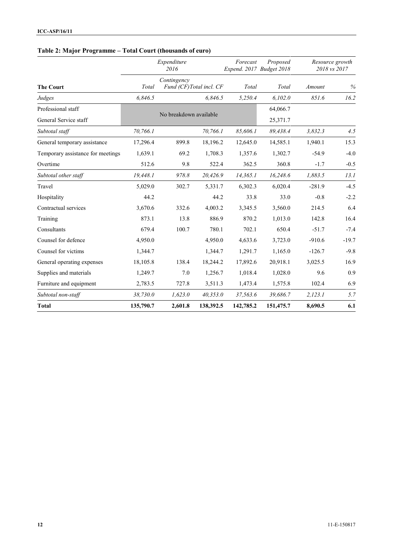## **Table 2: Major Programme – Total Court (thousands of euro)**

|                                   |                                                 | Expenditure<br>2016    |           | Forecast<br>Expend. 2017 Budget 2018 | Proposed  | Resource growth<br>2018 vs 2017 |         |
|-----------------------------------|-------------------------------------------------|------------------------|-----------|--------------------------------------|-----------|---------------------------------|---------|
| <b>The Court</b>                  | Contingency<br>Fund (CF)Total incl. CF<br>Total |                        |           | Total                                | Total     | Amount                          | $\%$    |
| Judges                            | 6,846.5                                         |                        | 6,846.5   | 5,250.4                              | 6,102.0   | 851.6                           | 16.2    |
| Professional staff                |                                                 |                        |           |                                      | 64,066.7  |                                 |         |
| General Service staff             |                                                 | No breakdown available |           |                                      | 25,371.7  |                                 |         |
| Subtotal staff                    | 70,766.1                                        |                        | 70,766.1  | 85,606.1                             | 89,438.4  | 3,832.3                         | 4.5     |
| General temporary assistance      | 17,296.4                                        | 899.8                  | 18,196.2  | 12,645.0                             | 14,585.1  | 1,940.1                         | 15.3    |
| Temporary assistance for meetings | 1,639.1                                         | 69.2                   | 1,708.3   | 1,357.6                              | 1,302.7   | $-54.9$                         | $-4.0$  |
| Overtime                          | 512.6                                           | 9.8                    | 522.4     | 362.5                                | 360.8     | $-1.7$                          | $-0.5$  |
| Subtotal other staff              | 19,448.1                                        | 978.8                  | 20,426.9  | 14,365.1                             | 16,248.6  | 1,883.5                         | 13.1    |
| Travel                            | 5,029.0                                         | 302.7                  | 5,331.7   | 6,302.3                              | 6,020.4   | $-281.9$                        | $-4.5$  |
| Hospitality                       | 44.2                                            |                        | 44.2      | 33.8                                 | 33.0      | $-0.8$                          | $-2.2$  |
| Contractual services              | 3,670.6                                         | 332.6                  | 4,003.2   | 3,345.5                              | 3,560.0   | 214.5                           | 6.4     |
| Training                          | 873.1                                           | 13.8                   | 886.9     | 870.2                                | 1,013.0   | 142.8                           | 16.4    |
| Consultants                       | 679.4                                           | 100.7                  | 780.1     | 702.1                                | 650.4     | $-51.7$                         | $-7.4$  |
| Counsel for defence               | 4,950.0                                         |                        | 4,950.0   | 4,633.6                              | 3,723.0   | $-910.6$                        | $-19.7$ |
| Counsel for victims               | 1,344.7                                         |                        | 1,344.7   | 1,291.7                              | 1,165.0   | $-126.7$                        | $-9.8$  |
| General operating expenses        | 18,105.8                                        | 138.4                  | 18,244.2  | 17,892.6                             | 20,918.1  | 3,025.5                         | 16.9    |
| Supplies and materials            | 1,249.7                                         | 7.0                    | 1,256.7   | 1,018.4                              | 1,028.0   | 9.6                             | 0.9     |
| Furniture and equipment           | 2,783.5                                         | 727.8                  | 3,511.3   | 1,473.4                              | 1,575.8   | 102.4                           | 6.9     |
| Subtotal non-staff                | 38,730.0                                        | 1,623.0                | 40,353.0  | 37,563.6                             | 39,686.7  | 2, 123.1                        | 5.7     |
| <b>Total</b>                      | 135,790.7                                       | 2,601.8                | 138,392.5 | 142,785.2                            | 151,475.7 | 8,690.5                         | 6.1     |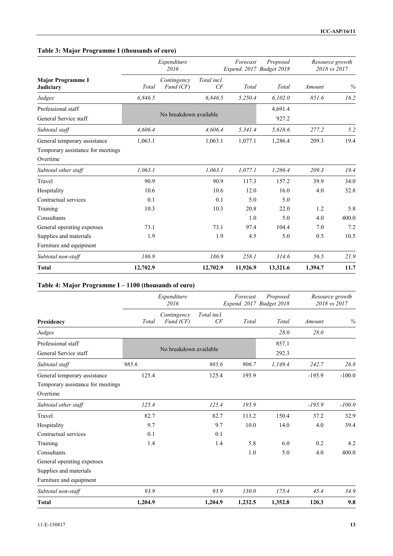## **Table 3: Major Programme I (thousands of euro)**

|                                                                               | Expenditure<br>2016 |                          |                   | Forecast<br>Expend. 2017 Budget 2018 | Proposed         | Resource growth<br>2018 vs 2017 |       |
|-------------------------------------------------------------------------------|---------------------|--------------------------|-------------------|--------------------------------------|------------------|---------------------------------|-------|
| <b>Major Programme I</b><br><b>Judiciary</b>                                  | Total               | Contingency<br>Fund (CF) | Total incl.<br>CF | Total                                | Total            | Amount                          | $\%$  |
| Judges                                                                        | 6,846.5             |                          | 6,846.5           | 5,250.4                              | 6,102.0          | 851.6                           | 16.2  |
| Professional staff<br>General Service staff                                   |                     | No breakdown available   |                   |                                      | 4,691.4<br>927.2 |                                 |       |
| Subtotal staff                                                                | 4,606.4             |                          | 4,606.4           | 5,341.4                              | 5,618.6          | 277.2                           | 5.2   |
| General temporary assistance<br>Temporary assistance for meetings<br>Overtime | 1,063.1             |                          | 1,063.1           | 1,077.1                              | 1,286.4          | 209.3                           | 19.4  |
| Subtotal other staff                                                          | 1,063.1             |                          | 1,063.1           | 1,077.1                              | 1,286.4          | 209.3                           | 19.4  |
| Travel                                                                        | 90.9                |                          | 90.9              | 117.3                                | 157.2            | 39.9                            | 34.0  |
| Hospitality                                                                   | 10.6                |                          | 10.6              | 12.0                                 | 16.0             | 4.0                             | 32.8  |
| Contractual services                                                          | 0.1                 |                          | 0.1               | 5.0                                  | 5.0              |                                 |       |
| Training                                                                      | 10.3                |                          | 10.3              | 20.8                                 | 22.0             | 1.2                             | 5.8   |
| Consultants                                                                   |                     |                          |                   | 1.0                                  | 5.0              | 4.0                             | 400.0 |
| General operating expenses                                                    | 73.1                |                          | 73.1              | 97.4                                 | 104.4            | 7.0                             | 7.2   |
| Supplies and materials                                                        | 1.9                 |                          | 1.9               | 4.5                                  | 5.0              | 0.5                             | 10.5  |
| Furniture and equipment                                                       |                     |                          |                   |                                      |                  |                                 |       |
| Subtotal non-staff                                                            | 186.9               |                          | 186.9             | 258.1                                | 314.6            | 56.5                            | 21.9  |
| <b>Total</b>                                                                  | 12,702.9            |                          | 12,702.9          | 11,926.9                             | 13,321.6         | 1,394.7                         | 11.7  |

## **Table 4: Major Programme I – 1100 (thousands of euro)**

|                                   |         | Expenditure<br>2016      |                   | Forecast<br>Expend. 2017 Budget 2018 | Proposed | Resource growth<br>2018 vs 2017 |          |
|-----------------------------------|---------|--------------------------|-------------------|--------------------------------------|----------|---------------------------------|----------|
| Presidency                        | Total   | Contingency<br>Fund (CF) | Total incl.<br>CF | Total                                | Total    | Amount                          | %        |
| Judges                            |         |                          |                   |                                      | 28.0     | 28.0                            |          |
| Professional staff                |         |                          |                   |                                      | 857.1    |                                 |          |
| General Service staff             |         | No breakdown available   |                   |                                      | 292.3    |                                 |          |
| Subtotal staff                    | 985.6   |                          | 985.6             | 906.7                                | 1,149.4  | 242.7                           | 26.8     |
| General temporary assistance      | 125.4   |                          | 125.4             | 195.9                                |          | $-195.9$                        | $-100.0$ |
| Temporary assistance for meetings |         |                          |                   |                                      |          |                                 |          |
| Overtime                          |         |                          |                   |                                      |          |                                 |          |
| Subtotal other staff              | 125.4   |                          | 125.4             | 195.9                                |          | $-195.9$                        | $-100.0$ |
| Travel                            | 82.7    |                          | 82.7              | 113.2                                | 150.4    | 37.2                            | 32.9     |
| Hospitality                       | 9.7     |                          | 9.7               | 10.0                                 | 14.0     | 4.0                             | 39.4     |
| Contractual services              | 0.1     |                          | 0.1               |                                      |          |                                 |          |
| Training                          | 1.4     |                          | 1.4               | 5.8                                  | 6.0      | 0.2                             | 4.2      |
| Consultants                       |         |                          |                   | 1.0                                  | 5.0      | 4.0                             | 400.0    |
| General operating expenses        |         |                          |                   |                                      |          |                                 |          |
| Supplies and materials            |         |                          |                   |                                      |          |                                 |          |
| Furniture and equipment           |         |                          |                   |                                      |          |                                 |          |
| Subtotal non-staff                | 93.9    |                          | 93.9              | 130.0                                | 175.4    | 45.4                            | 34.9     |
| <b>Total</b>                      | 1,204.9 |                          | 1,204.9           | 1,232.5                              | 1,352.8  | 120.3                           | 9.8      |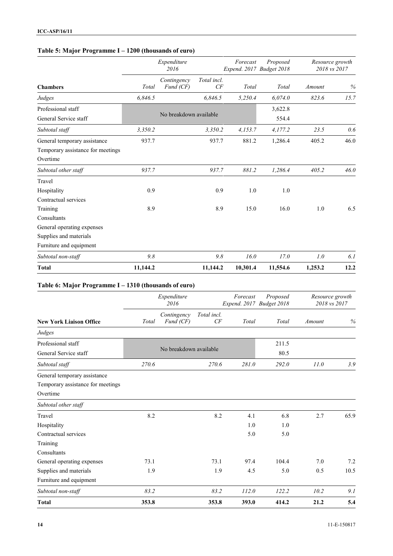## **Table 5: Major Programme I – 1200 (thousands of euro)**

|                                   | Expenditure<br>2016 |                          |                   | Forecast<br>Expend. 2017 Budget 2018 | Proposed | Resource growth<br>2018 vs 2017 |      |
|-----------------------------------|---------------------|--------------------------|-------------------|--------------------------------------|----------|---------------------------------|------|
| <b>Chambers</b>                   | Total               | Contingency<br>Fund (CF) | Total incl.<br>CF | Total                                | Total    | Amount                          | $\%$ |
| Judges                            | 6,846.5             |                          | 6,846.5           | 5,250.4                              | 6,074.0  | 823.6                           | 15.7 |
| Professional staff                |                     |                          |                   |                                      | 3,622.8  |                                 |      |
| General Service staff             |                     | No breakdown available   |                   |                                      | 554.4    |                                 |      |
| Subtotal staff                    | 3,350.2             |                          | 3,350.2           | 4,153.7                              | 4,177.2  | 23.5                            | 0.6  |
| General temporary assistance      | 937.7               |                          | 937.7             | 881.2                                | 1,286.4  | 405.2                           | 46.0 |
| Temporary assistance for meetings |                     |                          |                   |                                      |          |                                 |      |
| Overtime                          |                     |                          |                   |                                      |          |                                 |      |
| Subtotal other staff              | 937.7               |                          | 937.7             | 881.2                                | 1,286.4  | 405.2                           | 46.0 |
| Travel                            |                     |                          |                   |                                      |          |                                 |      |
| Hospitality                       | 0.9                 |                          | 0.9               | 1.0                                  | 1.0      |                                 |      |
| Contractual services              |                     |                          |                   |                                      |          |                                 |      |
| Training                          | 8.9                 |                          | 8.9               | 15.0                                 | 16.0     | 1.0                             | 6.5  |
| Consultants                       |                     |                          |                   |                                      |          |                                 |      |
| General operating expenses        |                     |                          |                   |                                      |          |                                 |      |
| Supplies and materials            |                     |                          |                   |                                      |          |                                 |      |
| Furniture and equipment           |                     |                          |                   |                                      |          |                                 |      |
| Subtotal non-staff                | 9.8                 |                          | 9.8               | 16.0                                 | 17.0     | 1.0                             | 6.1  |
| <b>Total</b>                      | 11,144.2            |                          | 11,144.2          | 10,301.4                             | 11,554.6 | 1,253.2                         | 12.2 |

## **Table 6: Major Programme I – 1310 (thousands of euro)**

|                                   |       | Expenditure<br>2016      |                   | Forecast<br>Expend. 2017 Budget 2018 | Proposed | Resource growth<br>2018 vs 2017 |      |
|-----------------------------------|-------|--------------------------|-------------------|--------------------------------------|----------|---------------------------------|------|
| <b>New York Liaison Office</b>    | Total | Contingency<br>Fund (CF) | Total incl.<br>CF | Total                                | Total    | Amount                          | %    |
| Judges                            |       |                          |                   |                                      |          |                                 |      |
| Professional staff                |       |                          |                   |                                      | 211.5    |                                 |      |
| General Service staff             |       | No breakdown available   |                   |                                      | 80.5     |                                 |      |
| Subtotal staff                    | 270.6 |                          | 270.6             | 281.0                                | 292.0    | 11.0                            | 3.9  |
| General temporary assistance      |       |                          |                   |                                      |          |                                 |      |
| Temporary assistance for meetings |       |                          |                   |                                      |          |                                 |      |
| Overtime                          |       |                          |                   |                                      |          |                                 |      |
| Subtotal other staff              |       |                          |                   |                                      |          |                                 |      |
| Travel                            | 8.2   |                          | 8.2               | 4.1                                  | 6.8      | 2.7                             | 65.9 |
| Hospitality                       |       |                          |                   | 1.0                                  | 1.0      |                                 |      |
| Contractual services              |       |                          |                   | 5.0                                  | 5.0      |                                 |      |
| Training                          |       |                          |                   |                                      |          |                                 |      |
| Consultants                       |       |                          |                   |                                      |          |                                 |      |
| General operating expenses        | 73.1  |                          | 73.1              | 97.4                                 | 104.4    | 7.0                             | 7.2  |
| Supplies and materials            | 1.9   |                          | 1.9               | 4.5                                  | 5.0      | 0.5                             | 10.5 |
| Furniture and equipment           |       |                          |                   |                                      |          |                                 |      |
| Subtotal non-staff                | 83.2  |                          | 83.2              | 112.0                                | 122.2    | 10.2                            | 9.1  |
| <b>Total</b>                      | 353.8 |                          | 353.8             | 393.0                                | 414.2    | 21.2                            | 5.4  |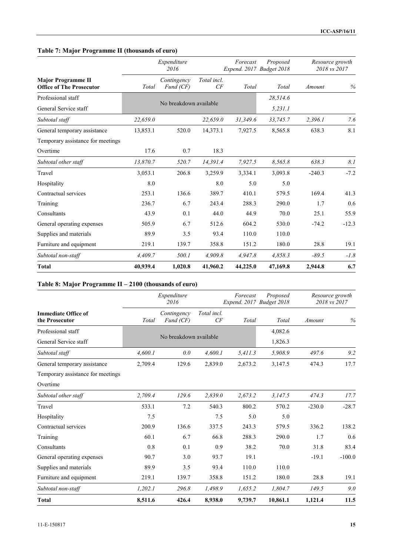## **Table 7: Major Programme II (thousands of euro)**

|                                                              | Expenditure<br>2016 |                          |                   | Forecast<br>Expend. 2017 Budget 2018 | Proposed | Resource growth<br>2018 vs 2017 |         |
|--------------------------------------------------------------|---------------------|--------------------------|-------------------|--------------------------------------|----------|---------------------------------|---------|
| <b>Major Programme II</b><br><b>Office of The Prosecutor</b> | Total               | Contingency<br>Fund (CF) | Total incl.<br>CF | Total                                | Total    | Amount                          | $\%$    |
| Professional staff                                           |                     |                          |                   |                                      | 28,514.6 |                                 |         |
| General Service staff                                        |                     | No breakdown available   |                   |                                      | 5,231.1  |                                 |         |
| Subtotal staff                                               | 22,659.0            |                          | 22,659.0          | 31,349.6                             | 33,745.7 | 2,396.1                         | 7.6     |
| General temporary assistance                                 | 13,853.1            | 520.0                    | 14,373.1          | 7,927.5                              | 8,565.8  | 638.3                           | 8.1     |
| Temporary assistance for meetings                            |                     |                          |                   |                                      |          |                                 |         |
| Overtime                                                     | 17.6                | 0.7                      | 18.3              |                                      |          |                                 |         |
| Subtotal other staff                                         | 13,870.7            | 520.7                    | 14,391.4          | 7,927.5                              | 8,565.8  | 638.3                           | 8.1     |
| Travel                                                       | 3,053.1             | 206.8                    | 3,259.9           | 3,334.1                              | 3,093.8  | $-240.3$                        | $-7.2$  |
| Hospitality                                                  | 8.0                 |                          | 8.0               | 5.0                                  | 5.0      |                                 |         |
| Contractual services                                         | 253.1               | 136.6                    | 389.7             | 410.1                                | 579.5    | 169.4                           | 41.3    |
| Training                                                     | 236.7               | 6.7                      | 243.4             | 288.3                                | 290.0    | 1.7                             | 0.6     |
| Consultants                                                  | 43.9                | 0.1                      | 44.0              | 44.9                                 | 70.0     | 25.1                            | 55.9    |
| General operating expenses                                   | 505.9               | 6.7                      | 512.6             | 604.2                                | 530.0    | $-74.2$                         | $-12.3$ |
| Supplies and materials                                       | 89.9                | 3.5                      | 93.4              | 110.0                                | 110.0    |                                 |         |
| Furniture and equipment                                      | 219.1               | 139.7                    | 358.8             | 151.2                                | 180.0    | 28.8                            | 19.1    |
| Subtotal non-staff                                           | 4,409.7             | 500.1                    | 4,909.8           | 4,947.8                              | 4,858.3  | $-89.5$                         | $-1.8$  |
| <b>Total</b>                                                 | 40,939.4            | 1,020.8                  | 41,960.2          | 44,225.0                             | 47,169.8 | 2,944.8                         | 6.7     |

#### **Table 8: Major Programme II – 2100 (thousands of euro)**

|                                              | Expenditure<br>2016 |                          |                   | Forecast<br>Expend. 2017 Budget 2018 | Proposed | Resource growth<br>2018 vs 2017 |          |
|----------------------------------------------|---------------------|--------------------------|-------------------|--------------------------------------|----------|---------------------------------|----------|
| <b>Immediate Office of</b><br>the Prosecutor | Total               | Contingency<br>Fund (CF) | Total incl.<br>CF | Total                                | Total    | Amount                          | %        |
| Professional staff                           |                     |                          |                   |                                      | 4,082.6  |                                 |          |
| General Service staff                        |                     | No breakdown available   |                   |                                      | 1,826.3  |                                 |          |
| Subtotal staff                               | 4,600.1             | 0.0                      | 4,600.1           | 5,411.3                              | 5,908.9  | 497.6                           | 9.2      |
| General temporary assistance                 | 2,709.4             | 129.6                    | 2,839.0           | 2,673.2                              | 3,147.5  | 474.3                           | 17.7     |
| Temporary assistance for meetings            |                     |                          |                   |                                      |          |                                 |          |
| Overtime                                     |                     |                          |                   |                                      |          |                                 |          |
| Subtotal other staff                         | 2,709.4             | 129.6                    | 2,839.0           | 2,673.2                              | 3,147.5  | 474.3                           | 17.7     |
| Travel                                       | 533.1               | 7.2                      | 540.3             | 800.2                                | 570.2    | $-230.0$                        | $-28.7$  |
| Hospitality                                  | 7.5                 |                          | 7.5               | 5.0                                  | 5.0      |                                 |          |
| Contractual services                         | 200.9               | 136.6                    | 337.5             | 243.3                                | 579.5    | 336.2                           | 138.2    |
| Training                                     | 60.1                | 6.7                      | 66.8              | 288.3                                | 290.0    | 1.7                             | 0.6      |
| Consultants                                  | 0.8                 | 0.1                      | 0.9               | 38.2                                 | 70.0     | 31.8                            | 83.4     |
| General operating expenses                   | 90.7                | 3.0                      | 93.7              | 19.1                                 |          | $-19.1$                         | $-100.0$ |
| Supplies and materials                       | 89.9                | 3.5                      | 93.4              | 110.0                                | 110.0    |                                 |          |
| Furniture and equipment                      | 219.1               | 139.7                    | 358.8             | 151.2                                | 180.0    | 28.8                            | 19.1     |
| Subtotal non-staff                           | 1,202.1             | 296.8                    | 1,498.9           | 1,655.2                              | 1,804.7  | 149.5                           | 9.0      |
| Total                                        | 8,511.6             | 426.4                    | 8,938.0           | 9,739.7                              | 10,861.1 | 1,121.4                         | 11.5     |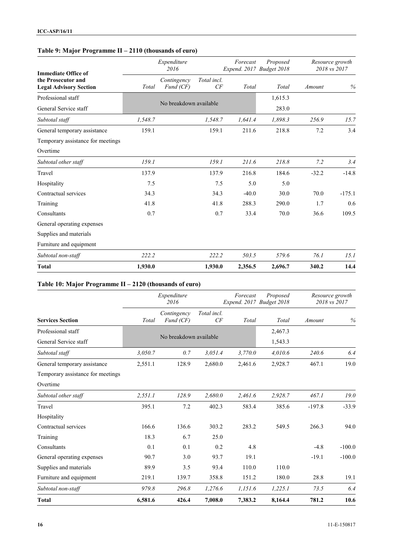## **Table 9: Major Programme II – 2110 (thousands of euro)**

| <b>Immediate Office of</b>                          |         | Expenditure<br>2016      |                   | Forecast<br>Expend. 2017 Budget 2018 | Proposed |         | Resource growth<br>2018 vs 2017 |
|-----------------------------------------------------|---------|--------------------------|-------------------|--------------------------------------|----------|---------|---------------------------------|
| the Prosecutor and<br><b>Legal Advisory Section</b> | Total   | Contingency<br>Fund (CF) | Total incl.<br>CF | Total                                | Total    | Amount  | $\%$                            |
| Professional staff                                  |         |                          |                   |                                      | 1,615.3  |         |                                 |
| General Service staff                               |         | No breakdown available   |                   |                                      | 283.0    |         |                                 |
| Subtotal staff                                      | 1,548.7 |                          | 1,548.7           | 1,641.4                              | 1,898.3  | 256.9   | 15.7                            |
| General temporary assistance                        | 159.1   |                          | 159.1             | 211.6                                | 218.8    | 7.2     | 3.4                             |
| Temporary assistance for meetings                   |         |                          |                   |                                      |          |         |                                 |
| Overtime                                            |         |                          |                   |                                      |          |         |                                 |
| Subtotal other staff                                | 159.1   |                          | 159.1             | 211.6                                | 218.8    | 7.2     | 3.4                             |
| Travel                                              | 137.9   |                          | 137.9             | 216.8                                | 184.6    | $-32.2$ | $-14.8$                         |
| Hospitality                                         | 7.5     |                          | 7.5               | 5.0                                  | 5.0      |         |                                 |
| Contractual services                                | 34.3    |                          | 34.3              | $-40.0$                              | 30.0     | 70.0    | $-175.1$                        |
| Training                                            | 41.8    |                          | 41.8              | 288.3                                | 290.0    | 1.7     | 0.6                             |
| Consultants                                         | 0.7     |                          | 0.7               | 33.4                                 | 70.0     | 36.6    | 109.5                           |
| General operating expenses                          |         |                          |                   |                                      |          |         |                                 |
| Supplies and materials                              |         |                          |                   |                                      |          |         |                                 |
| Furniture and equipment                             |         |                          |                   |                                      |          |         |                                 |
| Subtotal non-staff                                  | 222.2   |                          | 222.2             | 503.5                                | 579.6    | 76.1    | 15.1                            |
| <b>Total</b>                                        | 1,930.0 |                          | 1,930.0           | 2,356.5                              | 2,696.7  | 340.2   | 14.4                            |

#### **Table 10: Major Programme II – 2120 (thousands of euro)**

|                                   |         | Expenditure<br>2016      |                   |         | Proposed<br>Expend. 2017 Budget 2018 |          | Resource growth<br>2018 vs 2017 |
|-----------------------------------|---------|--------------------------|-------------------|---------|--------------------------------------|----------|---------------------------------|
| <b>Services Section</b>           | Total   | Contingency<br>Fund (CF) | Total incl.<br>CF | Total   | Total                                | Amount   | %                               |
| Professional staff                |         |                          |                   |         | 2,467.3                              |          |                                 |
| General Service staff             |         | No breakdown available   |                   |         | 1,543.3                              |          |                                 |
| Subtotal staff                    | 3,050.7 | 0.7                      | 3,051.4           | 3,770.0 | 4,010.6                              | 240.6    | 6.4                             |
| General temporary assistance      | 2,551.1 | 128.9                    | 2,680.0           | 2,461.6 | 2,928.7                              | 467.1    | 19.0                            |
| Temporary assistance for meetings |         |                          |                   |         |                                      |          |                                 |
| Overtime                          |         |                          |                   |         |                                      |          |                                 |
| Subtotal other staff              | 2,551.1 | 128.9                    | 2,680.0           | 2,461.6 | 2,928.7                              | 467.1    | 19.0                            |
| Travel                            | 395.1   | 7.2                      | 402.3             | 583.4   | 385.6                                | $-197.8$ | $-33.9$                         |
| Hospitality                       |         |                          |                   |         |                                      |          |                                 |
| Contractual services              | 166.6   | 136.6                    | 303.2             | 283.2   | 549.5                                | 266.3    | 94.0                            |
| Training                          | 18.3    | 6.7                      | 25.0              |         |                                      |          |                                 |
| Consultants                       | 0.1     | 0.1                      | 0.2               | 4.8     |                                      | $-4.8$   | $-100.0$                        |
| General operating expenses        | 90.7    | 3.0                      | 93.7              | 19.1    |                                      | $-19.1$  | $-100.0$                        |
| Supplies and materials            | 89.9    | 3.5                      | 93.4              | 110.0   | 110.0                                |          |                                 |
| Furniture and equipment           | 219.1   | 139.7                    | 358.8             | 151.2   | 180.0                                | 28.8     | 19.1                            |
| Subtotal non-staff                | 979.8   | 296.8                    | 1,276.6           | 1,151.6 | 1,225.1                              | 73.5     | 6.4                             |
| <b>Total</b>                      | 6,581.6 | 426.4                    | 7,008.0           | 7,383.2 | 8,164.4                              | 781.2    | 10.6                            |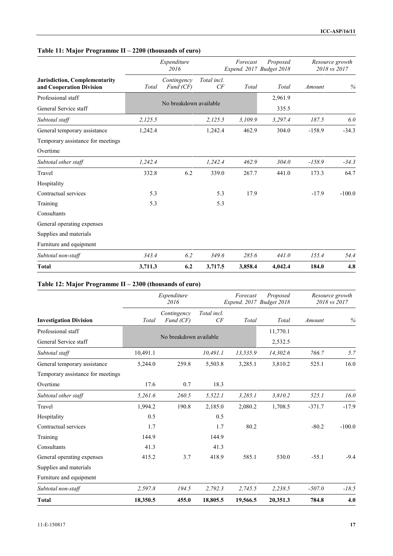## **Table 11: Major Programme II – 2200 (thousands of euro)**

|                                                                  |         | Expenditure<br>2016      |                   |         | Proposed<br>Expend. 2017 Budget 2018 |          | Resource growth<br>2018 vs 2017 |
|------------------------------------------------------------------|---------|--------------------------|-------------------|---------|--------------------------------------|----------|---------------------------------|
| <b>Jurisdiction, Complementarity</b><br>and Cooperation Division | Total   | Contingency<br>Fund (CF) | Total incl.<br>CF | Total   | Total                                | Amount   | $\%$                            |
| Professional staff                                               |         |                          |                   |         | 2,961.9                              |          |                                 |
| General Service staff                                            |         | No breakdown available   |                   |         | 335.5                                |          |                                 |
| Subtotal staff                                                   | 2,125.5 |                          | 2,125.5           | 3,109.9 | 3,297.4                              | 187.5    | 6.0                             |
| General temporary assistance                                     | 1,242.4 |                          | 1,242.4           | 462.9   | 304.0                                | $-158.9$ | $-34.3$                         |
| Temporary assistance for meetings                                |         |                          |                   |         |                                      |          |                                 |
| Overtime                                                         |         |                          |                   |         |                                      |          |                                 |
| Subtotal other staff                                             | 1,242.4 |                          | 1,242.4           | 462.9   | 304.0                                | $-158.9$ | $-34.3$                         |
| Travel                                                           | 332.8   | 6.2                      | 339.0             | 267.7   | 441.0                                | 173.3    | 64.7                            |
| Hospitality                                                      |         |                          |                   |         |                                      |          |                                 |
| Contractual services                                             | 5.3     |                          | 5.3               | 17.9    |                                      | $-17.9$  | $-100.0$                        |
| Training                                                         | 5.3     |                          | 5.3               |         |                                      |          |                                 |
| Consultants                                                      |         |                          |                   |         |                                      |          |                                 |
| General operating expenses                                       |         |                          |                   |         |                                      |          |                                 |
| Supplies and materials                                           |         |                          |                   |         |                                      |          |                                 |
| Furniture and equipment                                          |         |                          |                   |         |                                      |          |                                 |
| Subtotal non-staff                                               | 343.4   | 6.2                      | 349.6             | 285.6   | 441.0                                | 155.4    | 54.4                            |
| <b>Total</b>                                                     | 3,711.3 | 6.2                      | 3,717.5           | 3,858.4 | 4,042.4                              | 184.0    | 4.8                             |

#### **Table 12: Major Programme II – 2300 (thousands of euro)**

|                                   |          | Expenditure<br>2016      |                   | Forecast<br>Expend. 2017 Budget 2018 | Proposed |          | Resource growth<br>2018 vs 2017 |
|-----------------------------------|----------|--------------------------|-------------------|--------------------------------------|----------|----------|---------------------------------|
| <b>Investigation Division</b>     | Total    | Contingency<br>Fund (CF) | Total incl.<br>CF | Total                                | Total    | Amount   | %                               |
| Professional staff                |          |                          |                   |                                      | 11,770.1 |          |                                 |
| General Service staff             |          | No breakdown available   |                   |                                      | 2,532.5  |          |                                 |
| Subtotal staff                    | 10,491.1 |                          | 10,491.1          | 13,535.9                             | 14,302.6 | 766.7    | 5.7                             |
| General temporary assistance      | 5,244.0  | 259.8                    | 5,503.8           | 3,285.1                              | 3,810.2  | 525.1    | 16.0                            |
| Temporary assistance for meetings |          |                          |                   |                                      |          |          |                                 |
| Overtime                          | 17.6     | 0.7                      | 18.3              |                                      |          |          |                                 |
| Subtotal other staff              | 5,261.6  | 260.5                    | 5,522.1           | 3,285.1                              | 3,810.2  | 525.1    | 16.0                            |
| Travel                            | 1,994.2  | 190.8                    | 2,185.0           | 2,080.2                              | 1,708.5  | $-371.7$ | $-17.9$                         |
| Hospitality                       | 0.5      |                          | 0.5               |                                      |          |          |                                 |
| Contractual services              | 1.7      |                          | 1.7               | 80.2                                 |          | $-80.2$  | $-100.0$                        |
| Training                          | 144.9    |                          | 144.9             |                                      |          |          |                                 |
| Consultants                       | 41.3     |                          | 41.3              |                                      |          |          |                                 |
| General operating expenses        | 415.2    | 3.7                      | 418.9             | 585.1                                | 530.0    | $-55.1$  | $-9.4$                          |
| Supplies and materials            |          |                          |                   |                                      |          |          |                                 |
| Furniture and equipment           |          |                          |                   |                                      |          |          |                                 |
| Subtotal non-staff                | 2,597.8  | 194.5                    | 2,792.3           | 2,745.5                              | 2,238.5  | $-507.0$ | $-18.5$                         |
| <b>Total</b>                      | 18,350.5 | 455.0                    | 18,805.5          | 19,566.5                             | 20,351.3 | 784.8    | 4.0                             |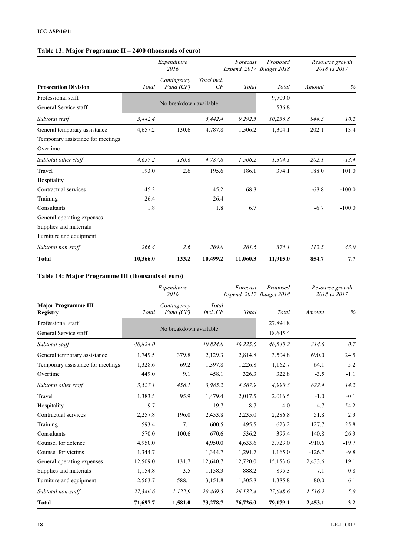## **Table 13: Major Programme II – 2400 (thousands of euro)**

|                                   |          | Expenditure<br>2016      |                   |          | Proposed<br>Expend. 2017 Budget 2018 |          | Resource growth<br>2018 vs 2017 |
|-----------------------------------|----------|--------------------------|-------------------|----------|--------------------------------------|----------|---------------------------------|
| <b>Prosecution Division</b>       | Total    | Contingency<br>Fund (CF) | Total incl.<br>CF | Total    | Total                                | Amount   | $\%$                            |
| Professional staff                |          |                          |                   |          | 9,700.0                              |          |                                 |
| General Service staff             |          | No breakdown available   |                   |          | 536.8                                |          |                                 |
| Subtotal staff                    | 5,442.4  |                          | 5,442.4           | 9,292.5  | 10,236.8                             | 944.3    | 10.2                            |
| General temporary assistance      | 4,657.2  | 130.6                    | 4,787.8           | 1,506.2  | 1,304.1                              | $-202.1$ | $-13.4$                         |
| Temporary assistance for meetings |          |                          |                   |          |                                      |          |                                 |
| Overtime                          |          |                          |                   |          |                                      |          |                                 |
| Subtotal other staff              | 4,657.2  | 130.6                    | 4,787.8           | 1,506.2  | 1,304.1                              | $-202.1$ | $-13.4$                         |
| Travel                            | 193.0    | 2.6                      | 195.6             | 186.1    | 374.1                                | 188.0    | 101.0                           |
| Hospitality                       |          |                          |                   |          |                                      |          |                                 |
| Contractual services              | 45.2     |                          | 45.2              | 68.8     |                                      | $-68.8$  | $-100.0$                        |
| Training                          | 26.4     |                          | 26.4              |          |                                      |          |                                 |
| Consultants                       | 1.8      |                          | 1.8               | 6.7      |                                      | $-6.7$   | $-100.0$                        |
| General operating expenses        |          |                          |                   |          |                                      |          |                                 |
| Supplies and materials            |          |                          |                   |          |                                      |          |                                 |
| Furniture and equipment           |          |                          |                   |          |                                      |          |                                 |
| Subtotal non-staff                | 266.4    | 2.6                      | 269.0             | 261.6    | 374.1                                | 112.5    | 43.0                            |
| <b>Total</b>                      | 10,366.0 | 133.2                    | 10,499.2          | 11,060.3 | 11,915.0                             | 854.7    | 7.7                             |

## **Table 14: Major Programme III (thousands of euro)**

|                                               |          | Expenditure<br>2016      |                  | Forecast<br>Expend. 2017 Budget 2018 | Proposed | Resource growth<br>2018 vs 2017 |         |
|-----------------------------------------------|----------|--------------------------|------------------|--------------------------------------|----------|---------------------------------|---------|
| <b>Major Programme III</b><br><b>Registry</b> | Total    | Contingency<br>Fund (CF) | Total<br>incl.CF | Total                                | Total    | Amount                          | $\%$    |
| Professional staff                            |          |                          |                  |                                      | 27,894.8 |                                 |         |
| General Service staff                         |          | No breakdown available   |                  |                                      | 18,645.4 |                                 |         |
| Subtotal staff                                | 40,824.0 |                          | 40,824.0         | 46,225.6                             | 46,540.2 | 314.6                           | 0.7     |
| General temporary assistance                  | 1,749.5  | 379.8                    | 2,129.3          | 2,814.8                              | 3,504.8  | 690.0                           | 24.5    |
| Temporary assistance for meetings             | 1,328.6  | 69.2                     | 1,397.8          | 1,226.8                              | 1,162.7  | $-64.1$                         | $-5.2$  |
| Overtime                                      | 449.0    | 9.1                      | 458.1            | 326.3                                | 322.8    | $-3.5$                          | $-1.1$  |
| Subtotal other staff                          | 3,527.1  | 458.1                    | 3,985.2          | 4,367.9                              | 4,990.3  | 622.4                           | 14.2    |
| Travel                                        | 1,383.5  | 95.9                     | 1,479.4          | 2,017.5                              | 2,016.5  | $-1.0$                          | $-0.1$  |
| Hospitality                                   | 19.7     |                          | 19.7             | 8.7                                  | 4.0      | $-4.7$                          | $-54.2$ |
| Contractual services                          | 2,257.8  | 196.0                    | 2,453.8          | 2,235.0                              | 2,286.8  | 51.8                            | 2.3     |
| Training                                      | 593.4    | 7.1                      | 600.5            | 495.5                                | 623.2    | 127.7                           | 25.8    |
| Consultants                                   | 570.0    | 100.6                    | 670.6            | 536.2                                | 395.4    | $-140.8$                        | $-26.3$ |
| Counsel for defence                           | 4,950.0  |                          | 4,950.0          | 4,633.6                              | 3,723.0  | $-910.6$                        | $-19.7$ |
| Counsel for victims                           | 1,344.7  |                          | 1,344.7          | 1,291.7                              | 1,165.0  | $-126.7$                        | $-9.8$  |
| General operating expenses                    | 12,509.0 | 131.7                    | 12,640.7         | 12,720.0                             | 15,153.6 | 2,433.6                         | 19.1    |
| Supplies and materials                        | 1,154.8  | 3.5                      | 1,158.3          | 888.2                                | 895.3    | 7.1                             | 0.8     |
| Furniture and equipment                       | 2,563.7  | 588.1                    | 3,151.8          | 1,305.8                              | 1,385.8  | 80.0                            | 6.1     |
| Subtotal non-staff                            | 27,346.6 | 1,122.9                  | 28,469.5         | 26,132.4                             | 27,648.6 | 1,516.2                         | 5.8     |
| <b>Total</b>                                  | 71,697.7 | 1,581.0                  | 73,278.7         | 76,726.0                             | 79,179.1 | 2,453.1                         | 3.2     |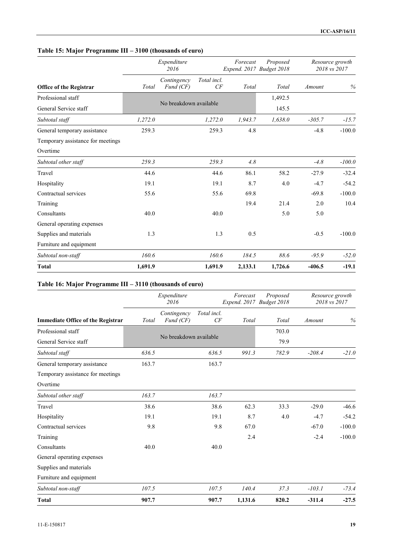## **Table 15: Major Programme III – 3100 (thousands of euro)**

|                                   |         | Expenditure<br>2016      |                   |         | Proposed<br>Expend. 2017 Budget 2018 |          | Resource growth<br>2018 vs 2017 |
|-----------------------------------|---------|--------------------------|-------------------|---------|--------------------------------------|----------|---------------------------------|
| <b>Office of the Registrar</b>    | Total   | Contingency<br>Fund (CF) | Total incl.<br>CF | Total   | Total                                | Amount   | $\%$                            |
| Professional staff                |         |                          |                   |         | 1,492.5                              |          |                                 |
| General Service staff             |         | No breakdown available   |                   |         | 145.5                                |          |                                 |
| Subtotal staff                    | 1,272.0 |                          | 1,272.0           | 1,943.7 | 1,638.0                              | $-305.7$ | $-15.7$                         |
| General temporary assistance      | 259.3   |                          | 259.3             | 4.8     |                                      | $-4.8$   | $-100.0$                        |
| Temporary assistance for meetings |         |                          |                   |         |                                      |          |                                 |
| Overtime                          |         |                          |                   |         |                                      |          |                                 |
| Subtotal other staff              | 259.3   |                          | 259.3             | 4.8     |                                      | $-4.8$   | $-100.0$                        |
| Travel                            | 44.6    |                          | 44.6              | 86.1    | 58.2                                 | $-27.9$  | $-32.4$                         |
| Hospitality                       | 19.1    |                          | 19.1              | 8.7     | 4.0                                  | $-4.7$   | $-54.2$                         |
| Contractual services              | 55.6    |                          | 55.6              | 69.8    |                                      | $-69.8$  | $-100.0$                        |
| Training                          |         |                          |                   | 19.4    | 21.4                                 | 2.0      | 10.4                            |
| Consultants                       | 40.0    |                          | 40.0              |         | 5.0                                  | 5.0      |                                 |
| General operating expenses        |         |                          |                   |         |                                      |          |                                 |
| Supplies and materials            | 1.3     |                          | 1.3               | 0.5     |                                      | $-0.5$   | $-100.0$                        |
| Furniture and equipment           |         |                          |                   |         |                                      |          |                                 |
| Subtotal non-staff                | 160.6   |                          | 160.6             | 184.5   | 88.6                                 | $-95.9$  | $-52.0$                         |
| <b>Total</b>                      | 1,691.9 |                          | 1,691.9           | 2,133.1 | 1,726.6                              | $-406.5$ | $-19.1$                         |

#### **Table 16: Major Programme III – 3110 (thousands of euro)**

|                                          | Expenditure<br>2016 |                          |                   | Forecast<br>Expend. 2017 Budget 2018 | Proposed |          | Resource growth<br>2018 vs 2017 |  |
|------------------------------------------|---------------------|--------------------------|-------------------|--------------------------------------|----------|----------|---------------------------------|--|
| <b>Immediate Office of the Registrar</b> | Total               | Contingency<br>Fund (CF) | Total incl.<br>CF | Total                                | Total    | Amount   | %                               |  |
| Professional staff                       |                     |                          |                   |                                      | 703.0    |          |                                 |  |
| General Service staff                    |                     | No breakdown available   |                   |                                      | 79.9     |          |                                 |  |
| Subtotal staff                           | 636.5               |                          | 636.5             | 991.3                                | 782.9    | $-208.4$ | $-21.0$                         |  |
| General temporary assistance             | 163.7               |                          | 163.7             |                                      |          |          |                                 |  |
| Temporary assistance for meetings        |                     |                          |                   |                                      |          |          |                                 |  |
| Overtime                                 |                     |                          |                   |                                      |          |          |                                 |  |
| Subtotal other staff                     | 163.7               |                          | 163.7             |                                      |          |          |                                 |  |
| Travel                                   | 38.6                |                          | 38.6              | 62.3                                 | 33.3     | $-29.0$  | $-46.6$                         |  |
| Hospitality                              | 19.1                |                          | 19.1              | 8.7                                  | 4.0      | $-4.7$   | $-54.2$                         |  |
| Contractual services                     | 9.8                 |                          | 9.8               | 67.0                                 |          | $-67.0$  | $-100.0$                        |  |
| Training                                 |                     |                          |                   | 2.4                                  |          | $-2.4$   | $-100.0$                        |  |
| Consultants                              | 40.0                |                          | 40.0              |                                      |          |          |                                 |  |
| General operating expenses               |                     |                          |                   |                                      |          |          |                                 |  |
| Supplies and materials                   |                     |                          |                   |                                      |          |          |                                 |  |
| Furniture and equipment                  |                     |                          |                   |                                      |          |          |                                 |  |
| Subtotal non-staff                       | 107.5               |                          | 107.5             | 140.4                                | 37.3     | $-103.1$ | $-73.4$                         |  |
| <b>Total</b>                             | 907.7               |                          | 907.7             | 1,131.6                              | 820.2    | $-311.4$ | $-27.5$                         |  |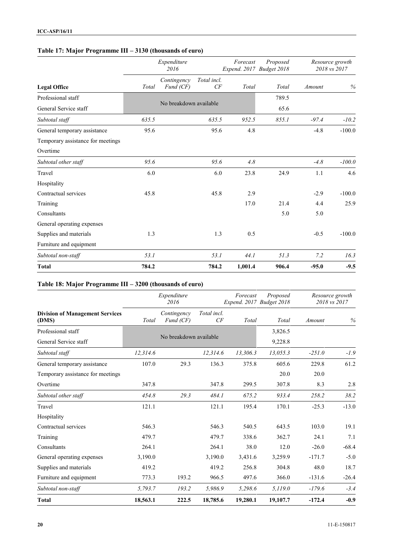## **Table 17: Major Programme III – 3130 (thousands of euro)**

|                                   | Expenditure<br>2016 |                          |                        | Forecast<br>Expend. 2017 Budget 2018 | Proposed |         | Resource growth<br>2018 vs 2017 |  |
|-----------------------------------|---------------------|--------------------------|------------------------|--------------------------------------|----------|---------|---------------------------------|--|
| <b>Legal Office</b>               | Total               | Contingency<br>Fund (CF) | Total incl.<br>CF      | Total                                | Total    | Amount  | %                               |  |
| Professional staff                |                     |                          |                        |                                      | 789.5    |         |                                 |  |
| General Service staff             |                     |                          | No breakdown available |                                      | 65.6     |         |                                 |  |
| Subtotal staff                    | 635.5               |                          | 635.5                  | 952.5                                | 855.1    | $-97.4$ | $-10.2$                         |  |
| General temporary assistance      | 95.6                |                          | 95.6                   | 4.8                                  |          | $-4.8$  | $-100.0$                        |  |
| Temporary assistance for meetings |                     |                          |                        |                                      |          |         |                                 |  |
| Overtime                          |                     |                          |                        |                                      |          |         |                                 |  |
| Subtotal other staff              | 95.6                |                          | 95.6                   | 4.8                                  |          | $-4.8$  | $-100.0$                        |  |
| Travel                            | 6.0                 |                          | 6.0                    | 23.8                                 | 24.9     | 1.1     | 4.6                             |  |
| Hospitality                       |                     |                          |                        |                                      |          |         |                                 |  |
| Contractual services              | 45.8                |                          | 45.8                   | 2.9                                  |          | $-2.9$  | $-100.0$                        |  |
| Training                          |                     |                          |                        | 17.0                                 | 21.4     | 4.4     | 25.9                            |  |
| Consultants                       |                     |                          |                        |                                      | 5.0      | 5.0     |                                 |  |
| General operating expenses        |                     |                          |                        |                                      |          |         |                                 |  |
| Supplies and materials            | 1.3                 |                          | 1.3                    | 0.5                                  |          | $-0.5$  | $-100.0$                        |  |
| Furniture and equipment           |                     |                          |                        |                                      |          |         |                                 |  |
| Subtotal non-staff                | 53.1                |                          | 53.1                   | 44.1                                 | 51.3     | 7.2     | 16.3                            |  |
| <b>Total</b>                      | 784.2               |                          | 784.2                  | 1,001.4                              | 906.4    | $-95.0$ | $-9.5$                          |  |

#### **Table 18: Major Programme III – 3200 (thousands of euro)**

|                                                 | Expenditure<br>2016 |                          |                        | Forecast | Proposed<br>Expend. 2017 Budget 2018 | Resource growth<br>2018 vs 2017 |         |
|-------------------------------------------------|---------------------|--------------------------|------------------------|----------|--------------------------------------|---------------------------------|---------|
| <b>Division of Management Services</b><br>(DMS) | Total               | Contingency<br>Fund (CF) | Total incl.<br>CF      | Total    | Total                                | Amount                          | $\%$    |
| Professional staff                              |                     |                          |                        |          | 3,826.5                              |                                 |         |
| General Service staff                           |                     |                          | No breakdown available |          | 9,228.8                              |                                 |         |
| Subtotal staff                                  | 12,314.6            |                          | 12,314.6               | 13,306.3 | 13,055.3                             | $-251.0$                        | $-1.9$  |
| General temporary assistance                    | 107.0               | 29.3                     | 136.3                  | 375.8    | 605.6                                | 229.8                           | 61.2    |
| Temporary assistance for meetings               |                     |                          |                        |          | 20.0                                 | 20.0                            |         |
| Overtime                                        | 347.8               |                          | 347.8                  | 299.5    | 307.8                                | 8.3                             | 2.8     |
| Subtotal other staff                            | 454.8               | 29.3                     | 484.1                  | 675.2    | 933.4                                | 258.2                           | 38.2    |
| Travel                                          | 121.1               |                          | 121.1                  | 195.4    | 170.1                                | $-25.3$                         | $-13.0$ |
| Hospitality                                     |                     |                          |                        |          |                                      |                                 |         |
| Contractual services                            | 546.3               |                          | 546.3                  | 540.5    | 643.5                                | 103.0                           | 19.1    |
| Training                                        | 479.7               |                          | 479.7                  | 338.6    | 362.7                                | 24.1                            | 7.1     |
| Consultants                                     | 264.1               |                          | 264.1                  | 38.0     | 12.0                                 | $-26.0$                         | $-68.4$ |
| General operating expenses                      | 3,190.0             |                          | 3,190.0                | 3,431.6  | 3,259.9                              | $-171.7$                        | $-5.0$  |
| Supplies and materials                          | 419.2               |                          | 419.2                  | 256.8    | 304.8                                | 48.0                            | 18.7    |
| Furniture and equipment                         | 773.3               | 193.2                    | 966.5                  | 497.6    | 366.0                                | $-131.6$                        | $-26.4$ |
| Subtotal non-staff                              | 5,793.7             | 193.2                    | 5,986.9                | 5,298.6  | 5,119.0                              | $-179.6$                        | $-3.4$  |
| <b>Total</b>                                    | 18,563.1            | 222.5                    | 18,785.6               | 19,280.1 | 19,107.7                             | $-172.4$                        | $-0.9$  |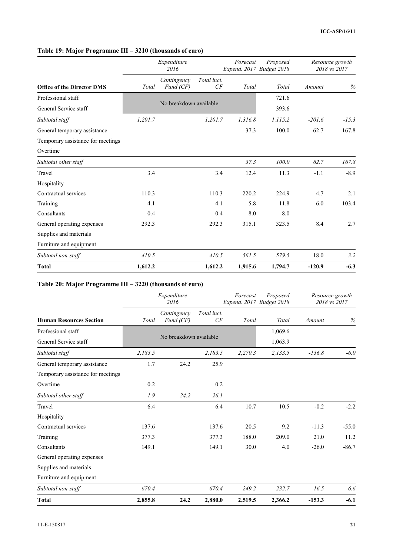## **Table 19: Major Programme III – 3210 (thousands of euro)**

|                                   |         | Expenditure<br>2016      |                   |         | Proposed<br>Expend. 2017 Budget 2018 |          | Resource growth<br>2018 vs 2017 |  |
|-----------------------------------|---------|--------------------------|-------------------|---------|--------------------------------------|----------|---------------------------------|--|
| <b>Office of the Director DMS</b> | Total   | Contingency<br>Fund (CF) | Total incl.<br>CF | Total   | Total                                | Amount   | %                               |  |
| Professional staff                |         |                          |                   |         | 721.6                                |          |                                 |  |
| General Service staff             |         | No breakdown available   |                   |         | 393.6                                |          |                                 |  |
| Subtotal staff                    | 1,201.7 |                          | 1,201.7           | 1,316.8 | 1,115.2                              | $-201.6$ | $-15.3$                         |  |
| General temporary assistance      |         |                          |                   | 37.3    | 100.0                                | 62.7     | 167.8                           |  |
| Temporary assistance for meetings |         |                          |                   |         |                                      |          |                                 |  |
| Overtime                          |         |                          |                   |         |                                      |          |                                 |  |
| Subtotal other staff              |         |                          |                   | 37.3    | 100.0                                | 62.7     | 167.8                           |  |
| Travel                            | 3.4     |                          | 3.4               | 12.4    | 11.3                                 | $-1.1$   | $-8.9$                          |  |
| Hospitality                       |         |                          |                   |         |                                      |          |                                 |  |
| Contractual services              | 110.3   |                          | 110.3             | 220.2   | 224.9                                | 4.7      | 2.1                             |  |
| Training                          | 4.1     |                          | 4.1               | 5.8     | 11.8                                 | 6.0      | 103.4                           |  |
| Consultants                       | 0.4     |                          | 0.4               | 8.0     | 8.0                                  |          |                                 |  |
| General operating expenses        | 292.3   |                          | 292.3             | 315.1   | 323.5                                | 8.4      | 2.7                             |  |
| Supplies and materials            |         |                          |                   |         |                                      |          |                                 |  |
| Furniture and equipment           |         |                          |                   |         |                                      |          |                                 |  |
| Subtotal non-staff                | 410.5   |                          | 410.5             | 561.5   | 579.5                                | 18.0     | 3.2                             |  |
| <b>Total</b>                      | 1,612.2 |                          | 1,612.2           | 1,915.6 | 1,794.7                              | $-120.9$ | $-6.3$                          |  |

#### **Table 20: Major Programme III – 3220 (thousands of euro)**

|                                   | Expenditure<br>2016 |                          |                   | Forecast<br>Expend. 2017 Budget 2018 | Proposed | Resource growth<br>2018 vs 2017 |         |
|-----------------------------------|---------------------|--------------------------|-------------------|--------------------------------------|----------|---------------------------------|---------|
| <b>Human Resources Section</b>    | Total               | Contingency<br>Fund (CF) | Total incl.<br>CF | Total                                | Total    | Amount                          | $\%$    |
| Professional staff                |                     |                          |                   |                                      | 1,069.6  |                                 |         |
| General Service staff             |                     | No breakdown available   |                   |                                      | 1,063.9  |                                 |         |
| Subtotal staff                    | 2,183.5             |                          | 2,183.5           | 2,270.3                              | 2,133.5  | $-136.8$                        | $-6.0$  |
| General temporary assistance      | 1.7                 | 24.2                     | 25.9              |                                      |          |                                 |         |
| Temporary assistance for meetings |                     |                          |                   |                                      |          |                                 |         |
| Overtime                          | 0.2                 |                          | 0.2               |                                      |          |                                 |         |
| Subtotal other staff              | 1.9                 | 24.2                     | 26.1              |                                      |          |                                 |         |
| Travel                            | 6.4                 |                          | 6.4               | 10.7                                 | 10.5     | $-0.2$                          | $-2.2$  |
| Hospitality                       |                     |                          |                   |                                      |          |                                 |         |
| Contractual services              | 137.6               |                          | 137.6             | 20.5                                 | 9.2      | $-11.3$                         | $-55.0$ |
| Training                          | 377.3               |                          | 377.3             | 188.0                                | 209.0    | 21.0                            | 11.2    |
| Consultants                       | 149.1               |                          | 149.1             | 30.0                                 | 4.0      | $-26.0$                         | $-86.7$ |
| General operating expenses        |                     |                          |                   |                                      |          |                                 |         |
| Supplies and materials            |                     |                          |                   |                                      |          |                                 |         |
| Furniture and equipment           |                     |                          |                   |                                      |          |                                 |         |
| Subtotal non-staff                | 670.4               |                          | 670.4             | 249.2                                | 232.7    | $-16.5$                         | $-6.6$  |
| <b>Total</b>                      | 2,855.8             | 24.2                     | 2,880.0           | 2,519.5                              | 2,366.2  | $-153.3$                        | $-6.1$  |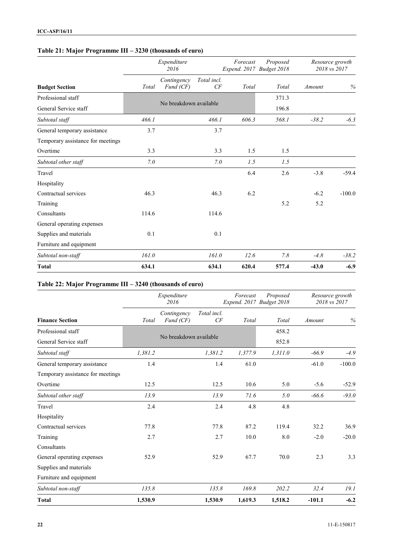## **Table 21: Major Programme III – 3230 (thousands of euro)**

|                                   | Expenditure<br>2016 |                          |                   | Forecast<br>Expend. 2017 Budget 2018 | Proposed |         | Resource growth<br>2018 vs 2017 |  |
|-----------------------------------|---------------------|--------------------------|-------------------|--------------------------------------|----------|---------|---------------------------------|--|
| <b>Budget Section</b>             | Total               | Contingency<br>Fund (CF) | Total incl.<br>CF | Total                                | Total    | Amount  | $\%$                            |  |
| Professional staff                |                     |                          |                   |                                      | 371.3    |         |                                 |  |
| General Service staff             |                     | No breakdown available   |                   |                                      | 196.8    |         |                                 |  |
| Subtotal staff                    | 466.1               |                          | 466.1             | 606.3                                | 568.1    | $-38.2$ | $-6.3$                          |  |
| General temporary assistance      | 3.7                 |                          | 3.7               |                                      |          |         |                                 |  |
| Temporary assistance for meetings |                     |                          |                   |                                      |          |         |                                 |  |
| Overtime                          | 3.3                 |                          | 3.3               | 1.5                                  | 1.5      |         |                                 |  |
| Subtotal other staff              | 7.0                 |                          | 7.0               | 1.5                                  | 1.5      |         |                                 |  |
| Travel                            |                     |                          |                   | 6.4                                  | 2.6      | $-3.8$  | $-59.4$                         |  |
| Hospitality                       |                     |                          |                   |                                      |          |         |                                 |  |
| Contractual services              | 46.3                |                          | 46.3              | 6.2                                  |          | $-6.2$  | $-100.0$                        |  |
| Training                          |                     |                          |                   |                                      | 5.2      | 5.2     |                                 |  |
| Consultants                       | 114.6               |                          | 114.6             |                                      |          |         |                                 |  |
| General operating expenses        |                     |                          |                   |                                      |          |         |                                 |  |
| Supplies and materials            | 0.1                 |                          | 0.1               |                                      |          |         |                                 |  |
| Furniture and equipment           |                     |                          |                   |                                      |          |         |                                 |  |
| Subtotal non-staff                | 161.0               |                          | 161.0             | 12.6                                 | 7.8      | $-4.8$  | $-38.2$                         |  |
| <b>Total</b>                      | 634.1               |                          | 634.1             | 620.4                                | 577.4    | $-43.0$ | $-6.9$                          |  |

#### **Table 22: Major Programme III – 3240 (thousands of euro)**

|                                   | Expenditure<br>2016 |                          |                   | Forecast<br>Expend. 2017 Budget 2018 | Proposed | Resource growth<br>2018 vs 2017 |          |
|-----------------------------------|---------------------|--------------------------|-------------------|--------------------------------------|----------|---------------------------------|----------|
| <b>Finance Section</b>            | Total               | Contingency<br>Fund (CF) | Total incl.<br>CF | Total                                | Total    | Amount                          | $\%$     |
| Professional staff                |                     |                          |                   |                                      | 458.2    |                                 |          |
| General Service staff             |                     | No breakdown available   |                   |                                      | 852.8    |                                 |          |
| Subtotal staff                    | 1,381.2             |                          | 1,381.2           | 1,377.9                              | 1,311.0  | $-66.9$                         | $-4.9$   |
| General temporary assistance      | 1.4                 |                          | 1.4               | 61.0                                 |          | $-61.0$                         | $-100.0$ |
| Temporary assistance for meetings |                     |                          |                   |                                      |          |                                 |          |
| Overtime                          | 12.5                |                          | 12.5              | 10.6                                 | 5.0      | $-5.6$                          | $-52.9$  |
| Subtotal other staff              | 13.9                |                          | 13.9              | 71.6                                 | 5.0      | $-66.6$                         | $-93.0$  |
| Travel                            | 2.4                 |                          | 2.4               | 4.8                                  | 4.8      |                                 |          |
| Hospitality                       |                     |                          |                   |                                      |          |                                 |          |
| Contractual services              | 77.8                |                          | 77.8              | 87.2                                 | 119.4    | 32.2                            | 36.9     |
| Training                          | 2.7                 |                          | 2.7               | 10.0                                 | 8.0      | $-2.0$                          | $-20.0$  |
| Consultants                       |                     |                          |                   |                                      |          |                                 |          |
| General operating expenses        | 52.9                |                          | 52.9              | 67.7                                 | 70.0     | 2.3                             | 3.3      |
| Supplies and materials            |                     |                          |                   |                                      |          |                                 |          |
| Furniture and equipment           |                     |                          |                   |                                      |          |                                 |          |
| Subtotal non-staff                | 135.8               |                          | 135.8             | 169.8                                | 202.2    | 32.4                            | 19.1     |
| <b>Total</b>                      | 1,530.9             |                          | 1,530.9           | 1,619.3                              | 1,518.2  | $-101.1$                        | $-6.2$   |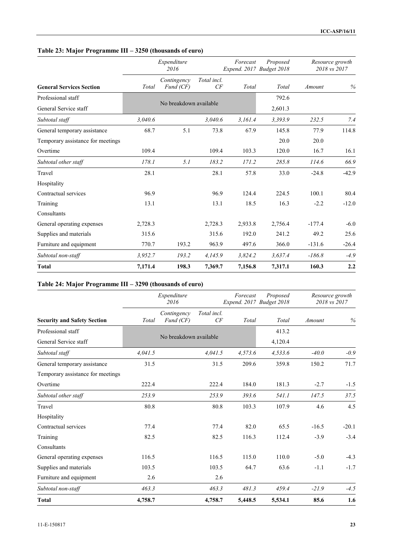## **Table 23: Major Programme III – 3250 (thousands of euro)**

|                                   |         | Expenditure<br>2016      |                   |         | Forecast<br>Proposed<br>Expend. 2017 Budget 2018 | Resource growth | 2018 vs 2017 |
|-----------------------------------|---------|--------------------------|-------------------|---------|--------------------------------------------------|-----------------|--------------|
| <b>General Services Section</b>   | Total   | Contingency<br>Fund (CF) | Total incl.<br>CF | Total   | Total                                            | Amount          | $\%$         |
| Professional staff                |         |                          |                   |         | 792.6                                            |                 |              |
| General Service staff             |         | No breakdown available   |                   |         | 2,601.3                                          |                 |              |
| Subtotal staff                    | 3,040.6 |                          | 3.040.6           | 3,161.4 | 3,393.9                                          | 232.5           | 7.4          |
| General temporary assistance      | 68.7    | 5.1                      | 73.8              | 67.9    | 145.8                                            | 77.9            | 114.8        |
| Temporary assistance for meetings |         |                          |                   |         | 20.0                                             | 20.0            |              |
| Overtime                          | 109.4   |                          | 109.4             | 103.3   | 120.0                                            | 16.7            | 16.1         |
| Subtotal other staff              | 178.1   | 5.1                      | 183.2             | 171.2   | 285.8                                            | 114.6           | 66.9         |
| Travel                            | 28.1    |                          | 28.1              | 57.8    | 33.0                                             | $-24.8$         | $-42.9$      |
| Hospitality                       |         |                          |                   |         |                                                  |                 |              |
| Contractual services              | 96.9    |                          | 96.9              | 124.4   | 224.5                                            | 100.1           | 80.4         |
| Training                          | 13.1    |                          | 13.1              | 18.5    | 16.3                                             | $-2.2$          | $-12.0$      |
| Consultants                       |         |                          |                   |         |                                                  |                 |              |
| General operating expenses        | 2,728.3 |                          | 2,728.3           | 2,933.8 | 2,756.4                                          | $-177.4$        | $-6.0$       |
| Supplies and materials            | 315.6   |                          | 315.6             | 192.0   | 241.2                                            | 49.2            | 25.6         |
| Furniture and equipment           | 770.7   | 193.2                    | 963.9             | 497.6   | 366.0                                            | $-131.6$        | $-26.4$      |
| Subtotal non-staff                | 3,952.7 | 193.2                    | 4,145.9           | 3,824.2 | 3,637.4                                          | $-186.8$        | $-4.9$       |
| <b>Total</b>                      | 7,171.4 | 198.3                    | 7,369.7           | 7,156.8 | 7,317.1                                          | 160.3           | 2.2          |

#### **Table 24: Major Programme III – 3290 (thousands of euro)**

|                                    | Expenditure<br>2016 |                          |                   | Forecast<br>Expend. 2017 Budget 2018 | Proposed | Resource growth<br>2018 vs 2017 |         |
|------------------------------------|---------------------|--------------------------|-------------------|--------------------------------------|----------|---------------------------------|---------|
| <b>Security and Safety Section</b> | Total               | Contingency<br>Fund (CF) | Total incl.<br>CF | Total                                | Total    | Amount                          | $\%$    |
| Professional staff                 |                     |                          |                   |                                      | 413.2    |                                 |         |
| General Service staff              |                     | No breakdown available   |                   |                                      | 4,120.4  |                                 |         |
| Subtotal staff                     | 4,041.5             |                          | 4,041.5           | 4,573.6                              | 4,533.6  | $-40.0$                         | $-0.9$  |
| General temporary assistance       | 31.5                |                          | 31.5              | 209.6                                | 359.8    | 150.2                           | 71.7    |
| Temporary assistance for meetings  |                     |                          |                   |                                      |          |                                 |         |
| Overtime                           | 222.4               |                          | 222.4             | 184.0                                | 181.3    | $-2.7$                          | $-1.5$  |
| Subtotal other staff               | 253.9               |                          | 253.9             | 393.6                                | 541.1    | 147.5                           | 37.5    |
| Travel                             | 80.8                |                          | 80.8              | 103.3                                | 107.9    | 4.6                             | 4.5     |
| Hospitality                        |                     |                          |                   |                                      |          |                                 |         |
| Contractual services               | 77.4                |                          | 77.4              | 82.0                                 | 65.5     | $-16.5$                         | $-20.1$ |
| Training                           | 82.5                |                          | 82.5              | 116.3                                | 112.4    | $-3.9$                          | $-3.4$  |
| Consultants                        |                     |                          |                   |                                      |          |                                 |         |
| General operating expenses         | 116.5               |                          | 116.5             | 115.0                                | 110.0    | $-5.0$                          | $-4.3$  |
| Supplies and materials             | 103.5               |                          | 103.5             | 64.7                                 | 63.6     | $-1.1$                          | $-1.7$  |
| Furniture and equipment            | 2.6                 |                          | 2.6               |                                      |          |                                 |         |
| Subtotal non-staff                 | 463.3               |                          | 463.3             | 481.3                                | 459.4    | $-21.9$                         | $-4.5$  |
| <b>Total</b>                       | 4,758.7             |                          | 4,758.7           | 5,448.5                              | 5,534.1  | 85.6                            | 1.6     |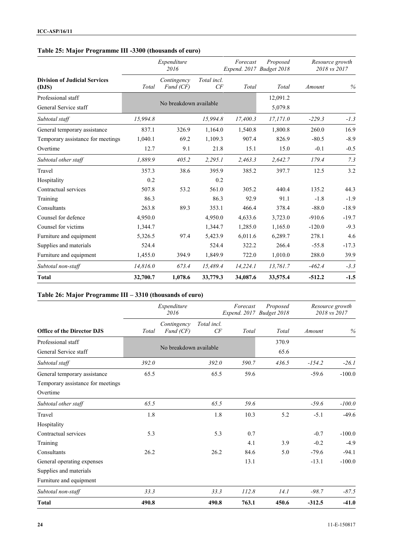#### **Table 25: Major Programme III -3300 (thousands of euro)**

|                                               | Expenditure<br>2016 |                          |                   | Forecast<br>Expend. 2017 Budget 2018 | Proposed            | Resource growth<br>2018 vs 2017 |         |
|-----------------------------------------------|---------------------|--------------------------|-------------------|--------------------------------------|---------------------|---------------------------------|---------|
| <b>Division of Judicial Services</b><br>(DJS) | Total               | Contingency<br>Fund (CF) | Total incl.<br>CF | Total                                | Total               | Amount                          | %       |
| Professional staff<br>General Service staff   |                     | No breakdown available   |                   |                                      | 12,091.2<br>5,079.8 |                                 |         |
| Subtotal staff                                | 15,994.8            |                          | 15,994.8          | 17,400.3                             | 17,171.0            | $-229.3$                        | $-1.3$  |
| General temporary assistance                  | 837.1               | 326.9                    | 1,164.0           | 1,540.8                              | 1,800.8             | 260.0                           | 16.9    |
| Temporary assistance for meetings             | 1,040.1             | 69.2                     | 1,109.3           | 907.4                                | 826.9               | $-80.5$                         | $-8.9$  |
| Overtime                                      | 12.7                | 9.1                      | 21.8              | 15.1                                 | 15.0                | $-0.1$                          | $-0.5$  |
| Subtotal other staff                          | 1,889.9             | 405.2                    | 2,295.1           | 2,463.3                              | 2,642.7             | 179.4                           | 7.3     |
| Travel                                        | 357.3               | 38.6                     | 395.9             | 385.2                                | 397.7               | 12.5                            | 3.2     |
| Hospitality                                   | 0.2                 |                          | 0.2               |                                      |                     |                                 |         |
| Contractual services                          | 507.8               | 53.2                     | 561.0             | 305.2                                | 440.4               | 135.2                           | 44.3    |
| Training                                      | 86.3                |                          | 86.3              | 92.9                                 | 91.1                | $-1.8$                          | $-1.9$  |
| Consultants                                   | 263.8               | 89.3                     | 353.1             | 466.4                                | 378.4               | $-88.0$                         | $-18.9$ |
| Counsel for defence                           | 4,950.0             |                          | 4,950.0           | 4,633.6                              | 3,723.0             | $-910.6$                        | $-19.7$ |
| Counsel for victims                           | 1,344.7             |                          | 1,344.7           | 1,285.0                              | 1,165.0             | $-120.0$                        | $-9.3$  |
| Furniture and equipment                       | 5,326.5             | 97.4                     | 5,423.9           | 6,011.6                              | 6,289.7             | 278.1                           | 4.6     |
| Supplies and materials                        | 524.4               |                          | 524.4             | 322.2                                | 266.4               | $-55.8$                         | $-17.3$ |
| Furniture and equipment                       | 1,455.0             | 394.9                    | 1,849.9           | 722.0                                | 1,010.0             | 288.0                           | 39.9    |
| Subtotal non-staff                            | 14,816.0            | 673.4                    | 15,489.4          | 14,224.1                             | 13,761.7            | $-462.4$                        | $-3.3$  |
| <b>Total</b>                                  | 32,700.7            | 1,078.6                  | 33,779.3          | 34,087.6                             | 33,575.4            | $-512.2$                        | $-1.5$  |

# **Table 26: Major Programme III – 3310 (thousands of euro)**

|                                   | Expenditure<br>2016 |                          |                   | Forecast<br>Expend. 2017 Budget 2018 | Proposed | Resource growth<br>2018 vs 2017 |          |
|-----------------------------------|---------------------|--------------------------|-------------------|--------------------------------------|----------|---------------------------------|----------|
| <b>Office of the Director DJS</b> | Total               | Contingency<br>Fund (CF) | Total incl.<br>CF | Total                                | Total    | Amount                          | $\%$     |
| Professional staff                |                     |                          |                   |                                      | 370.9    |                                 |          |
| General Service staff             |                     | No breakdown available   |                   |                                      | 65.6     |                                 |          |
| Subtotal staff                    | 392.0               |                          | 392.0             | 590.7                                | 436.5    | $-154.2$                        | $-26.1$  |
| General temporary assistance      | 65.5                |                          | 65.5              | 59.6                                 |          | $-59.6$                         | $-100.0$ |
| Temporary assistance for meetings |                     |                          |                   |                                      |          |                                 |          |
| Overtime                          |                     |                          |                   |                                      |          |                                 |          |
| Subtotal other staff              | 65.5                |                          | 65.5              | 59.6                                 |          | $-59.6$                         | $-100.0$ |
| Travel                            | 1.8                 |                          | 1.8               | 10.3                                 | 5.2      | $-5.1$                          | $-49.6$  |
| Hospitality                       |                     |                          |                   |                                      |          |                                 |          |
| Contractual services              | 5.3                 |                          | 5.3               | 0.7                                  |          | $-0.7$                          | $-100.0$ |
| Training                          |                     |                          |                   | 4.1                                  | 3.9      | $-0.2$                          | $-4.9$   |
| Consultants                       | 26.2                |                          | 26.2              | 84.6                                 | 5.0      | $-79.6$                         | $-94.1$  |
| General operating expenses        |                     |                          |                   | 13.1                                 |          | $-13.1$                         | $-100.0$ |
| Supplies and materials            |                     |                          |                   |                                      |          |                                 |          |
| Furniture and equipment           |                     |                          |                   |                                      |          |                                 |          |
| Subtotal non-staff                | 33.3                |                          | 33.3              | 112.8                                | 14.1     | $-98.7$                         | $-87.5$  |
| <b>Total</b>                      | 490.8               |                          | 490.8             | 763.1                                | 450.6    | $-312.5$                        | $-41.0$  |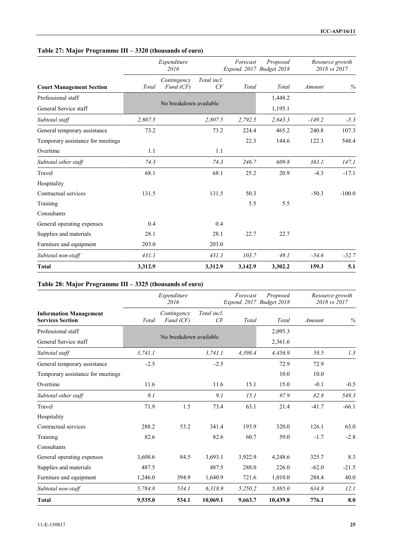|  | Table 27: Major Programme III – 3320 (thousands of euro) |  |
|--|----------------------------------------------------------|--|
|  |                                                          |  |

|                                   | Expenditure<br>2016 |                          |                   | Forecast<br>Expend. 2017 Budget 2018 | Proposed |          | Resource growth<br>2018 vs 2017 |
|-----------------------------------|---------------------|--------------------------|-------------------|--------------------------------------|----------|----------|---------------------------------|
| <b>Court Management Section</b>   | Total               | Contingency<br>Fund (CF) | Total incl.<br>CF | Total                                | Total    | Amount   | $\%$                            |
| Professional staff                |                     |                          |                   |                                      | 1,448.2  |          |                                 |
| General Service staff             |                     | No breakdown available   |                   |                                      | 1,195.1  |          |                                 |
| Subtotal staff                    | 2,807.5             |                          | 2,807.5           | 2,792.5                              | 2,643.3  | $-149.2$ | $-5.3$                          |
| General temporary assistance      | 73.2                |                          | 73.2              | 224.4                                | 465.2    | 240.8    | 107.3                           |
| Temporary assistance for meetings |                     |                          |                   | 22.3                                 | 144.6    | 122.3    | 548.4                           |
| Overtime                          | 1.1                 |                          | 1.1               |                                      |          |          |                                 |
| Subtotal other staff              | 74.3                |                          | 74.3              | 246.7                                | 609.8    | 363.1    | 147.1                           |
| Travel                            | 68.1                |                          | 68.1              | 25.2                                 | 20.9     | $-4.3$   | $-17.1$                         |
| Hospitality                       |                     |                          |                   |                                      |          |          |                                 |
| Contractual services              | 131.5               |                          | 131.5             | 50.3                                 |          | $-50.3$  | $-100.0$                        |
| Training                          |                     |                          |                   | 5.5                                  | 5.5      |          |                                 |
| Consultants                       |                     |                          |                   |                                      |          |          |                                 |
| General operating expenses        | 0.4                 |                          | 0.4               |                                      |          |          |                                 |
| Supplies and materials            | 28.1                |                          | 28.1              | 22.7                                 | 22.7     |          |                                 |
| Furniture and equipment           | 203.0               |                          | 203.0             |                                      |          |          |                                 |
| Subtotal non-staff                | 431.1               |                          | 431.1             | 103.7                                | 49.1     | $-54.6$  | $-52.7$                         |
| <b>Total</b>                      | 3,312.9             |                          | 3,312.9           | 3,142.9                              | 3,302.2  | 159.3    | 5.1                             |

#### **Table 28: Major Programme III – 3325 (thousands of euro)**

|                                                          | Expenditure<br>2016 |                          |                   | Forecast | Proposed<br>Expend. 2017 Budget 2018 |         | Resource growth<br>2018 vs 2017 |  |
|----------------------------------------------------------|---------------------|--------------------------|-------------------|----------|--------------------------------------|---------|---------------------------------|--|
| <b>Information Management</b><br><b>Services Section</b> | Total               | Contingency<br>Fund (CF) | Total incl.<br>CF | Total    | Total                                | Amount  | %                               |  |
| Professional staff                                       |                     |                          |                   |          | 2,095.3                              |         |                                 |  |
| General Service staff                                    |                     | No breakdown available   |                   |          | 2,361.6                              |         |                                 |  |
| Subtotal staff                                           | 3,741.1             |                          | 3,741.1           | 4,398.4  | 4,456.9                              | 58.5    | 1.3                             |  |
| General temporary assistance                             | $-2.5$              |                          | $-2.5$            |          | 72.9                                 | 72.9    |                                 |  |
| Temporary assistance for meetings                        |                     |                          |                   |          | 10.0                                 | 10.0    |                                 |  |
| Overtime                                                 | 11.6                |                          | 11.6              | 15.1     | 15.0                                 | $-0.1$  | $-0.5$                          |  |
| Subtotal other staff                                     | 9.1                 |                          | 9.1               | 15.1     | 97.9                                 | 82.8    | 549.3                           |  |
| Travel                                                   | 71.9                | 1.5                      | 73.4              | 63.1     | 21.4                                 | $-41.7$ | $-66.1$                         |  |
| Hospitality                                              |                     |                          |                   |          |                                      |         |                                 |  |
| Contractual services                                     | 288.2               | 53.2                     | 341.4             | 193.9    | 320.0                                | 126.1   | 65.0                            |  |
| Training                                                 | 82.6                |                          | 82.6              | 60.7     | 59.0                                 | $-1.7$  | $-2.8$                          |  |
| Consultants                                              |                     |                          |                   |          |                                      |         |                                 |  |
| General operating expenses                               | 3,608.6             | 84.5                     | 3,693.1           | 3,922.9  | 4,248.6                              | 325.7   | 8.3                             |  |
| Supplies and materials                                   | 487.5               |                          | 487.5             | 288.0    | 226.0                                | $-62.0$ | $-21.5$                         |  |
| Furniture and equipment                                  | 1,246.0             | 394.9                    | 1,640.9           | 721.6    | 1,010.0                              | 288.4   | 40.0                            |  |
| Subtotal non-staff                                       | 5,784.8             | 534.1                    | 6,318.9           | 5,250.2  | 5,885.0                              | 634.8   | 12.1                            |  |
| <b>Total</b>                                             | 9,535.0             | 534.1                    | 10,069.1          | 9,663.7  | 10,439.8                             | 776.1   | 8.0                             |  |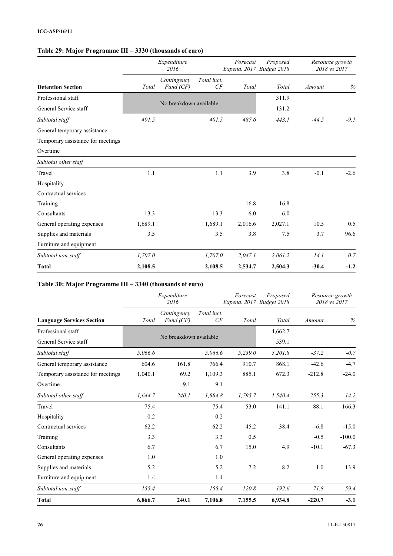## **Table 29: Major Programme III – 3330 (thousands of euro)**

| <b>Detention Section</b>          |         | Expenditure<br>2016      |                   | Forecast | Proposed<br>Expend. 2017 Budget 2018 | Resource growth<br>2018 vs 2017 |        |
|-----------------------------------|---------|--------------------------|-------------------|----------|--------------------------------------|---------------------------------|--------|
|                                   | Total   | Contingency<br>Fund (CF) | Total incl.<br>CF | Total    | Total                                | Amount                          | %      |
| Professional staff                |         |                          |                   |          | 311.9                                |                                 |        |
| General Service staff             |         | No breakdown available   |                   |          | 131.2                                |                                 |        |
| Subtotal staff                    | 401.5   |                          | 401.5             | 487.6    | 443.1                                | $-44.5$                         | $-9.1$ |
| General temporary assistance      |         |                          |                   |          |                                      |                                 |        |
| Temporary assistance for meetings |         |                          |                   |          |                                      |                                 |        |
| Overtime                          |         |                          |                   |          |                                      |                                 |        |
| Subtotal other staff              |         |                          |                   |          |                                      |                                 |        |
| Travel                            | 1.1     |                          | 1.1               | 3.9      | 3.8                                  | $-0.1$                          | $-2.6$ |
| Hospitality                       |         |                          |                   |          |                                      |                                 |        |
| Contractual services              |         |                          |                   |          |                                      |                                 |        |
| Training                          |         |                          |                   | 16.8     | 16.8                                 |                                 |        |
| Consultants                       | 13.3    |                          | 13.3              | 6.0      | 6.0                                  |                                 |        |
| General operating expenses        | 1,689.1 |                          | 1,689.1           | 2,016.6  | 2,027.1                              | 10.5                            | 0.5    |
| Supplies and materials            | 3.5     |                          | 3.5               | 3.8      | 7.5                                  | 3.7                             | 96.6   |
| Furniture and equipment           |         |                          |                   |          |                                      |                                 |        |
| Subtotal non-staff                | 1,707.0 |                          | 1,707.0           | 2,047.1  | 2,061.2                              | 14.1                            | 0.7    |
| <b>Total</b>                      | 2,108.5 |                          | 2,108.5           | 2,534.7  | 2,504.3                              | $-30.4$                         | $-1.2$ |

#### **Table 30: Major Programme III – 3340 (thousands of euro)**

|                                   | Expenditure<br>2016 |                          |                   | Forecast<br>Expend. 2017 Budget 2018 | Proposed | Resource growth<br>2018 vs 2017 |          |
|-----------------------------------|---------------------|--------------------------|-------------------|--------------------------------------|----------|---------------------------------|----------|
| <b>Language Services Section</b>  | Total               | Contingency<br>Fund (CF) | Total incl.<br>CF | Total                                | Total    | Amount                          | $\%$     |
| Professional staff                |                     |                          |                   |                                      | 4,662.7  |                                 |          |
| General Service staff             |                     | No breakdown available   |                   |                                      | 539.1    |                                 |          |
| Subtotal staff                    | 5,066.6             |                          | 5,066.6           | 5,239.0                              | 5,201.8  | $-37.2$                         | $-0.7$   |
| General temporary assistance      | 604.6               | 161.8                    | 766.4             | 910.7                                | 868.1    | $-42.6$                         | $-4.7$   |
| Temporary assistance for meetings | 1,040.1             | 69.2                     | 1,109.3           | 885.1                                | 672.3    | $-212.8$                        | $-24.0$  |
| Overtime                          |                     | 9.1                      | 9.1               |                                      |          |                                 |          |
| Subtotal other staff              | 1,644.7             | 240.1                    | 1,884.8           | 1,795.7                              | 1,540.4  | $-255.3$                        | $-14.2$  |
| Travel                            | 75.4                |                          | 75.4              | 53.0                                 | 141.1    | 88.1                            | 166.3    |
| Hospitality                       | 0.2                 |                          | 0.2               |                                      |          |                                 |          |
| Contractual services              | 62.2                |                          | 62.2              | 45.2                                 | 38.4     | $-6.8$                          | $-15.0$  |
| Training                          | 3.3                 |                          | 3.3               | 0.5                                  |          | $-0.5$                          | $-100.0$ |
| Consultants                       | 6.7                 |                          | 6.7               | 15.0                                 | 4.9      | $-10.1$                         | $-67.3$  |
| General operating expenses        | 1.0                 |                          | 1.0               |                                      |          |                                 |          |
| Supplies and materials            | 5.2                 |                          | 5.2               | 7.2                                  | 8.2      | 1.0                             | 13.9     |
| Furniture and equipment           | 1.4                 |                          | 1.4               |                                      |          |                                 |          |
| Subtotal non-staff                | 155.4               |                          | 155.4             | 120.8                                | 192.6    | $71.8\,$                        | 59.4     |
| <b>Total</b>                      | 6,866.7             | 240.1                    | 7,106.8           | 7,155.5                              | 6,934.8  | $-220.7$                        | $-3.1$   |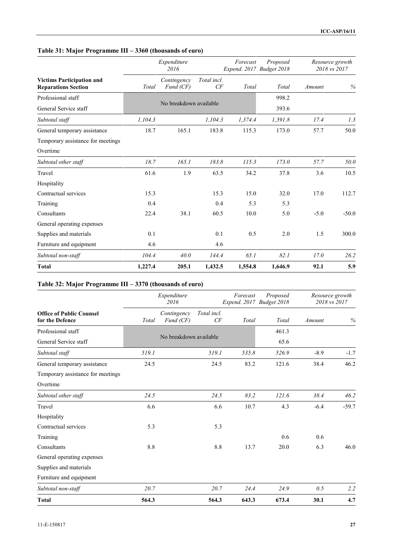|  | Table 31: Major Programme III – 3360 (thousands of euro) |  |
|--|----------------------------------------------------------|--|
|  |                                                          |  |

|                                                                |         | Expenditure<br>2016      |                   | Forecast | Proposed<br>Expend. 2017 Budget 2018 |        | Resource growth<br>2018 vs 2017 |
|----------------------------------------------------------------|---------|--------------------------|-------------------|----------|--------------------------------------|--------|---------------------------------|
| <b>Victims Participation and</b><br><b>Reparations Section</b> | Total   | Contingency<br>Fund (CF) | Total incl.<br>CF | Total    | Total                                | Amount | $\%$                            |
| Professional staff                                             |         |                          |                   |          | 998.2                                |        |                                 |
| General Service staff                                          |         | No breakdown available   |                   |          | 393.6                                |        |                                 |
| Subtotal staff                                                 | 1,104.3 |                          | 1,104.3           | 1,374.4  | 1,391.8                              | 17.4   | 1.3                             |
| General temporary assistance                                   | 18.7    | 165.1                    | 183.8             | 115.3    | 173.0                                | 57.7   | 50.0                            |
| Temporary assistance for meetings                              |         |                          |                   |          |                                      |        |                                 |
| Overtime                                                       |         |                          |                   |          |                                      |        |                                 |
| Subtotal other staff                                           | 18.7    | 165.1                    | 183.8             | 115.3    | 173.0                                | 57.7   | 50.0                            |
| Travel                                                         | 61.6    | 1.9                      | 63.5              | 34.2     | 37.8                                 | 3.6    | 10.5                            |
| Hospitality                                                    |         |                          |                   |          |                                      |        |                                 |
| Contractual services                                           | 15.3    |                          | 15.3              | 15.0     | 32.0                                 | 17.0   | 112.7                           |
| Training                                                       | 0.4     |                          | 0.4               | 5.3      | 5.3                                  |        |                                 |
| Consultants                                                    | 22.4    | 38.1                     | 60.5              | 10.0     | 5.0                                  | $-5.0$ | $-50.0$                         |
| General operating expenses                                     |         |                          |                   |          |                                      |        |                                 |
| Supplies and materials                                         | 0.1     |                          | 0.1               | 0.5      | 2.0                                  | 1.5    | 300.0                           |
| Furniture and equipment                                        | 4.6     |                          | 4.6               |          |                                      |        |                                 |
| Subtotal non-staff                                             | 104.4   | 40.0                     | 144.4             | 65.1     | 82.1                                 | 17.0   | 26.2                            |
| <b>Total</b>                                                   | 1,227.4 | 205.1                    | 1,432.5           | 1,554.8  | 1,646.9                              | 92.1   | 5.9                             |

#### **Table 32: Major Programme III – 3370 (thousands of euro)**

|                                                    | Expenditure<br>2016 |                          |                   | Forecast<br>Expend. 2017 Budget 2018 | Proposed | Resource growth<br>2018 vs 2017 |         |
|----------------------------------------------------|---------------------|--------------------------|-------------------|--------------------------------------|----------|---------------------------------|---------|
| <b>Office of Public Counsel</b><br>for the Defence | Total               | Contingency<br>Fund (CF) | Total incl.<br>CF | Total                                | Total    | Amount                          | %       |
| Professional staff                                 |                     |                          |                   |                                      | 461.3    |                                 |         |
| General Service staff                              |                     | No breakdown available   |                   |                                      | 65.6     |                                 |         |
| Subtotal staff                                     | 519.1               |                          | 519.1             | 535.8                                | 526.9    | $-8.9$                          | $-1.7$  |
| General temporary assistance                       | 24.5                |                          | 24.5              | 83.2                                 | 121.6    | 38.4                            | 46.2    |
| Temporary assistance for meetings                  |                     |                          |                   |                                      |          |                                 |         |
| Overtime                                           |                     |                          |                   |                                      |          |                                 |         |
| Subtotal other staff                               | 24.5                |                          | 24.5              | 83.2                                 | 121.6    | 38.4                            | 46.2    |
| Travel                                             | 6.6                 |                          | 6.6               | 10.7                                 | 4.3      | $-6.4$                          | $-59.7$ |
| Hospitality                                        |                     |                          |                   |                                      |          |                                 |         |
| Contractual services                               | 5.3                 |                          | 5.3               |                                      |          |                                 |         |
| Training                                           |                     |                          |                   |                                      | 0.6      | 0.6                             |         |
| Consultants                                        | $8.8\,$             |                          | 8.8               | 13.7                                 | 20.0     | 6.3                             | 46.0    |
| General operating expenses                         |                     |                          |                   |                                      |          |                                 |         |
| Supplies and materials                             |                     |                          |                   |                                      |          |                                 |         |
| Furniture and equipment                            |                     |                          |                   |                                      |          |                                 |         |
| Subtotal non-staff                                 | 20.7                |                          | 20.7              | 24.4                                 | 24.9     | 0.5                             | 2.2     |
| <b>Total</b>                                       | 564.3               |                          | 564.3             | 643.3                                | 673.4    | 30.1                            | 4.7     |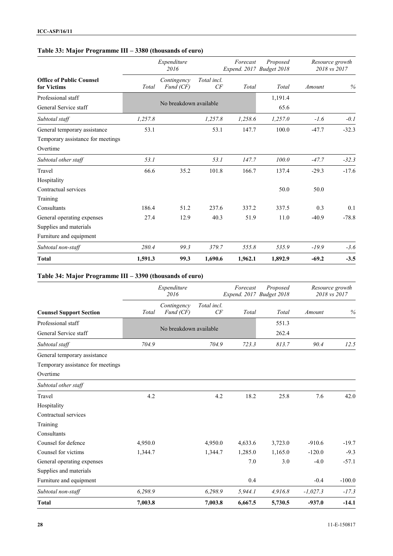#### **Table 33: Major Programme III – 3380 (thousands of euro)**

|                                                | Expenditure<br>2016 |                          |                       | Forecast | Proposed<br>Expend. 2017 Budget 2018 | Resource growth<br>2018 vs 2017 |         |
|------------------------------------------------|---------------------|--------------------------|-----------------------|----------|--------------------------------------|---------------------------------|---------|
| <b>Office of Public Counsel</b><br>for Victims | Total               | Contingency<br>Fund (CF) | Total incl.<br>$C\!F$ | Total    | Total                                | Amount                          | $\%$    |
| Professional staff                             |                     |                          |                       |          | 1,191.4                              |                                 |         |
| General Service staff                          |                     | No breakdown available   |                       |          | 65.6                                 |                                 |         |
| Subtotal staff                                 | 1,257.8             |                          | 1,257.8               | 1,258.6  | 1,257.0                              | $-1.6$                          | $-0.1$  |
| General temporary assistance                   | 53.1                |                          | 53.1                  | 147.7    | 100.0                                | $-47.7$                         | $-32.3$ |
| Temporary assistance for meetings              |                     |                          |                       |          |                                      |                                 |         |
| Overtime                                       |                     |                          |                       |          |                                      |                                 |         |
| Subtotal other staff                           | 53.1                |                          | 53.1                  | 147.7    | 100.0                                | $-47.7$                         | $-32.3$ |
| Travel                                         | 66.6                | 35.2                     | 101.8                 | 166.7    | 137.4                                | $-29.3$                         | $-17.6$ |
| Hospitality                                    |                     |                          |                       |          |                                      |                                 |         |
| Contractual services                           |                     |                          |                       |          | 50.0                                 | 50.0                            |         |
| Training                                       |                     |                          |                       |          |                                      |                                 |         |
| Consultants                                    | 186.4               | 51.2                     | 237.6                 | 337.2    | 337.5                                | 0.3                             | 0.1     |
| General operating expenses                     | 27.4                | 12.9                     | 40.3                  | 51.9     | 11.0                                 | $-40.9$                         | $-78.8$ |
| Supplies and materials                         |                     |                          |                       |          |                                      |                                 |         |
| Furniture and equipment                        |                     |                          |                       |          |                                      |                                 |         |
| Subtotal non-staff                             | 280.4               | 99.3                     | 379.7                 | 555.8    | 535.9                                | $-19.9$                         | $-3.6$  |
| <b>Total</b>                                   | 1,591.3             | 99.3                     | 1,690.6               | 1,962.1  | 1,892.9                              | $-69.2$                         | $-3.5$  |

## **Table 34: Major Programme III – 3390 (thousands of euro)**

|                                   | Expenditure<br>2016 |                          |                   | Forecast | Proposed<br>Expend. 2017 Budget 2018 |            | Resource growth<br>2018 vs 2017 |
|-----------------------------------|---------------------|--------------------------|-------------------|----------|--------------------------------------|------------|---------------------------------|
| <b>Counsel Support Section</b>    | Total               | Contingency<br>Fund (CF) | Total incl.<br>CF | Total    | Total                                | Amount     | $\%$                            |
| Professional staff                |                     |                          |                   |          | 551.3                                |            |                                 |
| General Service staff             |                     | No breakdown available   |                   |          | 262.4                                |            |                                 |
| Subtotal staff                    | 704.9               |                          | 704.9             | 723.3    | 813.7                                | 90.4       | 12.5                            |
| General temporary assistance      |                     |                          |                   |          |                                      |            |                                 |
| Temporary assistance for meetings |                     |                          |                   |          |                                      |            |                                 |
| Overtime                          |                     |                          |                   |          |                                      |            |                                 |
| Subtotal other staff              |                     |                          |                   |          |                                      |            |                                 |
| Travel                            | 4.2                 |                          | 4.2               | 18.2     | 25.8                                 | 7.6        | 42.0                            |
| Hospitality                       |                     |                          |                   |          |                                      |            |                                 |
| Contractual services              |                     |                          |                   |          |                                      |            |                                 |
| Training                          |                     |                          |                   |          |                                      |            |                                 |
| Consultants                       |                     |                          |                   |          |                                      |            |                                 |
| Counsel for defence               | 4,950.0             |                          | 4,950.0           | 4,633.6  | 3,723.0                              | $-910.6$   | $-19.7$                         |
| Counsel for victims               | 1,344.7             |                          | 1,344.7           | 1,285.0  | 1,165.0                              | $-120.0$   | $-9.3$                          |
| General operating expenses        |                     |                          |                   | 7.0      | 3.0                                  | $-4.0$     | $-57.1$                         |
| Supplies and materials            |                     |                          |                   |          |                                      |            |                                 |
| Furniture and equipment           |                     |                          |                   | 0.4      |                                      | $-0.4$     | $-100.0$                        |
| Subtotal non-staff                | 6,298.9             |                          | 6,298.9           | 5,944.1  | 4,916.8                              | $-1,027.3$ | $-17.3$                         |
| <b>Total</b>                      | 7,003.8             |                          | 7,003.8           | 6,667.5  | 5,730.5                              | $-937.0$   | $-14.1$                         |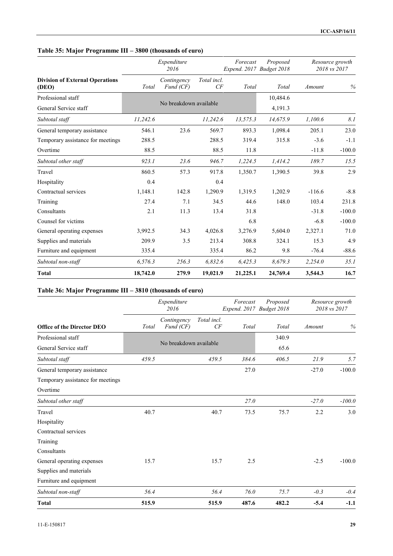## **Table 35: Major Programme III – 3800 (thousands of euro)**

|                                                 |          | Expenditure<br>2016      |                   | Forecast<br>Expend. 2017 Budget 2018 | Proposed |          | Resource growth<br>2018 vs 2017 |
|-------------------------------------------------|----------|--------------------------|-------------------|--------------------------------------|----------|----------|---------------------------------|
| <b>Division of External Operations</b><br>(DEO) | Total    | Contingency<br>Fund (CF) | Total incl.<br>CF | Total                                | Total    | Amount   | %                               |
| Professional staff                              |          |                          |                   |                                      | 10,484.6 |          |                                 |
| General Service staff                           |          | No breakdown available   |                   |                                      | 4,191.3  |          |                                 |
| Subtotal staff                                  | 11,242.6 |                          | 11,242.6          | 13,575.3                             | 14,675.9 | 1,100.6  | 8.1                             |
| General temporary assistance                    | 546.1    | 23.6                     | 569.7             | 893.3                                | 1,098.4  | 205.1    | 23.0                            |
| Temporary assistance for meetings               | 288.5    |                          | 288.5             | 319.4                                | 315.8    | $-3.6$   | $-1.1$                          |
| Overtime                                        | 88.5     |                          | 88.5              | 11.8                                 |          | $-11.8$  | $-100.0$                        |
| Subtotal other staff                            | 923.1    | 23.6                     | 946.7             | 1,224.5                              | 1,414.2  | 189.7    | 15.5                            |
| Travel                                          | 860.5    | 57.3                     | 917.8             | 1,350.7                              | 1,390.5  | 39.8     | 2.9                             |
| Hospitality                                     | 0.4      |                          | 0.4               |                                      |          |          |                                 |
| Contractual services                            | 1,148.1  | 142.8                    | 1,290.9           | 1,319.5                              | 1,202.9  | $-116.6$ | $-8.8$                          |
| Training                                        | 27.4     | 7.1                      | 34.5              | 44.6                                 | 148.0    | 103.4    | 231.8                           |
| Consultants                                     | 2.1      | 11.3                     | 13.4              | 31.8                                 |          | $-31.8$  | $-100.0$                        |
| Counsel for victims                             |          |                          |                   | 6.8                                  |          | $-6.8$   | $-100.0$                        |
| General operating expenses                      | 3,992.5  | 34.3                     | 4,026.8           | 3,276.9                              | 5,604.0  | 2,327.1  | 71.0                            |
| Supplies and materials                          | 209.9    | 3.5                      | 213.4             | 308.8                                | 324.1    | 15.3     | 4.9                             |
| Furniture and equipment                         | 335.4    |                          | 335.4             | 86.2                                 | 9.8      | $-76.4$  | $-88.6$                         |
| Subtotal non-staff                              | 6,576.3  | 256.3                    | 6,832.6           | 6,425.3                              | 8,679.3  | 2,254.0  | 35.1                            |
| <b>Total</b>                                    | 18,742.0 | 279.9                    | 19,021.9          | 21,225.1                             | 24,769.4 | 3,544.3  | 16.7                            |

## **Table 36: Major Programme III – 3810 (thousands of euro)**

|                                   | Expenditure<br>2016 |                          |                   | Forecast    | Proposed<br>Expend. 2017 Budget 2018 | Resource growth<br>2018 vs 2017 |          |
|-----------------------------------|---------------------|--------------------------|-------------------|-------------|--------------------------------------|---------------------------------|----------|
| <b>Office of the Director DEO</b> | Total               | Contingency<br>Fund (CF) | Total incl.<br>CF | Total       | Total                                | Amount                          | %        |
| Professional staff                |                     |                          |                   |             | 340.9                                |                                 |          |
| General Service staff             |                     | No breakdown available   |                   |             | 65.6                                 |                                 |          |
| Subtotal staff                    | 459.5               |                          | 459.5             | 384.6       | 406.5                                | 21.9                            | 5.7      |
| General temporary assistance      |                     |                          |                   | 27.0        |                                      | $-27.0$                         | $-100.0$ |
| Temporary assistance for meetings |                     |                          |                   |             |                                      |                                 |          |
| Overtime                          |                     |                          |                   |             |                                      |                                 |          |
| Subtotal other staff              |                     |                          |                   | <i>27.0</i> |                                      | $-27.0$                         | $-100.0$ |
| Travel                            | 40.7                |                          | 40.7              | 73.5        | 75.7                                 | 2.2                             | 3.0      |
| Hospitality                       |                     |                          |                   |             |                                      |                                 |          |
| Contractual services              |                     |                          |                   |             |                                      |                                 |          |
| Training                          |                     |                          |                   |             |                                      |                                 |          |
| Consultants                       |                     |                          |                   |             |                                      |                                 |          |
| General operating expenses        | 15.7                |                          | 15.7              | 2.5         |                                      | $-2.5$                          | $-100.0$ |
| Supplies and materials            |                     |                          |                   |             |                                      |                                 |          |
| Furniture and equipment           |                     |                          |                   |             |                                      |                                 |          |
| Subtotal non-staff                | 56.4                |                          | 56.4              | 76.0        | 75.7                                 | $-0.3$                          | $-0.4$   |
| <b>Total</b>                      | 515.9               |                          | 515.9             | 487.6       | 482.2                                | $-5.4$                          | $-1.1$   |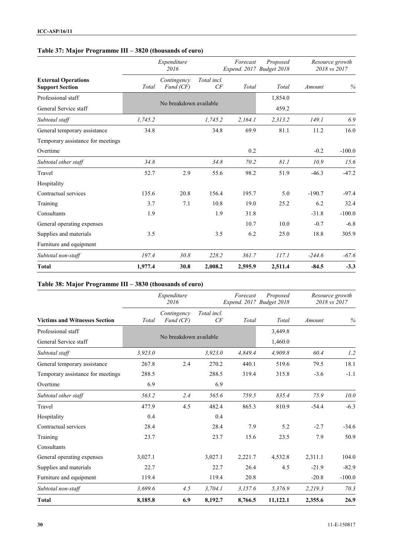## **Table 37: Major Programme III – 3820 (thousands of euro)**

|                                                      |         | Expenditure<br>2016      |                   |         | Forecast<br>Proposed<br>Expend. 2017 Budget 2018 |          | Resource growth<br>2018 vs 2017 |
|------------------------------------------------------|---------|--------------------------|-------------------|---------|--------------------------------------------------|----------|---------------------------------|
| <b>External Operations</b><br><b>Support Section</b> | Total   | Contingency<br>Fund (CF) | Total incl.<br>CF | Total   | Total                                            | Amount   | $\%$                            |
| Professional staff                                   |         |                          |                   |         | 1,854.0                                          |          |                                 |
| General Service staff                                |         | No breakdown available   |                   |         | 459.2                                            |          |                                 |
| Subtotal staff                                       | 1,745.2 |                          | 1,745.2           | 2,164.1 | 2,313.2                                          | 149.1    | 6.9                             |
| General temporary assistance                         | 34.8    |                          | 34.8              | 69.9    | 81.1                                             | 11.2     | 16.0                            |
| Temporary assistance for meetings                    |         |                          |                   |         |                                                  |          |                                 |
| Overtime                                             |         |                          |                   | 0.2     |                                                  | $-0.2$   | $-100.0$                        |
| Subtotal other staff                                 | 34.8    |                          | 34.8              | 70.2    | 81.1                                             | 10.9     | 15.6                            |
| Travel                                               | 52.7    | 2.9                      | 55.6              | 98.2    | 51.9                                             | $-46.3$  | $-47.2$                         |
| Hospitality                                          |         |                          |                   |         |                                                  |          |                                 |
| Contractual services                                 | 135.6   | 20.8                     | 156.4             | 195.7   | 5.0                                              | $-190.7$ | $-97.4$                         |
| Training                                             | 3.7     | 7.1                      | 10.8              | 19.0    | 25.2                                             | 6.2      | 32.4                            |
| Consultants                                          | 1.9     |                          | 1.9               | 31.8    |                                                  | $-31.8$  | $-100.0$                        |
| General operating expenses                           |         |                          |                   | 10.7    | 10.0                                             | $-0.7$   | $-6.8$                          |
| Supplies and materials                               | 3.5     |                          | 3.5               | 6.2     | 25.0                                             | 18.8     | 305.9                           |
| Furniture and equipment                              |         |                          |                   |         |                                                  |          |                                 |
| Subtotal non-staff                                   | 197.4   | 30.8                     | 228.2             | 361.7   | 117.1                                            | $-244.6$ | $-67.6$                         |
| <b>Total</b>                                         | 1,977.4 | 30.8                     | 2,008.2           | 2,595.9 | 2,511.4                                          | $-84.5$  | $-3.3$                          |

#### **Table 38: Major Programme III – 3830 (thousands of euro)**

|                                      |         | Expenditure<br>2016      |                   | Forecast<br>Expend. 2017 Budget 2018 | Proposed | Resource growth<br>2018 vs 2017 |          |
|--------------------------------------|---------|--------------------------|-------------------|--------------------------------------|----------|---------------------------------|----------|
| <b>Victims and Witnesses Section</b> | Total   | Contingency<br>Fund (CF) | Total incl.<br>CF | Total                                | Total    | Amount                          | %        |
| Professional staff                   |         |                          |                   |                                      | 3,449.8  |                                 |          |
| General Service staff                |         | No breakdown available   |                   |                                      | 1,460.0  |                                 |          |
| Subtotal staff                       | 3,923.0 |                          | 3,923.0           | 4,849.4                              | 4,909.8  | 60.4                            | 1.2      |
| General temporary assistance         | 267.8   | 2.4                      | 270.2             | 440.1                                | 519.6    | 79.5                            | 18.1     |
| Temporary assistance for meetings    | 288.5   |                          | 288.5             | 319.4                                | 315.8    | $-3.6$                          | $-1.1$   |
| Overtime                             | 6.9     |                          | 6.9               |                                      |          |                                 |          |
| Subtotal other staff                 | 563.2   | 2.4                      | 565.6             | 759.5                                | 835.4    | 75.9                            | 10.0     |
| Travel                               | 477.9   | 4.5                      | 482.4             | 865.3                                | 810.9    | $-54.4$                         | $-6.3$   |
| Hospitality                          | 0.4     |                          | 0.4               |                                      |          |                                 |          |
| Contractual services                 | 28.4    |                          | 28.4              | 7.9                                  | 5.2      | $-2.7$                          | $-34.6$  |
| Training                             | 23.7    |                          | 23.7              | 15.6                                 | 23.5     | 7.9                             | 50.9     |
| Consultants                          |         |                          |                   |                                      |          |                                 |          |
| General operating expenses           | 3,027.1 |                          | 3,027.1           | 2,221.7                              | 4,532.8  | 2,311.1                         | 104.0    |
| Supplies and materials               | 22.7    |                          | 22.7              | 26.4                                 | 4.5      | $-21.9$                         | $-82.9$  |
| Furniture and equipment              | 119.4   |                          | 119.4             | 20.8                                 |          | $-20.8$                         | $-100.0$ |
| Subtotal non-staff                   | 3,699.6 | 4.5                      | 3,704.1           | 3,157.6                              | 5,376.9  | 2,219.3                         | 70.3     |
| <b>Total</b>                         | 8,185.8 | 6.9                      | 8,192.7           | 8,766.5                              | 11,122.1 | 2,355.6                         | 26.9     |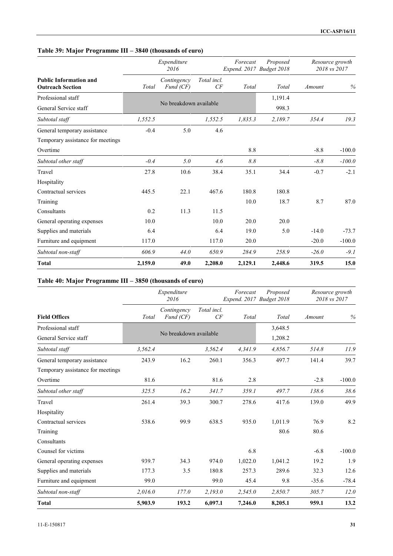## **Table 39: Major Programme III – 3840 (thousands of euro)**

|                                                          |         | Expenditure<br>2016      |                   | Forecast | Proposed<br>Expend. 2017 Budget 2018 | Resource growth<br>2018 vs 2017 |          |
|----------------------------------------------------------|---------|--------------------------|-------------------|----------|--------------------------------------|---------------------------------|----------|
| <b>Public Information and</b><br><b>Outreach Section</b> | Total   | Contingency<br>Fund (CF) | Total incl.<br>CF | Total    | Total                                | Amount                          | $\%$     |
| Professional staff                                       |         |                          |                   |          | 1,191.4                              |                                 |          |
| General Service staff                                    |         | No breakdown available   |                   |          | 998.3                                |                                 |          |
| Subtotal staff                                           | 1,552.5 |                          | 1,552.5           | 1,835.3  | 2,189.7                              | 354.4                           | 19.3     |
| General temporary assistance                             | $-0.4$  | 5.0                      | 4.6               |          |                                      |                                 |          |
| Temporary assistance for meetings                        |         |                          |                   |          |                                      |                                 |          |
| Overtime                                                 |         |                          |                   | 8.8      |                                      | $-8.8$                          | $-100.0$ |
| Subtotal other staff                                     | $-0.4$  | 5.0                      | 4.6               | 8.8      |                                      | $-8.8$                          | $-100.0$ |
| Travel                                                   | 27.8    | 10.6                     | 38.4              | 35.1     | 34.4                                 | $-0.7$                          | $-2.1$   |
| Hospitality                                              |         |                          |                   |          |                                      |                                 |          |
| Contractual services                                     | 445.5   | 22.1                     | 467.6             | 180.8    | 180.8                                |                                 |          |
| Training                                                 |         |                          |                   | 10.0     | 18.7                                 | 8.7                             | 87.0     |
| Consultants                                              | 0.2     | 11.3                     | 11.5              |          |                                      |                                 |          |
| General operating expenses                               | 10.0    |                          | 10.0              | 20.0     | 20.0                                 |                                 |          |
| Supplies and materials                                   | 6.4     |                          | 6.4               | 19.0     | 5.0                                  | $-14.0$                         | $-73.7$  |
| Furniture and equipment                                  | 117.0   |                          | 117.0             | 20.0     |                                      | $-20.0$                         | $-100.0$ |
| Subtotal non-staff                                       | 606.9   | 44.0                     | 650.9             | 284.9    | 258.9                                | $-26.0$                         | $-9.1$   |
| <b>Total</b>                                             | 2,159.0 | 49.0                     | 2,208.0           | 2,129.1  | 2,448.6                              | 319.5                           | 15.0     |

## **Table 40: Major Programme III – 3850 (thousands of euro)**

|                                   |         | Expenditure<br>2016      | Forecast<br>Proposed<br>Expend. 2017 Budget 2018 |         |         |         | Resource growth<br>2018 vs 2017 |  |
|-----------------------------------|---------|--------------------------|--------------------------------------------------|---------|---------|---------|---------------------------------|--|
| <b>Field Offices</b>              | Total   | Contingency<br>Fund (CF) | Total incl.<br>CF                                | Total   | Total   | Amount  | %                               |  |
| Professional staff                |         |                          |                                                  |         | 3,648.5 |         |                                 |  |
| General Service staff             |         | No breakdown available   |                                                  |         | 1,208.2 |         |                                 |  |
| Subtotal staff                    | 3,562.4 |                          | 3,562.4                                          | 4,341.9 | 4,856.7 | 514.8   | 11.9                            |  |
| General temporary assistance      | 243.9   | 16.2                     | 260.1                                            | 356.3   | 497.7   | 141.4   | 39.7                            |  |
| Temporary assistance for meetings |         |                          |                                                  |         |         |         |                                 |  |
| Overtime                          | 81.6    |                          | 81.6                                             | 2.8     |         | $-2.8$  | $-100.0$                        |  |
| Subtotal other staff              | 325.5   | 16.2                     | 341.7                                            | 359.1   | 497.7   | 138.6   | 38.6                            |  |
| Travel                            | 261.4   | 39.3                     | 300.7                                            | 278.6   | 417.6   | 139.0   | 49.9                            |  |
| Hospitality                       |         |                          |                                                  |         |         |         |                                 |  |
| Contractual services              | 538.6   | 99.9                     | 638.5                                            | 935.0   | 1,011.9 | 76.9    | 8.2                             |  |
| Training                          |         |                          |                                                  |         | 80.6    | 80.6    |                                 |  |
| Consultants                       |         |                          |                                                  |         |         |         |                                 |  |
| Counsel for victims               |         |                          |                                                  | 6.8     |         | $-6.8$  | $-100.0$                        |  |
| General operating expenses        | 939.7   | 34.3                     | 974.0                                            | 1,022.0 | 1,041.2 | 19.2    | 1.9                             |  |
| Supplies and materials            | 177.3   | 3.5                      | 180.8                                            | 257.3   | 289.6   | 32.3    | 12.6                            |  |
| Furniture and equipment           | 99.0    |                          | 99.0                                             | 45.4    | 9.8     | $-35.6$ | $-78.4$                         |  |
| Subtotal non-staff                | 2,016.0 | 177.0                    | 2,193.0                                          | 2,545.0 | 2,850.7 | 305.7   | 12.0                            |  |
| <b>Total</b>                      | 5,903.9 | 193.2                    | 6,097.1                                          | 7,246.0 | 8,205.1 | 959.1   | 13.2                            |  |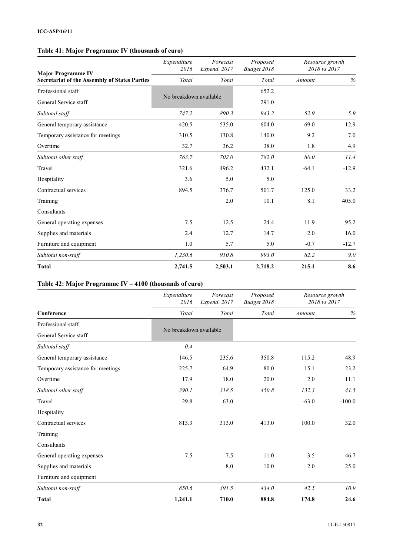## **Table 41: Major Programme IV (thousands of euro)**

| <b>Major Programme IV</b>                            | Expenditure<br>2016    | Forecast<br>Expend. 2017 | Proposed<br>Budget 2018 | Resource growth<br>2018 vs 2017 |         |
|------------------------------------------------------|------------------------|--------------------------|-------------------------|---------------------------------|---------|
| <b>Secretariat of the Assembly of States Parties</b> | Total                  | Total                    | Total                   | Amount                          | $\%$    |
| Professional staff                                   |                        |                          | 652.2                   |                                 |         |
| General Service staff                                | No breakdown available |                          | 291.0                   |                                 |         |
| Subtotal staff                                       | 747.2                  | 890.3                    | 943.2                   | 52.9                            | 5.9     |
| General temporary assistance                         | 420.5                  | 535.0                    | 604.0                   | 69.0                            | 12.9    |
| Temporary assistance for meetings                    | 310.5                  | 130.8                    | 140.0                   | 9.2                             | 7.0     |
| Overtime                                             | 32.7                   | 36.2                     | 38.0                    | 1.8                             | 4.9     |
| Subtotal other staff                                 | 763.7                  | 702.0                    | 782.0                   | 80.0                            | 11.4    |
| Travel                                               | 321.6                  | 496.2                    | 432.1                   | $-64.1$                         | $-12.9$ |
| Hospitality                                          | 3.6                    | 5.0                      | 5.0                     |                                 |         |
| Contractual services                                 | 894.5                  | 376.7                    | 501.7                   | 125.0                           | 33.2    |
| Training                                             |                        | 2.0                      | 10.1                    | 8.1                             | 405.0   |
| Consultants                                          |                        |                          |                         |                                 |         |
| General operating expenses                           | 7.5                    | 12.5                     | 24.4                    | 11.9                            | 95.2    |
| Supplies and materials                               | 2.4                    | 12.7                     | 14.7                    | 2.0                             | 16.0    |
| Furniture and equipment                              | 1.0                    | 5.7                      | 5.0                     | $-0.7$                          | $-12.7$ |
| Subtotal non-staff                                   | 1,230.6                | 910.8                    | 993.0                   | 82.2                            | 9.0     |
| <b>Total</b>                                         | 2,741.5                | 2,503.1                  | 2,718.2                 | 215.1                           | 8.6     |

#### **Table 42: Major Programme IV – 4100 (thousands of euro)**

|                                   | Expenditure<br>2016    | Forecast<br>Expend. 2017 | Proposed<br>Budget 2018 | Resource growth<br>2018 vs 2017 |          |
|-----------------------------------|------------------------|--------------------------|-------------------------|---------------------------------|----------|
| Conference                        | Total                  | Total                    | Total                   | Amount                          | $\%$     |
| Professional staff                |                        |                          |                         |                                 |          |
| General Service staff             | No breakdown available |                          |                         |                                 |          |
| Subtotal staff                    | 0.4                    |                          |                         |                                 |          |
| General temporary assistance      | 146.5                  | 235.6                    | 350.8                   | 115.2                           | 48.9     |
| Temporary assistance for meetings | 225.7                  | 64.9                     | 80.0                    | 15.1                            | 23.2     |
| Overtime                          | 17.9                   | 18.0                     | 20.0                    | 2.0                             | 11.1     |
| Subtotal other staff              | 390.1                  | 318.5                    | 450.8                   | 132.3                           | 41.5     |
| Travel                            | 29.8                   | 63.0                     |                         | $-63.0$                         | $-100.0$ |
| Hospitality                       |                        |                          |                         |                                 |          |
| Contractual services              | 813.3                  | 313.0                    | 413.0                   | 100.0                           | 32.0     |
| Training                          |                        |                          |                         |                                 |          |
| Consultants                       |                        |                          |                         |                                 |          |
| General operating expenses        | 7.5                    | 7.5                      | 11.0                    | 3.5                             | 46.7     |
| Supplies and materials            |                        | $8.0\,$                  | 10.0                    | 2.0                             | 25.0     |
| Furniture and equipment           |                        |                          |                         |                                 |          |
| Subtotal non-staff                | 850.6                  | 391.5                    | 434.0                   | 42.5                            | 10.9     |
| <b>Total</b>                      | 1,241.1                | 710.0                    | 884.8                   | 174.8                           | 24.6     |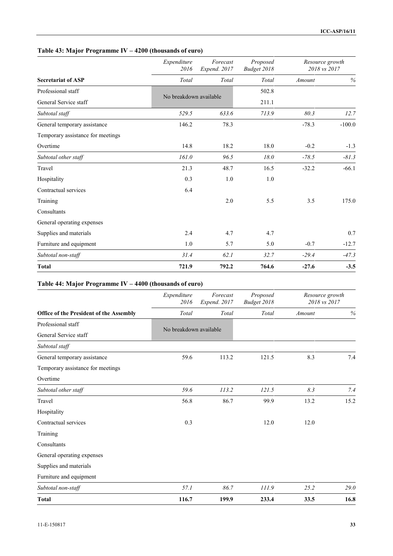| Table 43: Major Programme IV – 4200 (thousands of euro) |  |  |
|---------------------------------------------------------|--|--|
|                                                         |  |  |

|                                   | Expenditure<br>2016    | Forecast<br>Expend. 2017 | Proposed<br>Budget 2018 | Resource growth<br>2018 vs 2017 |          |
|-----------------------------------|------------------------|--------------------------|-------------------------|---------------------------------|----------|
| <b>Secretariat of ASP</b>         | Total                  | Total                    | Total                   | Amount                          | $\%$     |
| Professional staff                |                        |                          | 502.8                   |                                 |          |
| General Service staff             | No breakdown available |                          | 211.1                   |                                 |          |
| Subtotal staff                    | 529.5                  | 633.6                    | 713.9                   | 80.3                            | 12.7     |
| General temporary assistance      | 146.2                  | 78.3                     |                         | $-78.3$                         | $-100.0$ |
| Temporary assistance for meetings |                        |                          |                         |                                 |          |
| Overtime                          | 14.8                   | 18.2                     | 18.0                    | $-0.2$                          | $-1.3$   |
| Subtotal other staff              | 161.0                  | 96.5                     | 18.0                    | $-78.5$                         | $-81.3$  |
| Travel                            | 21.3                   | 48.7                     | 16.5                    | $-32.2$                         | $-66.1$  |
| Hospitality                       | 0.3                    | 1.0                      | 1.0                     |                                 |          |
| Contractual services              | 6.4                    |                          |                         |                                 |          |
| Training                          |                        | $2.0\,$                  | 5.5                     | 3.5                             | 175.0    |
| Consultants                       |                        |                          |                         |                                 |          |
| General operating expenses        |                        |                          |                         |                                 |          |
| Supplies and materials            | 2.4                    | 4.7                      | 4.7                     |                                 | 0.7      |
| Furniture and equipment           | 1.0                    | 5.7                      | 5.0                     | $-0.7$                          | $-12.7$  |
| Subtotal non-staff                | 31.4                   | 62.1                     | 32.7                    | $-29.4$                         | $-47.3$  |
| <b>Total</b>                      | 721.9                  | 792.2                    | 764.6                   | $-27.6$                         | $-3.5$   |

#### **Table 44: Major Programme IV – 4400 (thousands of euro)**

|                                         | Expenditure<br>2016    | Forecast<br>Expend. 2017 | Proposed<br>Budget 2018 | Resource growth<br>2018 vs 2017 |      |
|-----------------------------------------|------------------------|--------------------------|-------------------------|---------------------------------|------|
| Office of the President of the Assembly | Total                  | Total                    | Total                   | Amount                          | $\%$ |
| Professional staff                      |                        |                          |                         |                                 |      |
| General Service staff                   | No breakdown available |                          |                         |                                 |      |
| Subtotal staff                          |                        |                          |                         |                                 |      |
| General temporary assistance            | 59.6                   | 113.2                    | 121.5                   | 8.3                             | 7.4  |
| Temporary assistance for meetings       |                        |                          |                         |                                 |      |
| Overtime                                |                        |                          |                         |                                 |      |
| Subtotal other staff                    | 59.6                   | 113.2                    | 121.5                   | 8.3                             | 7.4  |
| Travel                                  | 56.8                   | 86.7                     | 99.9                    | 13.2                            | 15.2 |
| Hospitality                             |                        |                          |                         |                                 |      |
| Contractual services                    | 0.3                    |                          | 12.0                    | 12.0                            |      |
| Training                                |                        |                          |                         |                                 |      |
| Consultants                             |                        |                          |                         |                                 |      |
| General operating expenses              |                        |                          |                         |                                 |      |
| Supplies and materials                  |                        |                          |                         |                                 |      |
| Furniture and equipment                 |                        |                          |                         |                                 |      |
| Subtotal non-staff                      | 57.1                   | 86.7                     | 111.9                   | 25.2                            | 29.0 |
| <b>Total</b>                            | 116.7                  | 199.9                    | 233.4                   | 33.5                            | 16.8 |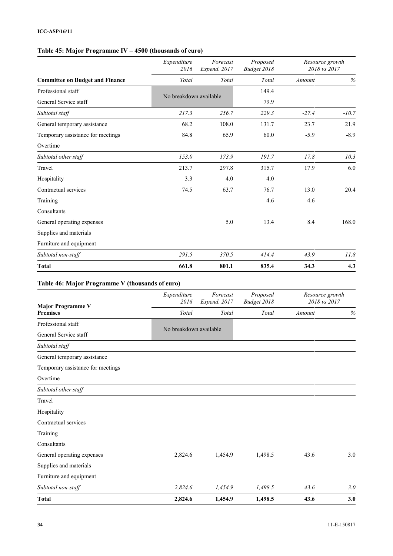### **Table 45: Major Programme IV – 4500 (thousands of euro)**

|                                        | Expenditure<br>2016    | Forecast<br>Expend. 2017 | Proposed<br>Budget 2018 | Resource growth<br>2018 vs 2017 |         |
|----------------------------------------|------------------------|--------------------------|-------------------------|---------------------------------|---------|
| <b>Committee on Budget and Finance</b> | Total                  | Total                    | Total                   | Amount                          | $\%$    |
| Professional staff                     |                        |                          | 149.4                   |                                 |         |
| General Service staff                  | No breakdown available |                          | 79.9                    |                                 |         |
| Subtotal staff                         | 217.3                  | 256.7                    | 229.3                   | $-27.4$                         | $-10.7$ |
| General temporary assistance           | 68.2                   | 108.0                    | 131.7                   | 23.7                            | 21.9    |
| Temporary assistance for meetings      | 84.8                   | 65.9                     | 60.0                    | $-5.9$                          | $-8.9$  |
| Overtime                               |                        |                          |                         |                                 |         |
| Subtotal other staff                   | 153.0                  | 173.9                    | 191.7                   | 17.8                            | 10.3    |
| Travel                                 | 213.7                  | 297.8                    | 315.7                   | 17.9                            | 6.0     |
| Hospitality                            | 3.3                    | 4.0                      | 4.0                     |                                 |         |
| Contractual services                   | 74.5                   | 63.7                     | 76.7                    | 13.0                            | 20.4    |
| Training                               |                        |                          | 4.6                     | 4.6                             |         |
| Consultants                            |                        |                          |                         |                                 |         |
| General operating expenses             |                        | 5.0                      | 13.4                    | 8.4                             | 168.0   |
| Supplies and materials                 |                        |                          |                         |                                 |         |
| Furniture and equipment                |                        |                          |                         |                                 |         |
| Subtotal non-staff                     | 291.5                  | 370.5                    | 414.4                   | 43.9                            | 11.8    |
| <b>Total</b>                           | 661.8                  | 801.1                    | 835.4                   | 34.3                            | 4.3     |

## **Table 46: Major Programme V (thousands of euro)**

| <b>Major Programme V</b>          | Expenditure<br>2016    | Forecast<br>Expend. 2017 | Proposed<br>Budget 2018 | Resource growth<br>2018 vs 2017 |      |
|-----------------------------------|------------------------|--------------------------|-------------------------|---------------------------------|------|
| <b>Premises</b>                   | Total                  | Total                    | Total                   | Amount                          | $\%$ |
| Professional staff                | No breakdown available |                          |                         |                                 |      |
| General Service staff             |                        |                          |                         |                                 |      |
| Subtotal staff                    |                        |                          |                         |                                 |      |
| General temporary assistance      |                        |                          |                         |                                 |      |
| Temporary assistance for meetings |                        |                          |                         |                                 |      |
| Overtime                          |                        |                          |                         |                                 |      |
| Subtotal other staff              |                        |                          |                         |                                 |      |
| Travel                            |                        |                          |                         |                                 |      |
| Hospitality                       |                        |                          |                         |                                 |      |
| Contractual services              |                        |                          |                         |                                 |      |
| Training                          |                        |                          |                         |                                 |      |
| Consultants                       |                        |                          |                         |                                 |      |
| General operating expenses        | 2,824.6                | 1,454.9                  | 1,498.5                 | 43.6                            | 3.0  |
| Supplies and materials            |                        |                          |                         |                                 |      |
| Furniture and equipment           |                        |                          |                         |                                 |      |
| Subtotal non-staff                | 2,824.6                | 1,454.9                  | 1,498.5                 | 43.6                            | 3.0  |
| <b>Total</b>                      | 2,824.6                | 1,454.9                  | 1,498.5                 | 43.6                            | 3.0  |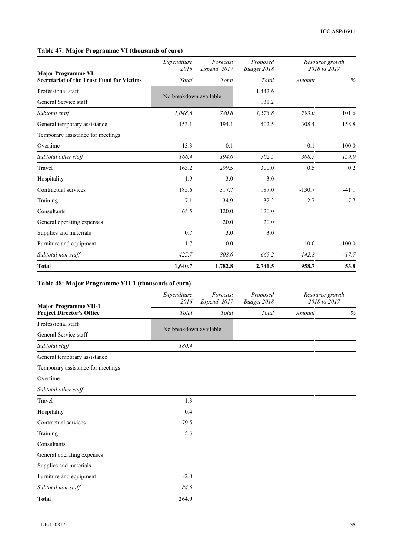## **Table 47: Major Programme VI (thousands of euro)**

| <b>Major Programme VI</b>                        | Expenditure<br>2016 | Forecast<br>Expend. 2017 | Proposed<br>Budget 2018 | Resource growth<br>2018 vs 2017 |          |
|--------------------------------------------------|---------------------|--------------------------|-------------------------|---------------------------------|----------|
| <b>Secretariat of the Trust Fund for Victims</b> | Total               | Total                    | Total                   | Amount                          | $\%$     |
| Professional staff                               |                     | No breakdown available   |                         |                                 |          |
| General Service staff                            |                     |                          | 131.2                   |                                 |          |
| Subtotal staff                                   | 1,048.6             | 780.8                    | 1,573.8                 | 793.0                           | 101.6    |
| General temporary assistance                     | 153.1               | 194.1                    | 502.5                   | 308.4                           | 158.8    |
| Temporary assistance for meetings                |                     |                          |                         |                                 |          |
| Overtime                                         | 13.3                | $-0.1$                   |                         | 0.1                             | $-100.0$ |
| Subtotal other staff                             | 166.4               | 194.0                    | 502.5                   | 308.5                           | 159.0    |
| Travel                                           | 163.2               | 299.5                    | 300.0                   | 0.5                             | 0.2      |
| Hospitality                                      | 1.9                 | 3.0                      | 3.0                     |                                 |          |
| Contractual services                             | 185.6               | 317.7                    | 187.0                   | $-130.7$                        | $-41.1$  |
| Training                                         | 7.1                 | 34.9                     | 32.2                    | $-2.7$                          | $-7.7$   |
| Consultants                                      | 65.5                | 120.0                    | 120.0                   |                                 |          |
| General operating expenses                       |                     | 20.0                     | 20.0                    |                                 |          |
| Supplies and materials                           | 0.7                 | 3.0                      | 3.0                     |                                 |          |
| Furniture and equipment                          | 1.7                 | 10.0                     |                         | $-10.0$                         | $-100.0$ |
| Subtotal non-staff                               | 425.7               | 808.0                    | 665.2                   | $-142.8$                        | $-17.7$  |
| <b>Total</b>                                     | 1,640.7             | 1,782.8                  | 2,741.5                 | 958.7                           | 53.8     |

# **Table 48: Major Programme VII-1 (thousands of euro)**

| <b>Major Programme VII-1</b>      | Expenditure<br>2016    | Forecast<br>Expend. 2017 | Proposed<br>Budget 2018 | Resource growth<br>2018 vs 2017 |      |
|-----------------------------------|------------------------|--------------------------|-------------------------|---------------------------------|------|
| <b>Project Director's Office</b>  | Total                  | Total                    | Total                   | Amount                          | $\%$ |
| Professional staff                |                        |                          |                         |                                 |      |
| General Service staff             | No breakdown available |                          |                         |                                 |      |
| Subtotal staff                    | 180.4                  |                          |                         |                                 |      |
| General temporary assistance      |                        |                          |                         |                                 |      |
| Temporary assistance for meetings |                        |                          |                         |                                 |      |
| Overtime                          |                        |                          |                         |                                 |      |
| Subtotal other staff              |                        |                          |                         |                                 |      |
| Travel                            | 1.3                    |                          |                         |                                 |      |
| Hospitality                       | 0.4                    |                          |                         |                                 |      |
| Contractual services              | 79.5                   |                          |                         |                                 |      |
| Training                          | 5.3                    |                          |                         |                                 |      |
| Consultants                       |                        |                          |                         |                                 |      |
| General operating expenses        |                        |                          |                         |                                 |      |
| Supplies and materials            |                        |                          |                         |                                 |      |
| Furniture and equipment           | $-2.0$                 |                          |                         |                                 |      |
| Subtotal non-staff                | 84.5                   |                          |                         |                                 |      |
| <b>Total</b>                      | 264.9                  |                          |                         |                                 |      |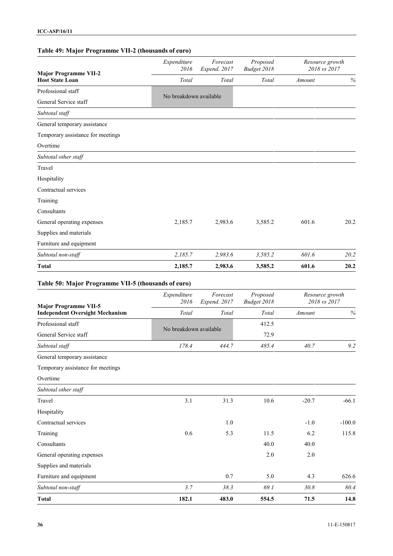#### **Table 49: Major Programme VII-2 (thousands of euro)**

| <b>Major Programme VII-2</b>      | Expenditure<br>2016    | Forecast<br>Expend. 2017 | Proposed<br>Budget 2018 | Resource growth<br>2018 vs 2017 |      |
|-----------------------------------|------------------------|--------------------------|-------------------------|---------------------------------|------|
| <b>Host State Loan</b>            | Total                  | Total                    | Total                   | Amount                          | $\%$ |
| Professional staff                | No breakdown available |                          |                         |                                 |      |
| General Service staff             |                        |                          |                         |                                 |      |
| Subtotal staff                    |                        |                          |                         |                                 |      |
| General temporary assistance      |                        |                          |                         |                                 |      |
| Temporary assistance for meetings |                        |                          |                         |                                 |      |
| Overtime                          |                        |                          |                         |                                 |      |
| Subtotal other staff              |                        |                          |                         |                                 |      |
| Travel                            |                        |                          |                         |                                 |      |
| Hospitality                       |                        |                          |                         |                                 |      |
| Contractual services              |                        |                          |                         |                                 |      |
| Training                          |                        |                          |                         |                                 |      |
| Consultants                       |                        |                          |                         |                                 |      |
| General operating expenses        | 2,185.7                | 2,983.6                  | 3,585.2                 | 601.6                           | 20.2 |
| Supplies and materials            |                        |                          |                         |                                 |      |
| Furniture and equipment           |                        |                          |                         |                                 |      |
| Subtotal non-staff                | 2,185.7                | 2,983.6                  | 3,585.2                 | 601.6                           | 20.2 |
| <b>Total</b>                      | 2,185.7                | 2,983.6                  | 3,585.2                 | 601.6                           | 20.2 |

## **Table 50: Major Programme VII-5 (thousands of euro)**

| <b>Major Programme VII-5</b>           | Expenditure<br>2016    | Forecast<br>Expend. 2017 | Proposed<br>Budget 2018 | Resource growth<br>2018 vs 2017 |          |
|----------------------------------------|------------------------|--------------------------|-------------------------|---------------------------------|----------|
| <b>Independent Oversight Mechanism</b> | Total                  | Total                    | Total                   | Amount                          | $\%$     |
| Professional staff                     | No breakdown available |                          | 412.5                   |                                 |          |
| General Service staff                  |                        |                          | 72.9                    |                                 |          |
| Subtotal staff                         | 178.4                  | 444.7                    | 485.4                   | 40.7                            | 9.2      |
| General temporary assistance           |                        |                          |                         |                                 |          |
| Temporary assistance for meetings      |                        |                          |                         |                                 |          |
| Overtime                               |                        |                          |                         |                                 |          |
| Subtotal other staff                   |                        |                          |                         |                                 |          |
| Travel                                 | 3.1                    | 31.3                     | 10.6                    | $-20.7$                         | $-66.1$  |
| Hospitality                            |                        |                          |                         |                                 |          |
| Contractual services                   |                        | 1.0                      |                         | $-1.0$                          | $-100.0$ |
| Training                               | 0.6                    | 5.3                      | 11.5                    | 6.2                             | 115.8    |
| Consultants                            |                        |                          | 40.0                    | 40.0                            |          |
| General operating expenses             |                        |                          | 2.0                     | 2.0                             |          |
| Supplies and materials                 |                        |                          |                         |                                 |          |
| Furniture and equipment                |                        | 0.7                      | 5.0                     | 4.3                             | 626.6    |
| Subtotal non-staff                     | 3.7                    | 38.3                     | 69.1                    | 30.8                            | 80.4     |
| <b>Total</b>                           | 182.1                  | 483.0                    | 554.5                   | 71.5                            | 14.8     |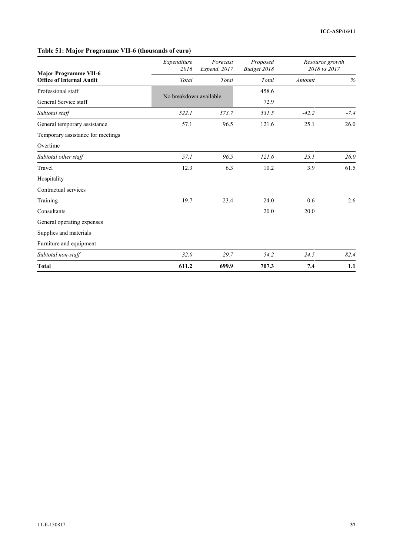## **Table 51: Major Programme VII-6 (thousands of euro)**

| <b>Major Programme VII-6</b>      | Expenditure<br>2016 | Forecast<br>Expend. 2017 | Proposed<br>Budget 2018 | Resource growth<br>2018 vs 2017 |        |
|-----------------------------------|---------------------|--------------------------|-------------------------|---------------------------------|--------|
| <b>Office of Internal Audit</b>   | Total               | Total                    | Total                   | Amount                          | $\%$   |
| Professional staff                |                     | No breakdown available   |                         |                                 |        |
| General Service staff             |                     |                          |                         |                                 |        |
| Subtotal staff                    | 522.1               | 573.7                    | 531.5                   | $-42.2$                         | $-7.4$ |
| General temporary assistance      | 57.1                | 96.5                     | 121.6                   | 25.1                            | 26.0   |
| Temporary assistance for meetings |                     |                          |                         |                                 |        |
| Overtime                          |                     |                          |                         |                                 |        |
| Subtotal other staff              | 57.1                | 96.5                     | 121.6                   | 25.1                            | 26.0   |
| Travel                            | 12.3                | 6.3                      | 10.2                    | 3.9                             | 61.5   |
| Hospitality                       |                     |                          |                         |                                 |        |
| Contractual services              |                     |                          |                         |                                 |        |
| Training                          | 19.7                | 23.4                     | 24.0                    | 0.6                             | 2.6    |
| Consultants                       |                     |                          | 20.0                    | 20.0                            |        |
| General operating expenses        |                     |                          |                         |                                 |        |
| Supplies and materials            |                     |                          |                         |                                 |        |
| Furniture and equipment           |                     |                          |                         |                                 |        |
| Subtotal non-staff                | 32.0                | 29.7                     | 54.2                    | 24.5                            | 82.4   |
| <b>Total</b>                      | 611.2               | 699.9                    | 707.3                   | 7.4                             | 1.1    |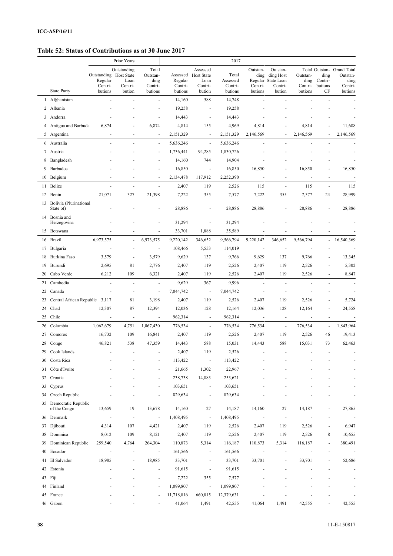#### **Table 52: Status of Contributions as at 30 June 2017**

|    |                                     |                                   | Prior Years              |                           |                     |                                       | 2017               |                          |                                             |                          |                          |                                                |
|----|-------------------------------------|-----------------------------------|--------------------------|---------------------------|---------------------|---------------------------------------|--------------------|--------------------------|---------------------------------------------|--------------------------|--------------------------|------------------------------------------------|
|    |                                     | Outstanding Host State<br>Regular | Outstanding<br>Loan      | Total<br>Outstan-<br>ding | Assessed<br>Regular | Assessed<br><b>Host State</b><br>Loan | Total<br>Assessed  | Outstan-<br>ding         | Outstan-<br>ding Host<br>Regular State Loan | Outstan-<br>ding         | ding<br>Contri-          | Total Outstan- Grand Total<br>Outstan-<br>ding |
|    | <b>State Party</b>                  | Contri-<br>butions                | Contri-<br>bution        | Contri-<br>butions        | Contri-<br>butions  | Contri-<br>bution                     | Contri-<br>butions | Contri-<br>butions       | Contri-<br>bution                           | Contri-<br>butions       | butions<br>CF            | Contri-<br>butions                             |
|    | 1 Afghanistan                       | ÷,                                |                          | ä,                        | 14,160              | 588                                   | 14,748             | $\sim$                   |                                             |                          |                          |                                                |
| 2  | Albania                             |                                   |                          |                           | 19,258              | $\overline{\phantom{a}}$              | 19,258             |                          |                                             |                          |                          |                                                |
|    | 3 Andorra                           |                                   |                          |                           | 14,443              | $\overline{\phantom{a}}$              | 14,443             |                          |                                             |                          |                          |                                                |
|    | Antigua and Barbuda                 | 6,874                             |                          | 6,874                     | 4,814               | 155                                   | 4,969              | 4,814                    |                                             | 4,814                    |                          | 11,688                                         |
|    | 5 Argentina                         |                                   |                          | $\blacksquare$            | 2,151,329           | $\overline{\phantom{a}}$              | 2,151,329          | 2,146,569                |                                             | 2,146,569                |                          | 2,146,569                                      |
|    | 6 Australia                         | L.                                |                          | $\blacksquare$            | 5,636,246           | $\overline{\phantom{a}}$              | 5,636,246          |                          |                                             |                          |                          |                                                |
|    | 7 Austria                           |                                   |                          | $\overline{a}$            | 1,736,441           | 94,285                                | 1,830,726          |                          |                                             |                          |                          |                                                |
| 8  | Bangladesh                          |                                   |                          | $\overline{\phantom{a}}$  | 14,160              | 744                                   | 14,904             |                          |                                             |                          |                          |                                                |
| 9  | Barbados                            |                                   |                          | $\overline{\phantom{a}}$  | 16,850              | $\overline{\phantom{a}}$              | 16,850             | 16,850                   |                                             | 16,850                   |                          | 16,850                                         |
| 10 | Belgium                             |                                   |                          | ä,                        | 2,134,478           | 117,912                               | 2,252,390          | $\sim$                   | ÷,                                          |                          | ä,                       |                                                |
| 11 | Belize                              | L.                                | L.                       | $\overline{a}$            | 2,407               | 119                                   | 2,526              | 115                      | ä,                                          | 115                      | ÷,                       | 115                                            |
| 12 | Benin                               | 21,071                            | 327                      | 21,398                    | 7,222               | 355                                   | 7,577              | 7,222                    | 355                                         | 7,577                    | 24                       | 28,999                                         |
| 13 | Bolivia (Plurinational<br>State of) |                                   |                          |                           | 28,886              | $\overline{\phantom{a}}$              | 28,886             | 28,886                   | $\overline{a}$                              | 28,886                   | $\sim$                   | 28,886                                         |
|    | 14 Bosnia and<br>Herzegovina        |                                   |                          |                           | 31,294              |                                       | 31,294             |                          |                                             |                          |                          |                                                |
| 15 | Botswana                            |                                   |                          |                           | 33,701              | 1,888                                 | 35,589             |                          |                                             |                          |                          |                                                |
|    | 16 Brazil                           | 6,973,575                         | $\overline{\phantom{a}}$ | 6,973,575                 | 9,220,142           | 346,652                               | 9,566,794          | 9,220,142                | 346,652                                     | 9,566,794                | $\overline{\phantom{a}}$ | 16,540,369                                     |
| 17 | Bulgaria                            |                                   |                          | $\overline{\phantom{a}}$  | 108,466             | 5,553                                 | 114,019            | $\overline{\phantom{a}}$ | ÷,                                          |                          |                          |                                                |
| 18 | Burkina Faso                        | 3,579                             | ÷,                       | 3,579                     | 9,629               | 137                                   | 9,766              | 9,629                    | 137                                         | 9,766                    |                          | 13,345                                         |
| 19 | Burundi                             | 2,695                             | 81                       | 2,776                     | 2,407               | 119                                   | 2,526              | 2,407                    | 119                                         | 2,526                    |                          | 5,302                                          |
| 20 | Cabo Verde                          | 6,212                             | 109                      | 6,321                     | 2,407               | 119                                   | 2,526              | 2,407                    | 119                                         | 2,526                    |                          | 8,847                                          |
| 21 | Cambodia                            | ä,                                | ÷,                       | $\overline{\phantom{a}}$  | 9,629               | 367                                   | 9,996              | ÷,                       | ÷,                                          |                          |                          |                                                |
| 22 | Canada                              |                                   | ä,                       | $\blacksquare$            | 7,044,742           | $\overline{\phantom{a}}$              | 7,044,742          | $\overline{a}$           | ÷,                                          | ÷,                       |                          |                                                |
| 23 | Central African Republic 3,117      |                                   | 81                       | 3,198                     | 2,407               | 119                                   | 2,526              | 2,407                    | 119                                         | 2,526                    |                          | 5,724                                          |
| 24 | Chad                                | 12,307                            | 87                       | 12,394                    | 12,036              | 128                                   | 12,164             | 12,036                   | 128                                         | 12,164                   |                          | 24,558                                         |
| 25 | Chile                               | $\bar{\phantom{a}}$               | $\bar{\phantom{a}}$      | $\omega$                  | 962,314             | $\sim$                                | 962,314            | $\overline{\phantom{a}}$ | $\omega$                                    | $\blacksquare$           | ä,                       | ÷,                                             |
| 26 | Colombia                            | 1,062,679                         | 4,751                    | 1,067,430                 | 776,534             | $\overline{\phantom{a}}$              | 776,534            | 776,534                  | $\overline{\phantom{a}}$                    | 776,534                  | $\blacksquare$           | 1,843,964                                      |
| 27 | Comoros                             | 16,732                            | 109                      | 16,841                    | 2,407               | 119                                   | 2,526              | 2,407                    | 119                                         | 2,526                    | 46                       | 19,413                                         |
| 28 | Congo                               | 46,821                            | 538                      | 47,359                    | 14,443              | 588                                   | 15,031             | 14,443                   | 588                                         | 15,031                   | 73                       | 62,463                                         |
|    | 29 Cook Islands                     | $\sim$                            | $\overline{\phantom{a}}$ | $\overline{\phantom{a}}$  | 2,407               | 119                                   | 2,526              |                          | $\overline{\phantom{a}}$                    |                          | $\overline{\phantom{a}}$ |                                                |
|    | 30 Costa Rica                       |                                   |                          |                           | 113,422             | $\overline{\phantom{a}}$              | 113,422            |                          |                                             |                          |                          |                                                |
| 31 | Côte d'Ivoire                       |                                   |                          | ٠                         | 21,665              | 1,302                                 | 22,967             |                          |                                             |                          |                          |                                                |
| 32 | Croatia                             |                                   |                          | $\frac{1}{2}$             | 238,738             | 14,883                                | 253,621            |                          |                                             |                          |                          |                                                |
| 33 | Cyprus                              |                                   |                          | $\overline{\phantom{a}}$  | 103,651             | $\overline{\phantom{a}}$              | 103,651            |                          |                                             |                          |                          |                                                |
| 34 | Czech Republic                      |                                   |                          | ٠                         | 829,634             | $\overline{\phantom{a}}$              | 829,634            |                          |                                             |                          |                          |                                                |
| 35 | Democratic Republic<br>of the Congo | 13,659                            | 19                       | 13,678                    | 14,160              | 27                                    | 14,187             | 14,160                   | 27                                          | 14,187                   | $\blacksquare$           | 27,865                                         |
|    | 36 Denmark                          | $\blacksquare$                    | $\overline{\phantom{a}}$ | $\overline{\phantom{a}}$  | 1,408,495           | $\ddot{\phantom{a}}$                  | 1,408,495          | $\overline{\phantom{a}}$ | $\overline{\phantom{a}}$                    | $\blacksquare$           | $\blacksquare$           |                                                |
| 37 | Djibouti                            | 4,314                             | 107                      | 4,421                     | 2,407               | 119                                   | 2,526              | 2,407                    | 119                                         | 2,526                    | $\overline{\phantom{a}}$ | 6,947                                          |
| 38 | Dominica                            | 8,012                             | 109                      | 8,121                     | 2,407               | 119                                   | 2,526              | 2,407                    | 119                                         | 2,526                    | 8                        | 10,655                                         |
| 39 | Dominican Republic                  | 259,540                           | 4,764                    | 264,304                   | 110,873             | 5,314                                 | 116,187            | 110,873                  | 5,314                                       | 116,187                  | $\overline{\phantom{a}}$ | 380,491                                        |
| 40 | Ecuador                             | $\blacksquare$                    | $\overline{\phantom{a}}$ | $\blacksquare$            | 161,566             | $\blacksquare$                        | 161,566            | $\blacksquare$           | $\overline{\phantom{a}}$                    | $\overline{\phantom{a}}$ | $\overline{\phantom{a}}$ |                                                |
| 41 | El Salvador                         | 18,985                            | ÷,                       | 18,985                    | 33,701              | $\overline{\phantom{a}}$              | 33,701             | 33,701                   | ÷,                                          | 33,701                   | ÷,                       | 52,686                                         |
| 42 | Estonia                             |                                   |                          | $\overline{\phantom{a}}$  | 91,615              | $\overline{\phantom{a}}$              | 91,615             |                          |                                             |                          |                          |                                                |
|    | 43 Fiji                             |                                   |                          | $\overline{\phantom{a}}$  | 7,222               | 355                                   | 7,577              |                          |                                             |                          |                          |                                                |
| 44 | Finland                             |                                   |                          | ٠                         | 1,099,807           | $\overline{\phantom{a}}$              | 1,099,807          |                          |                                             |                          |                          |                                                |
| 45 | France                              |                                   |                          | $\frac{1}{2}$             | 11,718,816          | 660,815                               | 12,379,631         |                          |                                             |                          |                          | $\overline{a}$                                 |
|    | 46 Gabon                            |                                   |                          | $\overline{\phantom{a}}$  | 41,064              | 1,491                                 | 42,555             | 41,064                   | 1,491                                       | 42,555                   | ٠                        | 42,555                                         |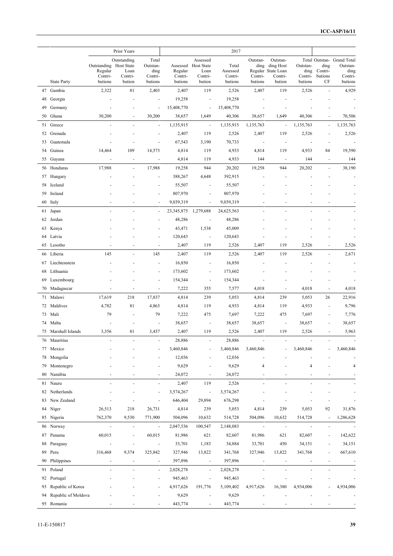|    |                     |                                                         | Prior Years                              |                                                 |                               |                                                              | 2017                                    |                                        |                                                                  |                                        |                                  |                                                                      |
|----|---------------------|---------------------------------------------------------|------------------------------------------|-------------------------------------------------|-------------------------------|--------------------------------------------------------------|-----------------------------------------|----------------------------------------|------------------------------------------------------------------|----------------------------------------|----------------------------------|----------------------------------------------------------------------|
|    | <b>State Party</b>  | Outstanding Host State<br>Regular<br>Contri-<br>butions | Outstanding<br>Loan<br>Contri-<br>bution | Total<br>Outstan-<br>ding<br>Contri-<br>butions | Regular<br>Contri-<br>butions | Assessed<br>Assessed Host State<br>Loan<br>Contri-<br>bution | Total<br>Assessed<br>Contri-<br>butions | Outstan-<br>ding<br>Contri-<br>butions | Outstan-<br>ding Host<br>Regular State Loan<br>Contri-<br>bution | Outstan-<br>ding<br>Contri-<br>butions | ding<br>Contri-<br>butions<br>СF | Total Outstan- Grand Total<br>Outstan-<br>ding<br>Contri-<br>butions |
| 47 | Gambia              | 2,322                                                   | 81                                       | 2,403                                           | 2,407                         | 119                                                          | 2,526                                   | 2,407                                  | 119                                                              | 2,526                                  |                                  | 4,929                                                                |
| 48 | Georgia             |                                                         | ÷,                                       | $\overline{a}$                                  | 19,258                        | $\overline{\phantom{a}}$                                     | 19,258                                  |                                        |                                                                  |                                        |                                  |                                                                      |
| 49 | Germany             |                                                         |                                          | $\overline{\phantom{a}}$                        | 15,408,770                    | $\overline{\phantom{a}}$                                     | 15,408,770                              |                                        |                                                                  |                                        |                                  |                                                                      |
| 50 | Ghana               | 30,200                                                  |                                          | 30,200                                          | 38,657                        | 1,649                                                        | 40,306                                  | 38,657                                 | 1,649                                                            | 40,306                                 |                                  | 70,506                                                               |
| 51 | Greece              |                                                         |                                          | $\blacksquare$                                  | 1,135,915                     | $\sim$                                                       | 1,135,915                               | 1,135,763                              | $\blacksquare$                                                   | 1,135,763                              | $\overline{a}$                   | 1,135,763                                                            |
| 52 | Grenada             |                                                         |                                          | ä,                                              | 2,407                         | 119                                                          | 2,526                                   | 2,407                                  | 119                                                              | 2,526                                  |                                  | 2,526                                                                |
| 53 | Guatemala           |                                                         |                                          | $\sim$                                          | 67,543                        | 3,190                                                        | 70,733                                  | ÷,                                     | $\overline{\phantom{a}}$                                         | ÷,                                     |                                  |                                                                      |
| 54 | Guinea              | 14,464                                                  | 109                                      | 14,573                                          | 4,814                         | 119                                                          | 4,933                                   | 4,814                                  | 119                                                              | 4,933                                  | 84                               | 19,590                                                               |
|    | 55 Guyana           | $\blacksquare$                                          | $\sim$                                   | $\blacksquare$                                  | 4,814                         | 119                                                          | 4,933                                   | 144                                    | $\overline{\phantom{a}}$                                         | 144                                    | $\sim$                           | 144                                                                  |
| 56 | Honduras            | 17,988                                                  |                                          | 17,988                                          | 19,258                        | 944                                                          | 20,202                                  | 19,258                                 | 944                                                              | 20,202                                 |                                  | 38,190                                                               |
|    | 57 Hungary          |                                                         |                                          | $\overline{a}$                                  | 388,267                       | 4,648                                                        | 392,915                                 |                                        |                                                                  |                                        |                                  |                                                                      |
| 58 | Iceland             |                                                         |                                          |                                                 | 55,507                        | $\overline{\phantom{a}}$                                     | 55,507                                  |                                        |                                                                  |                                        |                                  |                                                                      |
| 59 | Ireland             |                                                         |                                          | $\blacksquare$                                  | 807,970                       | ä,                                                           | 807,970                                 |                                        |                                                                  |                                        |                                  |                                                                      |
|    | 60 Italy            |                                                         |                                          |                                                 | 9,039,319                     | $\overline{\phantom{a}}$                                     | 9,039,319                               |                                        |                                                                  |                                        |                                  |                                                                      |
| 61 | Japan               | ä,                                                      |                                          | $\blacksquare$                                  | 23,345,875                    | 1,279,688                                                    | 24,625,563                              | ÷,                                     |                                                                  |                                        |                                  |                                                                      |
| 62 | Jordan              |                                                         |                                          | $\sim$                                          | 48,286                        | $\overline{\phantom{a}}$                                     | 48,286                                  |                                        |                                                                  |                                        |                                  |                                                                      |
|    | 63 Kenya            |                                                         |                                          | $\sim$                                          | 43,471                        | 1,538                                                        | 45,009                                  |                                        |                                                                  |                                        |                                  |                                                                      |
| 64 | Latvia              |                                                         |                                          |                                                 | 120,643                       | $\overline{\phantom{a}}$                                     | 120,643                                 |                                        |                                                                  |                                        |                                  |                                                                      |
|    | 65 Lesotho          |                                                         |                                          | $\sim$                                          | 2,407                         | 119                                                          | 2,526                                   | 2,407                                  | 119                                                              | 2,526                                  |                                  | 2,526                                                                |
| 66 | Liberia             | 145                                                     |                                          | 145                                             | 2,407                         | 119                                                          | 2,526                                   | 2,407                                  | 119                                                              | 2,526                                  |                                  | 2,671                                                                |
| 67 | Liechtenstein       |                                                         |                                          |                                                 | 16,850                        | $\overline{\phantom{a}}$                                     | 16,850                                  |                                        |                                                                  |                                        |                                  |                                                                      |
| 68 | Lithuania           |                                                         |                                          |                                                 | 173,602                       | $\overline{\phantom{a}}$                                     | 173,602                                 |                                        |                                                                  |                                        |                                  |                                                                      |
| 69 | Luxembourg          |                                                         |                                          |                                                 | 154,344                       | $\overline{\phantom{a}}$                                     | 154,344                                 |                                        |                                                                  |                                        |                                  |                                                                      |
| 70 | Madagascar          |                                                         |                                          | $\overline{\phantom{a}}$                        | 7,222                         | 355                                                          | 7,577                                   | 4,018                                  |                                                                  | 4,018                                  | $\overline{a}$                   | 4,018                                                                |
|    | 71 Malawi           | 17,619                                                  | 218                                      | 17,837                                          | 4,814                         | 239                                                          | 5,053                                   | 4,814                                  | 239                                                              | 5,053                                  | 26                               | 22,916                                                               |
| 72 | Maldives            | 4,782                                                   | 81                                       | 4,863                                           | 4,814                         | 119                                                          | 4,933                                   | 4,814                                  | 119                                                              | 4,933                                  | $\sim$                           | 9,796                                                                |
| 73 | Mali                | 79                                                      | ÷,                                       | 79                                              | 7,222                         | 475                                                          | 7,697                                   | 7,222                                  | 475                                                              | 7,697                                  | $\sim$                           | 7,776                                                                |
|    | 74 Malta            |                                                         | ÷,                                       | ÷,                                              | 38,657                        | $\overline{\phantom{a}}$                                     | 38,657                                  | 38,657                                 | $\overline{\phantom{a}}$                                         | 38,657                                 | ٠                                | 38,657                                                               |
|    | 75 Marshall Islands | 3,356                                                   | 81                                       | 3,437                                           | 2,407                         | 119                                                          | 2,526                                   | 2,407                                  | 119                                                              | 2,526                                  | $\sim$                           | 5,963                                                                |
|    | 76 Mauritius        |                                                         |                                          |                                                 | 28,886                        |                                                              | 28,886                                  |                                        |                                                                  |                                        |                                  |                                                                      |
| 77 | Mexico              |                                                         |                                          |                                                 | 3,460,846                     | $\overline{\phantom{a}}$                                     | 3,460,846                               | 3,460,846                              |                                                                  | 3,460,846                              |                                  | 3,460,846                                                            |
| 78 | Mongolia            |                                                         |                                          |                                                 | 12,036                        | ÷                                                            | 12,036                                  |                                        |                                                                  |                                        |                                  |                                                                      |
| 79 | Montenegro          |                                                         |                                          |                                                 | 9,629                         |                                                              | 9,629                                   | 4                                      |                                                                  | $\overline{4}$                         |                                  | 4                                                                    |
| 80 | Namibia             |                                                         |                                          | $\overline{\phantom{a}}$                        | 24,072                        | $\overline{\phantom{a}}$                                     | 24,072                                  |                                        |                                                                  |                                        |                                  |                                                                      |
| 81 | Nauru               |                                                         |                                          | $\blacksquare$                                  | 2,407                         | 119                                                          | 2,526                                   |                                        |                                                                  |                                        |                                  |                                                                      |
| 82 | Netherlands         |                                                         |                                          | $\ddot{\phantom{0}}$                            | 3,574,267                     | $\blacksquare$                                               | 3,574,267                               |                                        |                                                                  |                                        |                                  |                                                                      |
| 83 | New Zealand         |                                                         |                                          | $\blacksquare$                                  | 646,404                       | 29,894                                                       | 676,298                                 |                                        |                                                                  |                                        |                                  |                                                                      |
| 84 | Niger               | 26,513                                                  | 218                                      | 26,731                                          | 4,814                         | 239                                                          | 5,053                                   | 4,814                                  | 239                                                              | 5,053                                  | 92                               | 31,876                                                               |
| 85 | Nigeria             | 762,370                                                 | 9,530                                    | 771,900                                         | 504,096                       | 10,632                                                       | 514,728                                 | 504,096                                | 10,632                                                           | 514,728                                | $\blacksquare$                   | 1,286,628                                                            |
|    | 86 Norway           | $\overline{\phantom{a}}$                                | $\blacksquare$                           | $\overline{\phantom{a}}$                        | 2,047,536                     | 100,547                                                      | 2,148,083                               | $\blacksquare$                         | $\blacksquare$                                                   |                                        | ÷,                               |                                                                      |
|    | Panama              | 60,015                                                  | $\overline{a}$                           | 60,015                                          | 81,986                        |                                                              |                                         |                                        |                                                                  | 82,607                                 | ä,                               |                                                                      |
| 87 |                     |                                                         |                                          |                                                 |                               | 621                                                          | 82,607                                  | 81,986                                 | 621                                                              |                                        |                                  | 142,622                                                              |
| 88 | Paraguay            | $\overline{\phantom{a}}$                                | ٠                                        | $\blacksquare$                                  | 33,701                        | 1,183                                                        | 34,884                                  | 33,701                                 | 450                                                              | 34,151                                 |                                  | 34,151                                                               |
| 89 | Peru                | 316,468                                                 | 9,374                                    | 325,842                                         | 327,946                       | 13,822                                                       | 341,768                                 | 327,946                                | 13,822                                                           | 341,768                                |                                  | 667,610                                                              |
| 90 | Philippines         |                                                         |                                          |                                                 | 397,896                       | $\overline{\phantom{a}}$                                     | 397,896                                 |                                        |                                                                  |                                        |                                  |                                                                      |
| 91 | Poland              |                                                         |                                          | $\blacksquare$                                  | 2,028,278                     | $\overline{\phantom{a}}$                                     | 2,028,278                               |                                        |                                                                  |                                        |                                  |                                                                      |
|    | 92 Portugal         |                                                         |                                          | $\overline{a}$                                  | 945,463                       | $\blacksquare$                                               | 945,463                                 |                                        |                                                                  |                                        |                                  |                                                                      |
| 93 | Republic of Korea   |                                                         |                                          | ä,                                              | 4,917,626                     | 191,776                                                      | 5,109,402                               | 4,917,626                              | 16,380                                                           | 4,934,006                              |                                  | 4,934,006                                                            |
| 94 | Republic of Moldova |                                                         |                                          |                                                 | 9,629                         | $\overline{\phantom{a}}$                                     | 9,629                                   |                                        |                                                                  |                                        |                                  |                                                                      |
|    | 95 Romania          |                                                         |                                          |                                                 | 443,774                       | $\overline{\phantom{a}}$                                     | 443,774                                 |                                        |                                                                  |                                        |                                  |                                                                      |